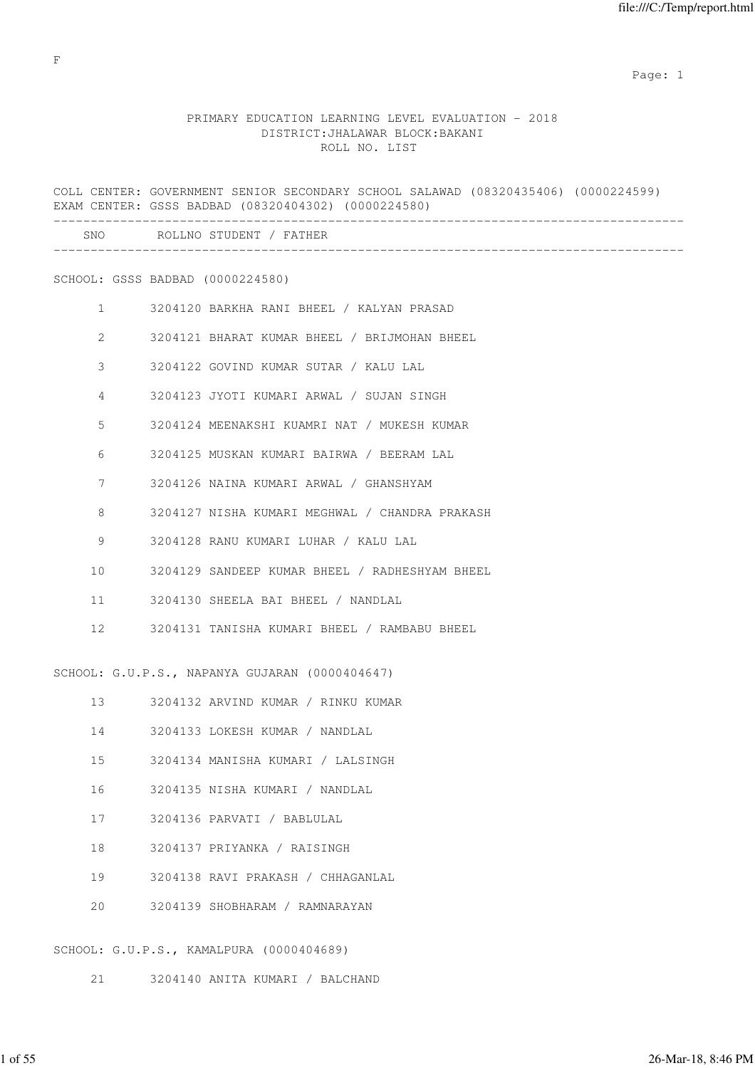expected to the control of the control of the control of the control of the control of the control of the control of the control of the control of the control of the control of the control of the control of the control of

# PRIMARY EDUCATION LEARNING LEVEL EVALUATION - 2018 DISTRICT:JHALAWAR BLOCK:BAKANI ROLL NO. LIST

|                  | COLL CENTER: GOVERNMENT SENIOR SECONDARY SCHOOL SALAWAD (08320435406) (0000224599)<br>EXAM CENTER: GSSS BADBAD (08320404302) (0000224580) |
|------------------|-------------------------------------------------------------------------------------------------------------------------------------------|
| SNO <sub>t</sub> | ROLLNO STUDENT / FATHER                                                                                                                   |
|                  | SCHOOL: GSSS BADBAD (0000224580)                                                                                                          |
| $\mathbf{1}$     | 3204120 BARKHA RANI BHEEL / KALYAN PRASAD                                                                                                 |
| $\overline{2}$   | 3204121 BHARAT KUMAR BHEEL / BRIJMOHAN BHEEL                                                                                              |
| 3                | 3204122 GOVIND KUMAR SUTAR / KALU LAL                                                                                                     |
| 4                | 3204123 JYOTI KUMARI ARWAL / SUJAN SINGH                                                                                                  |
| 5                | 3204124 MEENAKSHI KUAMRI NAT / MUKESH KUMAR                                                                                               |
| 6                | 3204125 MUSKAN KUMARI BAIRWA / BEERAM LAL                                                                                                 |
| 7                | 3204126 NAINA KUMARI ARWAL / GHANSHYAM                                                                                                    |
| 8                | 3204127 NISHA KUMARI MEGHWAL / CHANDRA PRAKASH                                                                                            |
| 9                | 3204128 RANU KUMARI LUHAR / KALU LAL                                                                                                      |
| 10               | 3204129 SANDEEP KUMAR BHEEL / RADHESHYAM BHEEL                                                                                            |
| 11               | 3204130 SHEELA BAI BHEEL / NANDLAL                                                                                                        |
| 12 <sup>°</sup>  | 3204131 TANISHA KUMARI BHEEL / RAMBABU BHEEL                                                                                              |
|                  | SCHOOL: G.U.P.S., NAPANYA GUJARAN (0000404647)                                                                                            |
| 13               | 3204132 ARVIND KUMAR / RINKU KUMAR                                                                                                        |
| 14               | 3204133 LOKESH KUMAR / NANDLAL                                                                                                            |
| 15               | 3204134 MANISHA KUMARI / LALSINGH                                                                                                         |
| 16               | 3204135 NISHA KUMARI / NANDLAL                                                                                                            |
| 17               | 3204136 PARVATI / BABLULAL                                                                                                                |
| 18               | 3204137 PRIYANKA / RAISINGH                                                                                                               |
| 19               | 3204138 RAVI PRAKASH / CHHAGANLAL                                                                                                         |
| 20               | 3204139 SHOBHARAM / RAMNARAYAN                                                                                                            |
|                  |                                                                                                                                           |

SCHOOL: G.U.P.S., KAMALPURA (0000404689)

21 3204140 ANITA KUMARI / BALCHAND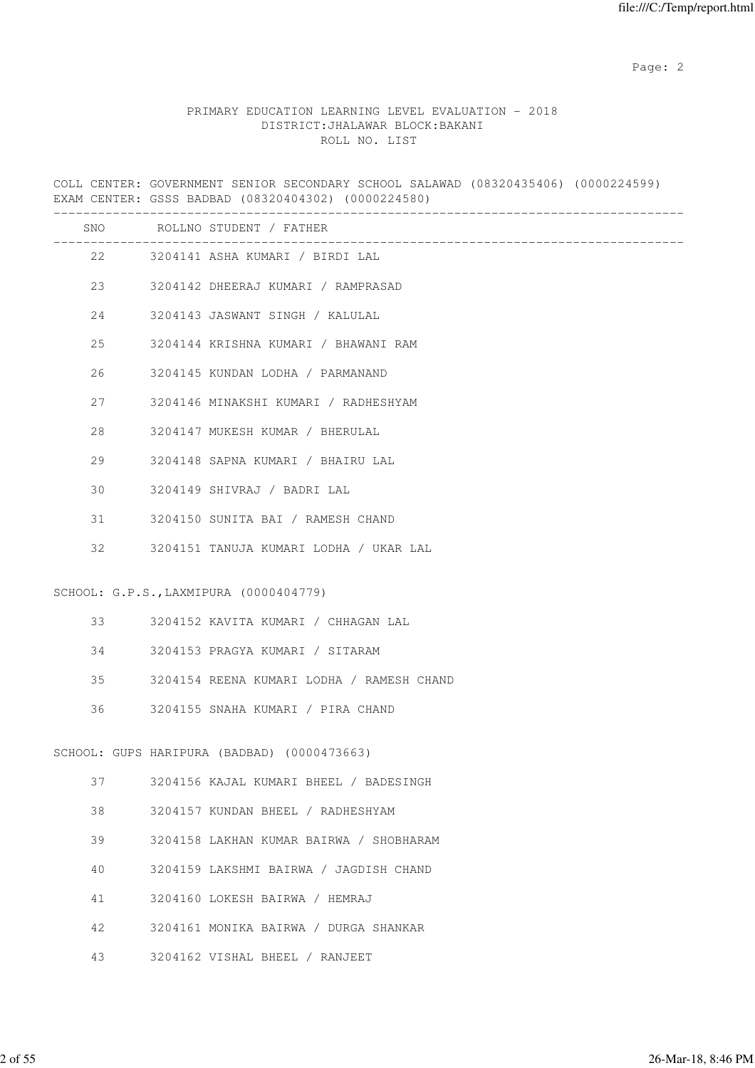## PRIMARY EDUCATION LEARNING LEVEL EVALUATION - 2018 DISTRICT:JHALAWAR BLOCK:BAKANI ROLL NO. LIST

COLL CENTER: GOVERNMENT SENIOR SECONDARY SCHOOL SALAWAD (08320435406) (0000224599) EXAM CENTER: GSSS BADBAD (08320404302) (0000224580) ------------------------------------------------------------------------------------- SNO ROLLNO STUDENT / FATHER ------------------------------------------------------------------------------------- 22 3204141 ASHA KUMARI / BIRDI LAL 23 3204142 DHEERAJ KUMARI / RAMPRASAD 24 3204143 JASWANT SINGH / KALULAL 25 3204144 KRISHNA KUMARI / BHAWANI RAM 26 3204145 KUNDAN LODHA / PARMANAND 27 3204146 MINAKSHI KUMARI / RADHESHYAM 28 3204147 MUKESH KUMAR / BHERULAL 29 3204148 SAPNA KUMARI / BHAIRU LAL 30 3204149 SHIVRAJ / BADRI LAL 31 3204150 SUNITA BAI / RAMESH CHAND 32 3204151 TANUJA KUMARI LODHA / UKAR LAL SCHOOL: G.P.S.,LAXMIPURA (0000404779) 33 3204152 KAVITA KUMARI / CHHAGAN LAL 34 3204153 PRAGYA KUMARI / SITARAM 35 3204154 REENA KUMARI LODHA / RAMESH CHAND 36 3204155 SNAHA KUMARI / PIRA CHAND SCHOOL: GUPS HARIPURA (BADBAD) (0000473663) 37 3204156 KAJAL KUMARI BHEEL / BADESINGH 38 3204157 KUNDAN BHEEL / RADHESHYAM 39 3204158 LAKHAN KUMAR BAIRWA / SHOBHARAM 40 3204159 LAKSHMI BAIRWA / JAGDISH CHAND 41 3204160 LOKESH BAIRWA / HEMRAJ 42 3204161 MONIKA BAIRWA / DURGA SHANKAR 43 3204162 VISHAL BHEEL / RANJEET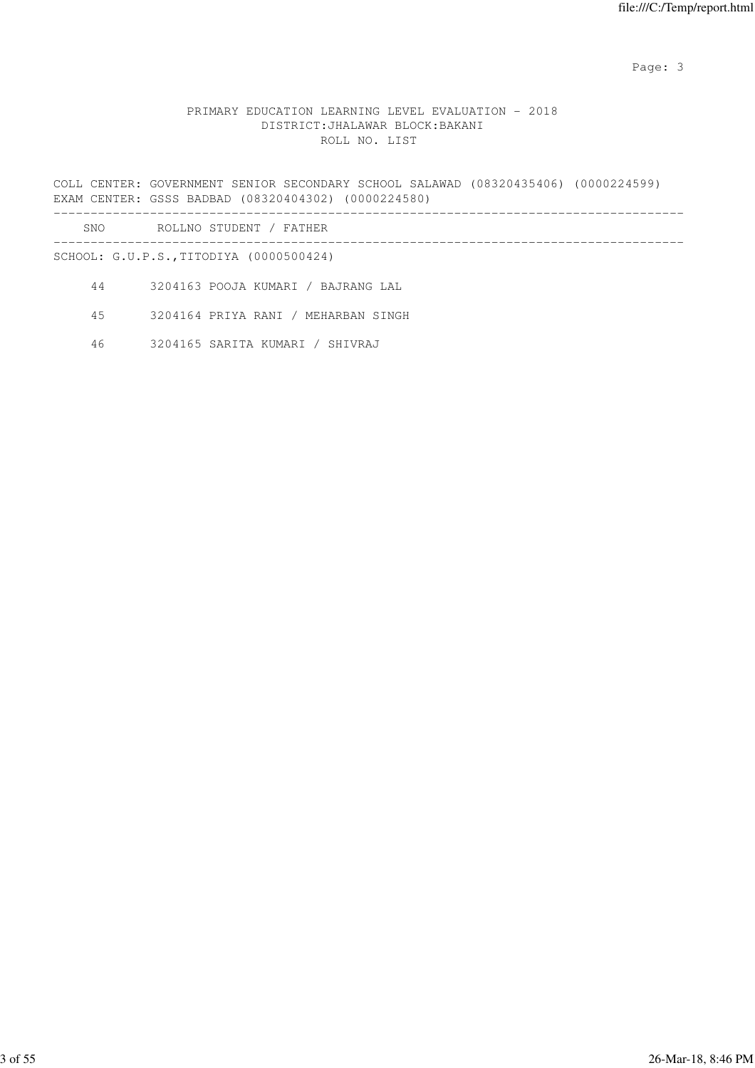# PRIMARY EDUCATION LEARNING LEVEL EVALUATION - 2018 DISTRICT:JHALAWAR BLOCK:BAKANI ROLL NO. LIST

COLL CENTER: GOVERNMENT SENIOR SECONDARY SCHOOL SALAWAD (08320435406) (0000224599) EXAM CENTER: GSSS BADBAD (08320404302) (0000224580) -------------------------------------------------------------------------------------

| SNC<br>$\sim$ | <b>CONTRACTOR</b><br>ROT<br>.NC<br>N<br>1 H H H H<br>– н ' Д<br>1н. |  |
|---------------|---------------------------------------------------------------------|--|
|               |                                                                     |  |

SCHOOL: G.U.P.S.,TITODIYA (0000500424)

44 3204163 POOJA KUMARI / BAJRANG LAL

45 3204164 PRIYA RANI / MEHARBAN SINGH

46 3204165 SARITA KUMARI / SHIVRAJ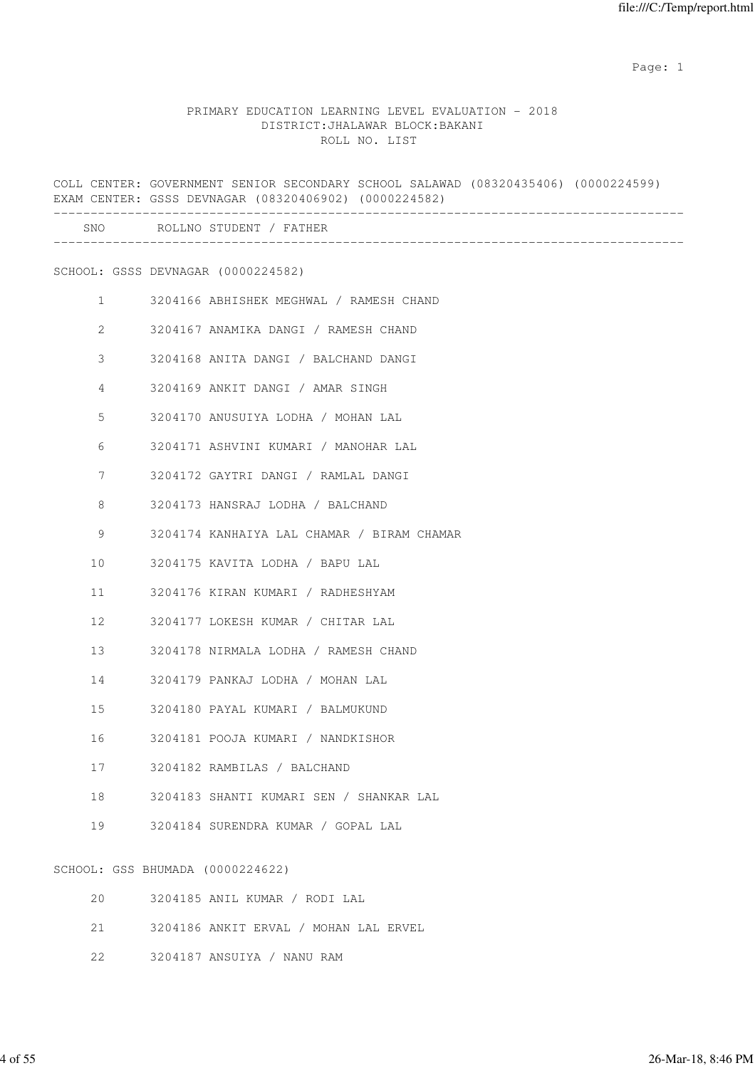#### PRIMARY EDUCATION LEARNING LEVEL EVALUATION - 2018 DISTRICT:JHALAWAR BLOCK:BAKANI ROLL NO. LIST

COLL CENTER: GOVERNMENT SENIOR SECONDARY SCHOOL SALAWAD (08320435406) (0000224599) EXAM CENTER: GSSS DEVNAGAR (08320406902) (0000224582) ------------------------------------------------------------------------------------- SNO ROLLNO STUDENT / FATHER ------------------------------------------------------------------------------------- SCHOOL: GSSS DEVNAGAR (0000224582) 1 3204166 ABHISHEK MEGHWAL / RAMESH CHAND 2 3204167 ANAMIKA DANGI / RAMESH CHAND 3 3204168 ANITA DANGI / BALCHAND DANGI 4 3204169 ANKIT DANGI / AMAR SINGH 5 3204170 ANUSUIYA LODHA / MOHAN LAL 6 3204171 ASHVINI KUMARI / MANOHAR LAL 7 3204172 GAYTRI DANGI / RAMLAL DANGI 8 3204173 HANSRAJ LODHA / BALCHAND 9 3204174 KANHAIYA LAL CHAMAR / BIRAM CHAMAR 10 3204175 KAVITA LODHA / BAPU LAL 11 3204176 KIRAN KUMARI / RADHESHYAM 12 3204177 LOKESH KUMAR / CHITAR LAL 13 3204178 NIRMALA LODHA / RAMESH CHAND 14 3204179 PANKAJ LODHA / MOHAN LAL 15 3204180 PAYAL KUMARI / BALMUKUND 16 3204181 POOJA KUMARI / NANDKISHOR 17 3204182 RAMBILAS / BALCHAND 18 3204183 SHANTI KUMARI SEN / SHANKAR LAL 19 3204184 SURENDRA KUMAR / GOPAL LAL SCHOOL: GSS BHUMADA (0000224622) 20 3204185 ANIL KUMAR / RODI LAL

- 21 3204186 ANKIT ERVAL / MOHAN LAL ERVEL
- 22 3204187 ANSUIYA / NANU RAM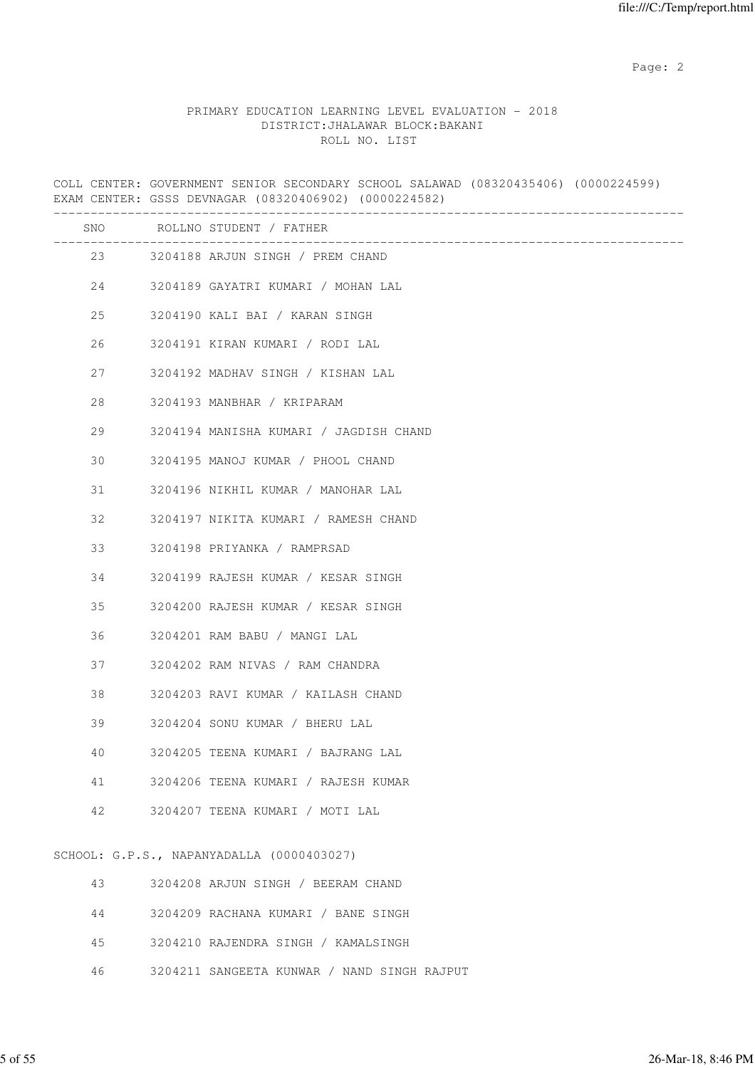## PRIMARY EDUCATION LEARNING LEVEL EVALUATION - 2018 DISTRICT:JHALAWAR BLOCK:BAKANI ROLL NO. LIST

COLL CENTER: GOVERNMENT SENIOR SECONDARY SCHOOL SALAWAD (08320435406) (0000224599) EXAM CENTER: GSSS DEVNAGAR (08320406902) (0000224582) ------------------------------------------------------------------------------------- SNO ROLLNO STUDENT / FATHER ------------------------------------------------------------------------------------- 23 3204188 ARJUN SINGH / PREM CHAND 24 3204189 GAYATRI KUMARI / MOHAN LAL 25 3204190 KALI BAI / KARAN SINGH 26 3204191 KIRAN KUMARI / RODI LAL 27 3204192 MADHAV SINGH / KISHAN LAL 28 3204193 MANBHAR / KRIPARAM 29 3204194 MANISHA KUMARI / JAGDISH CHAND 30 3204195 MANOJ KUMAR / PHOOL CHAND 31 3204196 NIKHIL KUMAR / MANOHAR LAL 32 3204197 NIKITA KUMARI / RAMESH CHAND 33 3204198 PRIYANKA / RAMPRSAD 34 3204199 RAJESH KUMAR / KESAR SINGH 35 3204200 RAJESH KUMAR / KESAR SINGH 36 3204201 RAM BABU / MANGI LAL 37 3204202 RAM NIVAS / RAM CHANDRA 38 3204203 RAVI KUMAR / KAILASH CHAND 39 3204204 SONU KUMAR / BHERU LAL 40 3204205 TEENA KUMARI / BAJRANG LAL 41 3204206 TEENA KUMARI / RAJESH KUMAR 42 3204207 TEENA KUMARI / MOTI LAL SCHOOL: G.P.S., NAPANYADALLA (0000403027) 43 3204208 ARJUN SINGH / BEERAM CHAND

| 3204209 RACHANA KUMARI |  |  |  |  | BANE SINGH |  |
|------------------------|--|--|--|--|------------|--|
|------------------------|--|--|--|--|------------|--|

45 3204210 RAJENDRA SINGH / KAMALSINGH

46 3204211 SANGEETA KUNWAR / NAND SINGH RAJPUT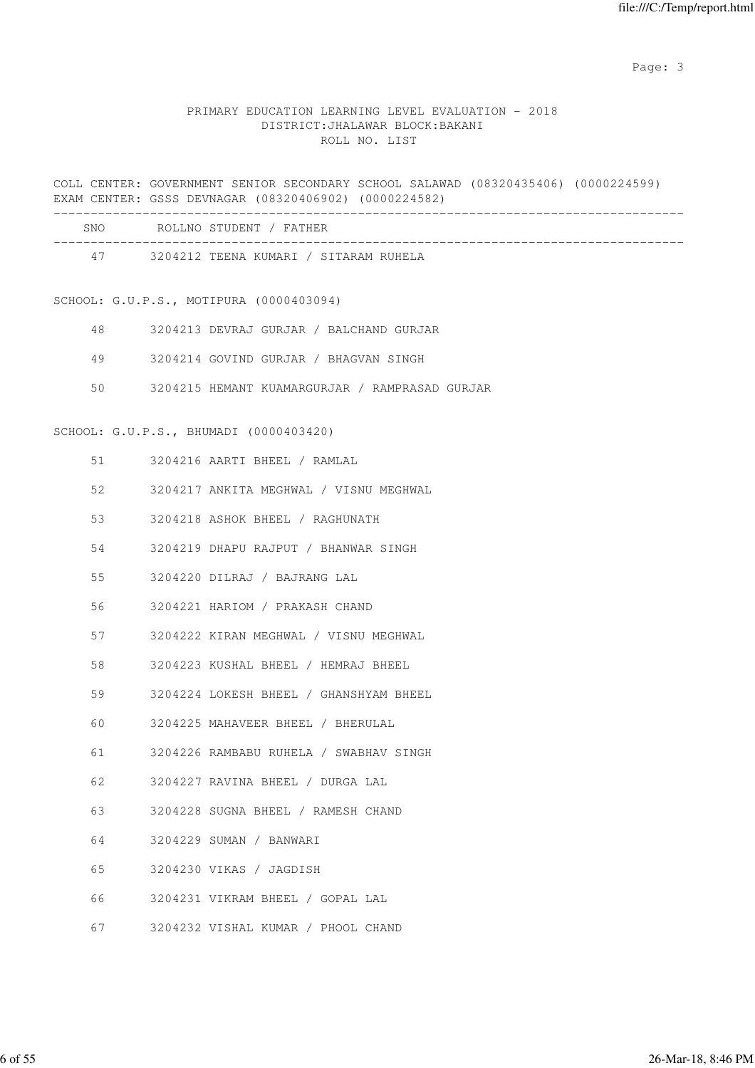### PRIMARY EDUCATION LEARNING LEVEL EVALUATION - 2018 DISTRICT:JHALAWAR BLOCK:BAKANI ROLL NO. LIST

COLL CENTER: GOVERNMENT SENIOR SECONDARY SCHOOL SALAWAD (08320435406) (0000224599) EXAM CENTER: GSSS DEVNAGAR (08320406902) (0000224582)

| SNO. | ROLLNO STUDENT / FATHER               |
|------|---------------------------------------|
| 47   | 3204212 TEENA KUMARI / SITARAM RUHELA |

#### SCHOOL: G.U.P.S., MOTIPURA (0000403094)

|  | 3204213 DEVRAJ GURJAR / BALCHAND GURJAR |
|--|-----------------------------------------|
|--|-----------------------------------------|

49 3204214 GOVIND GURJAR / BHAGVAN SINGH

50 3204215 HEMANT KUAMARGURJAR / RAMPRASAD GURJAR

#### SCHOOL: G.U.P.S., BHUMADI (0000403420)

|  | 3204216 | AARTI BHEEL |  |  | RAMI.AI. |
|--|---------|-------------|--|--|----------|
|--|---------|-------------|--|--|----------|

- 52 3204217 ANKITA MEGHWAL / VISNU MEGHWAL
- 53 3204218 ASHOK BHEEL / RAGHUNATH
- 54 3204219 DHAPU RAJPUT / BHANWAR SINGH
- 55 3204220 DILRAJ / BAJRANG LAL
- 56 3204221 HARIOM / PRAKASH CHAND
- 57 3204222 KIRAN MEGHWAL / VISNU MEGHWAL
- 58 3204223 KUSHAL BHEEL / HEMRAJ BHEEL
- 59 3204224 LOKESH BHEEL / GHANSHYAM BHEEL
- 60 3204225 MAHAVEER BHEEL / BHERULAL
- 61 3204226 RAMBABU RUHELA / SWABHAV SINGH
- 62 3204227 RAVINA BHEEL / DURGA LAL
- 63 3204228 SUGNA BHEEL / RAMESH CHAND
- 64 3204229 SUMAN / BANWARI
- 65 3204230 VIKAS / JAGDISH
- 66 3204231 VIKRAM BHEEL / GOPAL LAL
- 67 3204232 VISHAL KUMAR / PHOOL CHAND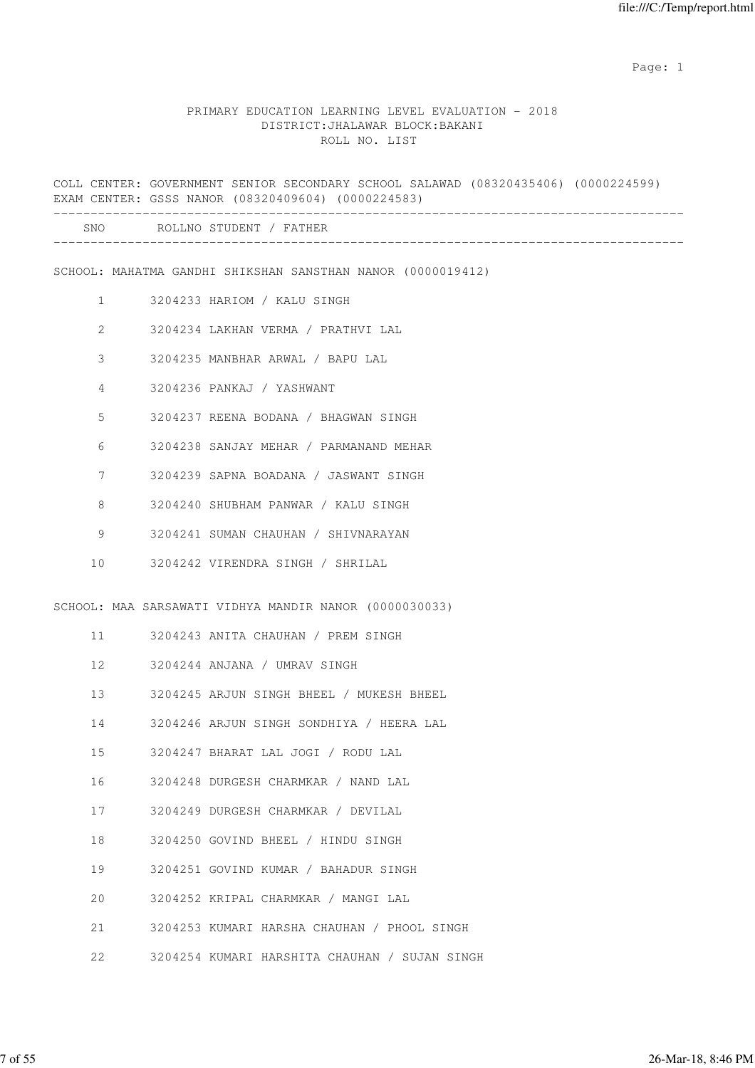#### PRIMARY EDUCATION LEARNING LEVEL EVALUATION - 2018 DISTRICT:JHALAWAR BLOCK:BAKANI ROLL NO. LIST

COLL CENTER: GOVERNMENT SENIOR SECONDARY SCHOOL SALAWAD (08320435406) (0000224599) EXAM CENTER: GSSS NANOR (08320409604) (0000224583) ------------------------------------------------------------------------------------- SNO ROLLNO STUDENT / FATHER ------------------------------------------------------------------------------------- SCHOOL: MAHATMA GANDHI SHIKSHAN SANSTHAN NANOR (0000019412) 1 3204233 HARIOM / KALU SINGH 2 3204234 LAKHAN VERMA / PRATHVI LAL 3 3204235 MANBHAR ARWAL / BAPU LAL 4 3204236 PANKAJ / YASHWANT 5 3204237 REENA BODANA / BHAGWAN SINGH 6 3204238 SANJAY MEHAR / PARMANAND MEHAR 7 3204239 SAPNA BOADANA / JASWANT SINGH 8 3204240 SHUBHAM PANWAR / KALU SINGH 9 3204241 SUMAN CHAUHAN / SHIVNARAYAN 10 3204242 VIRENDRA SINGH / SHRILAL SCHOOL: MAA SARSAWATI VIDHYA MANDIR NANOR (0000030033) 11 3204243 ANITA CHAUHAN / PREM SINGH 12 3204244 ANJANA / UMRAV SINGH 13 3204245 ARJUN SINGH BHEEL / MUKESH BHEEL 14 3204246 ARJUN SINGH SONDHIYA / HEERA LAL 15 3204247 BHARAT LAL JOGI / RODU LAL 16 3204248 DURGESH CHARMKAR / NAND LAL 17 3204249 DURGESH CHARMKAR / DEVILAL 18 3204250 GOVIND BHEEL / HINDU SINGH 19 3204251 GOVIND KUMAR / BAHADUR SINGH 20 3204252 KRIPAL CHARMKAR / MANGI LAL 21 3204253 KUMARI HARSHA CHAUHAN / PHOOL SINGH 22 3204254 KUMARI HARSHITA CHAUHAN / SUJAN SINGH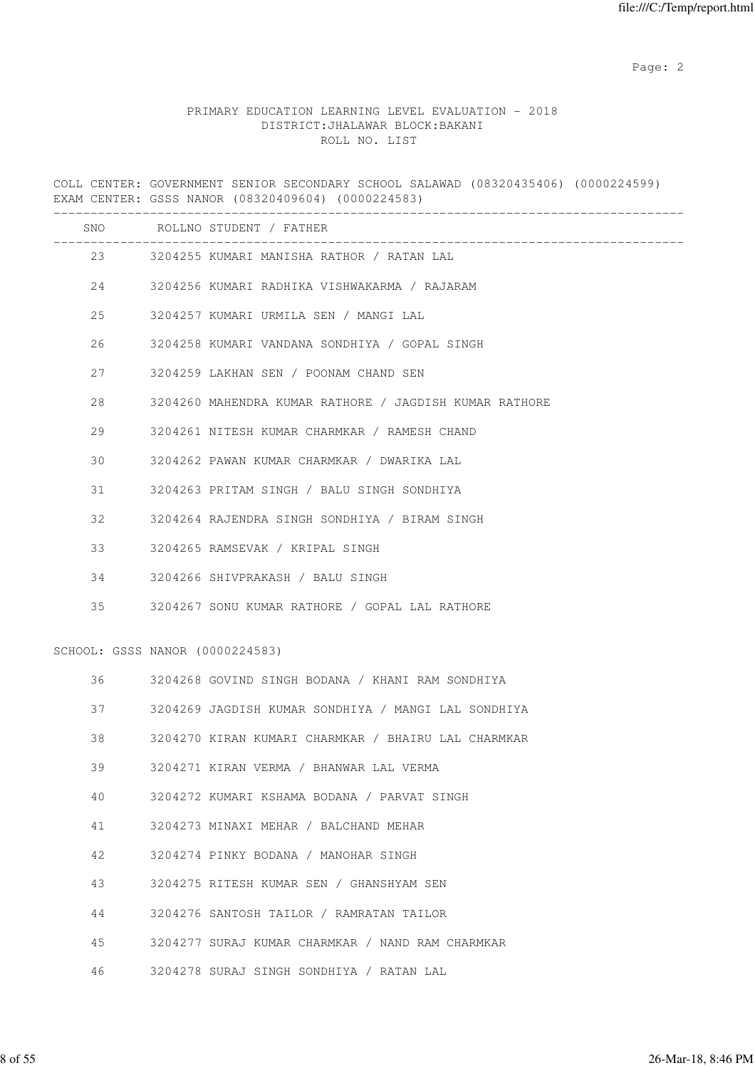### PRIMARY EDUCATION LEARNING LEVEL EVALUATION - 2018 DISTRICT:JHALAWAR BLOCK:BAKANI ROLL NO. LIST

COLL CENTER: GOVERNMENT SENIOR SECONDARY SCHOOL SALAWAD (08320435406) (0000224599) EXAM CENTER: GSSS NANOR (08320409604) (0000224583) ------------------------------------------------------------------------------------- SNO ROLLNO STUDENT / FATHER ------------------------------------------------------------------------------------- 23 3204255 KUMARI MANISHA RATHOR / RATAN LAL 24 3204256 KUMARI RADHIKA VISHWAKARMA / RAJARAM 25 3204257 KUMARI URMILA SEN / MANGI LAL 26 3204258 KUMARI VANDANA SONDHIYA / GOPAL SINGH 27 3204259 LAKHAN SEN / POONAM CHAND SEN 28 3204260 MAHENDRA KUMAR RATHORE / JAGDISH KUMAR RATHORE 29 3204261 NITESH KUMAR CHARMKAR / RAMESH CHAND 30 3204262 PAWAN KUMAR CHARMKAR / DWARIKA LAL 31 3204263 PRITAM SINGH / BALU SINGH SONDHIYA 32 3204264 RAJENDRA SINGH SONDHIYA / BIRAM SINGH 33 3204265 RAMSEVAK / KRIPAL SINGH 34 3204266 SHIVPRAKASH / BALU SINGH 35 3204267 SONU KUMAR RATHORE / GOPAL LAL RATHORE SCHOOL: GSSS NANOR (0000224583) 36 3204268 GOVIND SINGH BODANA / KHANI RAM SONDHIYA 37 3204269 JAGDISH KUMAR SONDHIYA / MANGI LAL SONDHIYA 38 3204270 KIRAN KUMARI CHARMKAR / BHAIRU LAL CHARMKAR 39 3204271 KIRAN VERMA / BHANWAR LAL VERMA 40 3204272 KUMARI KSHAMA BODANA / PARVAT SINGH 41 3204273 MINAXI MEHAR / BALCHAND MEHAR 42 3204274 PINKY BODANA / MANOHAR SINGH 43 3204275 RITESH KUMAR SEN / GHANSHYAM SEN 44 3204276 SANTOSH TAILOR / RAMRATAN TAILOR 45 3204277 SURAJ KUMAR CHARMKAR / NAND RAM CHARMKAR 46 3204278 SURAJ SINGH SONDHIYA / RATAN LAL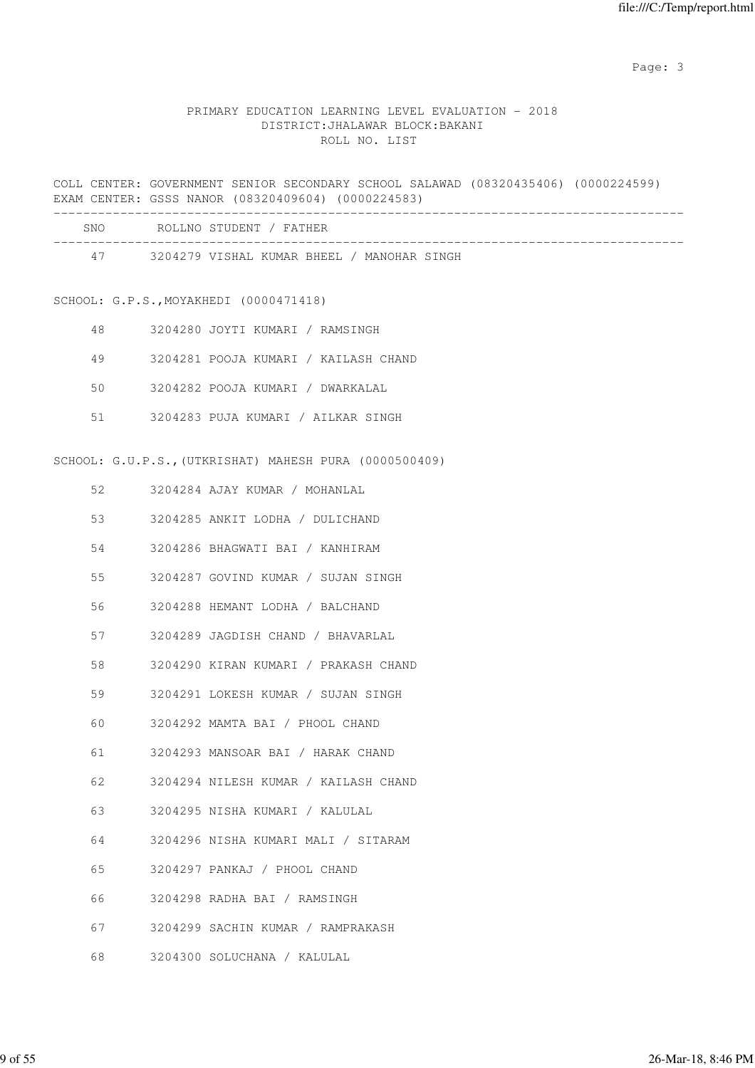# PRIMARY EDUCATION LEARNING LEVEL EVALUATION - 2018 DISTRICT:JHALAWAR BLOCK:BAKANI ROLL NO. LIST

COLL CENTER: GOVERNMENT SENIOR SECONDARY SCHOOL SALAWAD (08320435406) (0000224599) EXAM CENTER: GSSS NANOR (08320409604) (0000224583) -------------------------------------------------------------------------------------

| <b>SNO</b> | ROLLNO STUDENT / FATHER                    |  |
|------------|--------------------------------------------|--|
| 47         | 3204279 VISHAL KUMAR BHEEL / MANOHAR SINGH |  |

# SCHOOL: G.P.S.,MOYAKHEDI (0000471418)

| 48 |  |  | 3204280 JOYTI KUMARI / RAMSINGH      |
|----|--|--|--------------------------------------|
| 49 |  |  | 3204281 POOJA KUMARI / KAILASH CHAND |
| 50 |  |  | 3204282 POOJA KUMARI / DWARKALAL     |
| 51 |  |  | 3204283 PUJA KUMARI / AILKAR SINGH   |

# SCHOOL: G.U.P.S.,(UTKRISHAT) MAHESH PURA (0000500409)

| 52 | 3204284 AJAY KUMAR / MOHANLAL        |
|----|--------------------------------------|
| 53 | 3204285 ANKIT LODHA / DULICHAND      |
| 54 | 3204286 BHAGWATI BAI / KANHIRAM      |
| 55 | 3204287 GOVIND KUMAR / SUJAN SINGH   |
| 56 | 3204288 HEMANT LODHA / BALCHAND      |
| 57 | 3204289 JAGDISH CHAND / BHAVARLAL    |
| 58 | 3204290 KIRAN KUMARI / PRAKASH CHAND |
| 59 | 3204291 LOKESH KUMAR / SUJAN SINGH   |
| 60 | 3204292 MAMTA BAI / PHOOL CHAND      |
| 61 | 3204293 MANSOAR BAI / HARAK CHAND    |
| 62 | 3204294 NILESH KUMAR / KAILASH CHAND |
| 63 | 3204295 NISHA KUMARI / KALULAL       |
| 64 | 3204296 NISHA KUMARI MALI / SITARAM  |
| 65 | 3204297 PANKAJ / PHOOL CHAND         |
| 66 | 3204298 RADHA BAI / RAMSINGH         |
| 67 | 3204299 SACHIN KUMAR / RAMPRAKASH    |
| 68 | 3204300 SOLUCHANA / KALULAL          |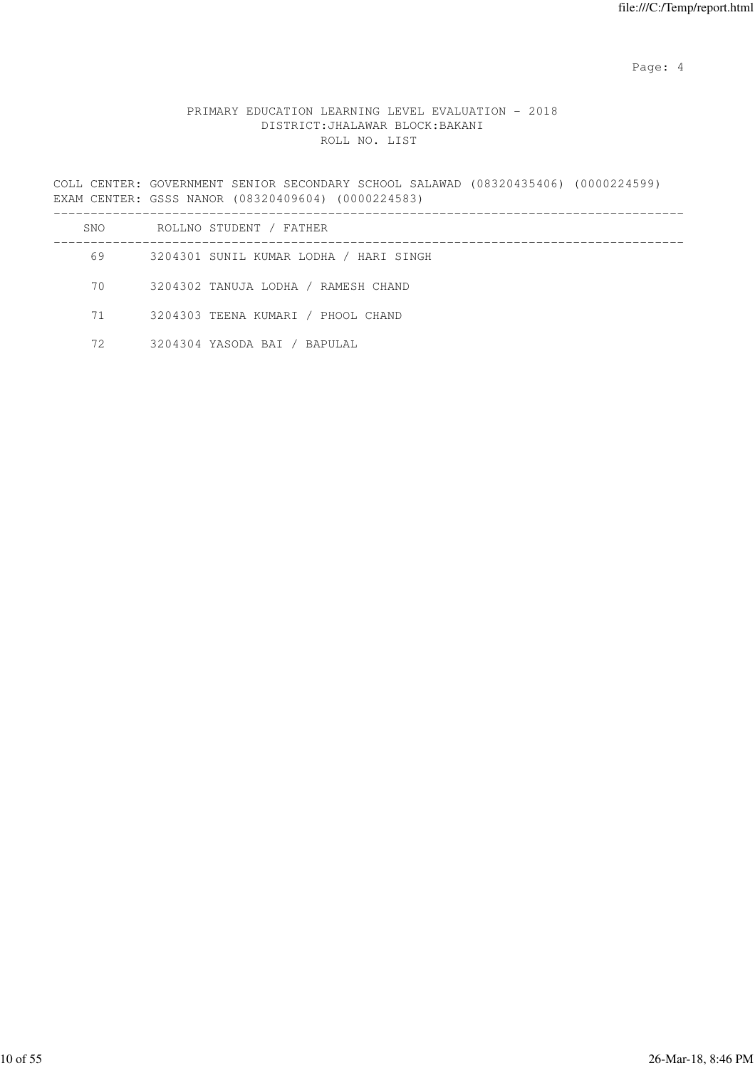Page: 4  $P$ 

# PRIMARY EDUCATION LEARNING LEVEL EVALUATION - 2018 DISTRICT:JHALAWAR BLOCK:BAKANI ROLL NO. LIST

COLL CENTER: GOVERNMENT SENIOR SECONDARY SCHOOL SALAWAD (08320435406) (0000224599) EXAM CENTER: GSSS NANOR (08320409604) (0000224583)

| SNO | ROLLNO STUDENT / FATHER                |
|-----|----------------------------------------|
| 69  | 3204301 SUNIL KUMAR LODHA / HARI SINGH |
| 70  | 3204302 TANUJA LODHA / RAMESH CHAND    |
| 71  | 3204303 TEENA KUMARI / PHOOL CHAND     |
| 72  | 3204304 YASODA BAI / BAPULAL           |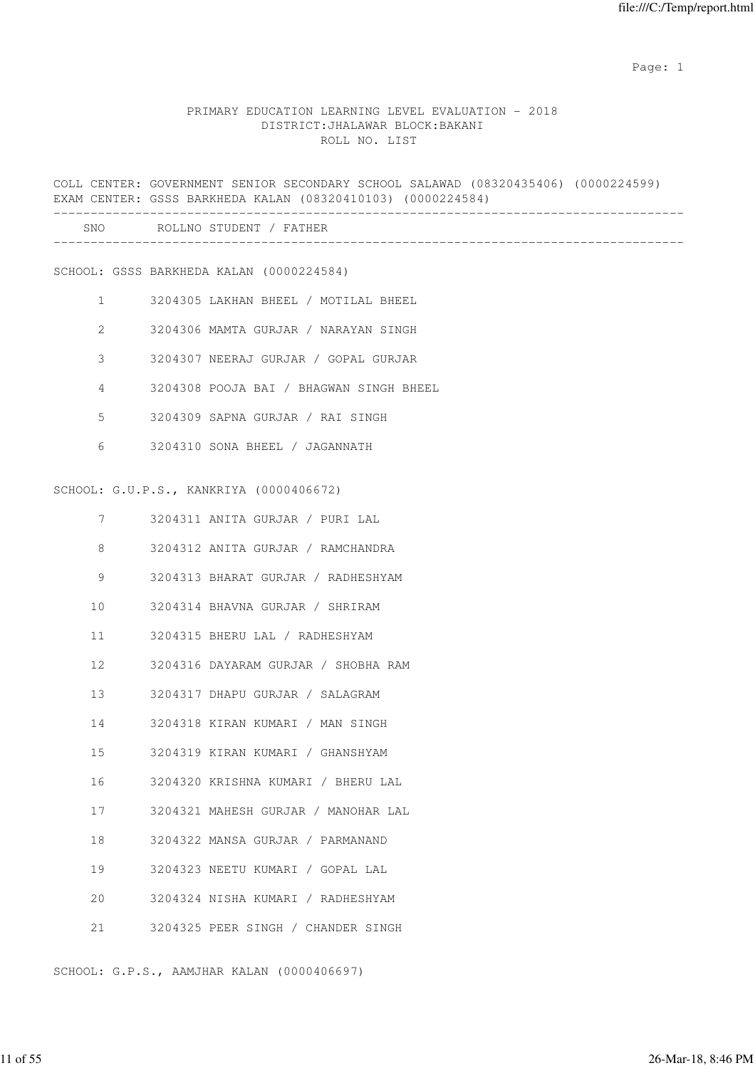#### PRIMARY EDUCATION LEARNING LEVEL EVALUATION - 2018 DISTRICT:JHALAWAR BLOCK:BAKANI ROLL NO. LIST

COLL CENTER: GOVERNMENT SENIOR SECONDARY SCHOOL SALAWAD (08320435406) (0000224599) EXAM CENTER: GSSS BARKHEDA KALAN (08320410103) (0000224584) ------------------------------------------------------------------------------------- SNO ROLLNO STUDENT / FATHER ------------------------------------------------------------------------------------- SCHOOL: GSSS BARKHEDA KALAN (0000224584) 1 3204305 LAKHAN BHEEL / MOTILAL BHEEL 2 3204306 MAMTA GURJAR / NARAYAN SINGH 3 3204307 NEERAJ GURJAR / GOPAL GURJAR 4 3204308 POOJA BAI / BHAGWAN SINGH BHEEL 5 3204309 SAPNA GURJAR / RAI SINGH 6 3204310 SONA BHEEL / JAGANNATH SCHOOL: G.U.P.S., KANKRIYA (0000406672) 7 3204311 ANITA GURJAR / PURI LAL 8 3204312 ANITA GURJAR / RAMCHANDRA 9 3204313 BHARAT GURJAR / RADHESHYAM 10 3204314 BHAVNA GURJAR / SHRIRAM 11 3204315 BHERU LAL / RADHESHYAM 12 3204316 DAYARAM GURJAR / SHOBHA RAM 13 3204317 DHAPU GURJAR / SALAGRAM 14 3204318 KIRAN KUMARI / MAN SINGH 15 3204319 KIRAN KUMARI / GHANSHYAM 16 3204320 KRISHNA KUMARI / BHERU LAL 17 3204321 MAHESH GURJAR / MANOHAR LAL 18 3204322 MANSA GURJAR / PARMANAND 19 3204323 NEETU KUMARI / GOPAL LAL 20 3204324 NISHA KUMARI / RADHESHYAM 21 3204325 PEER SINGH / CHANDER SINGH

SCHOOL: G.P.S., AAMJHAR KALAN (0000406697)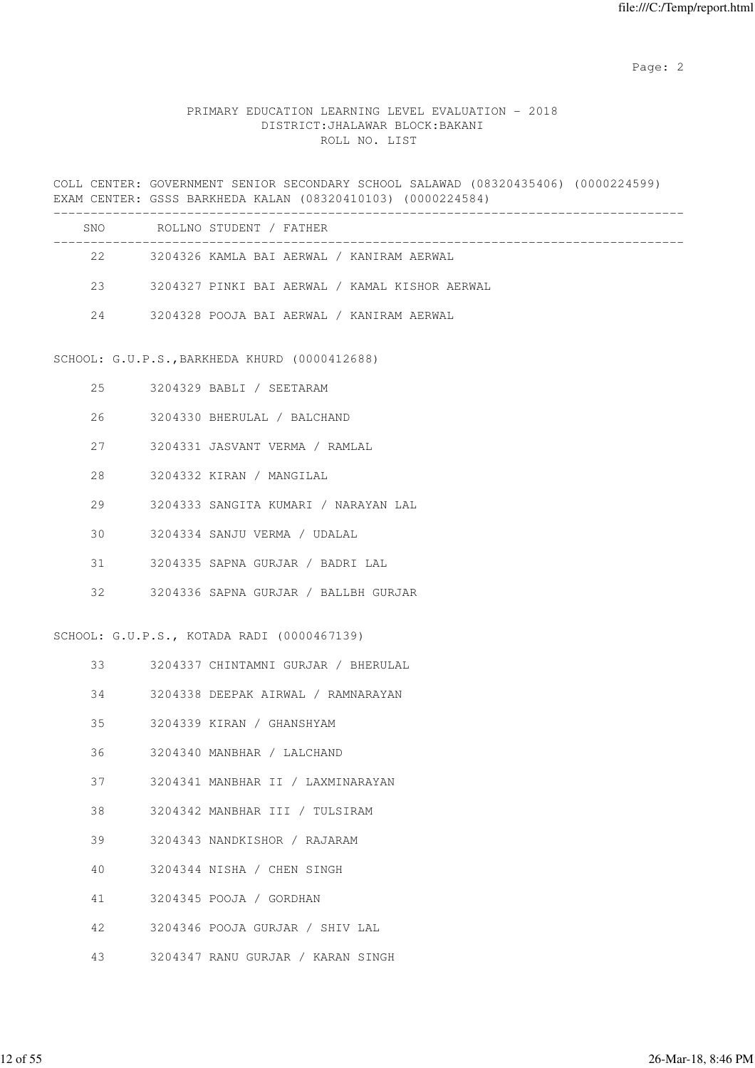#### PRIMARY EDUCATION LEARNING LEVEL EVALUATION - 2018 DISTRICT:JHALAWAR BLOCK:BAKANI ROLL NO. LIST

COLL CENTER: GOVERNMENT SENIOR SECONDARY SCHOOL SALAWAD (08320435406) (0000224599) EXAM CENTER: GSSS BARKHEDA KALAN (08320410103) (0000224584) ------------------------------------------------------------------------------------- SNO ROLLNO STUDENT / FATHER -------------------------------------------------------------------------------------

22 3204326 KAMLA BAI AERWAL / KANIRAM AERWAL

23 3204327 PINKI BAI AERWAL / KAMAL KISHOR AERWAL

24 3204328 POOJA BAI AERWAL / KANIRAM AERWAL

SCHOOL: G.U.P.S.,BARKHEDA KHURD (0000412688)

| 2.5 | 3204329 BABLI / SEETARAM             |
|-----|--------------------------------------|
| 26  | 3204330 BHERULAL / BALCHAND          |
| 27  | 3204331 JASVANT VERMA / RAMLAL       |
| 28  | 3204332 KIRAN / MANGILAL             |
| 29  | 3204333 SANGITA KUMARI / NARAYAN LAL |
| 30  | 3204334 SANJU VERMA / UDALAL         |
| 31  | 3204335 SAPNA GURJAR / BADRI LAL     |
| 32. | 3204336 SAPNA GURJAR / BALLBH GURJAR |

SCHOOL: G.U.P.S., KOTADA RADI (0000467139)

- 33 3204337 CHINTAMNI GURJAR / BHERULAL
- 34 3204338 DEEPAK AIRWAL / RAMNARAYAN
- 35 3204339 KIRAN / GHANSHYAM
- 36 3204340 MANBHAR / LALCHAND
- 37 3204341 MANBHAR II / LAXMINARAYAN
- 38 3204342 MANBHAR III / TULSIRAM
- 39 3204343 NANDKISHOR / RAJARAM
- 40 3204344 NISHA / CHEN SINGH
- 41 3204345 POOJA / GORDHAN
- 42 3204346 POOJA GURJAR / SHIV LAL
- 43 3204347 RANU GURJAR / KARAN SINGH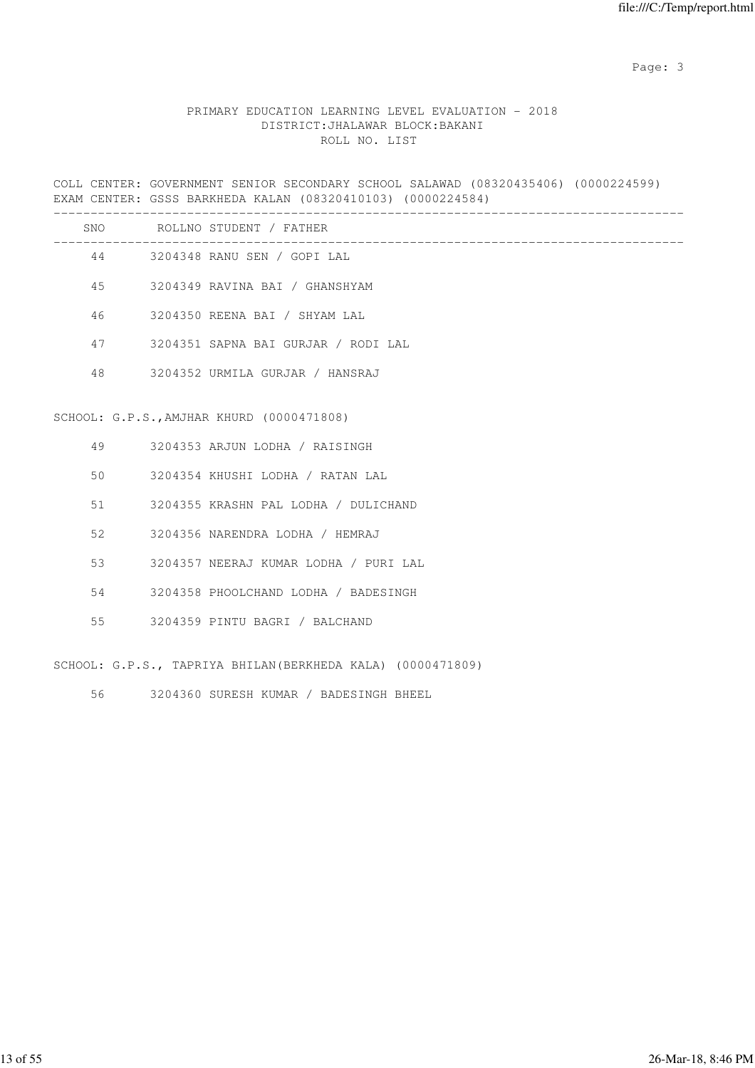# PRIMARY EDUCATION LEARNING LEVEL EVALUATION - 2018 DISTRICT:JHALAWAR BLOCK:BAKANI ROLL NO. LIST

COLL CENTER: GOVERNMENT SENIOR SECONDARY SCHOOL SALAWAD (08320435406) (0000224599) EXAM CENTER: GSSS BARKHEDA KALAN (08320410103) (0000224584)

|    |      | SNO ROLLNO STUDENT / FATHER                                 |
|----|------|-------------------------------------------------------------|
|    | 44   | 3204348 RANU SEN / GOPI LAL                                 |
| 45 |      | 3204349 RAVINA BAI / GHANSHYAM                              |
| 46 |      | 3204350 REENA BAI / SHYAM LAL                               |
|    | 47   | 3204351 SAPNA BAI GURJAR / RODI LAL                         |
| 48 |      | 3204352 URMILA GURJAR / HANSRAJ                             |
|    |      |                                                             |
|    |      | SCHOOL: G.P.S., AMJHAR KHURD (0000471808)                   |
|    |      | 49 3204353 ARJUN LODHA / RAISINGH                           |
| 50 |      | 3204354 KHUSHI LODHA / RATAN LAL                            |
|    | 51 7 | 3204355 KRASHN PAL LODHA / DULICHAND                        |
| 52 |      | 3204356 NARENDRA LODHA / HEMRAJ                             |
| 53 |      | 3204357 NEERAJ KUMAR LODHA / PURI LAL                       |
|    | 54 6 | 3204358 PHOOLCHAND LODHA / BADESINGH                        |
| 55 |      | 3204359 PINTU BAGRI / BALCHAND                              |
|    |      | SCHOOL: G.P.S., TAPRIYA BHILAN (BERKHEDA KALA) (0000471809) |

56 3204360 SURESH KUMAR / BADESINGH BHEEL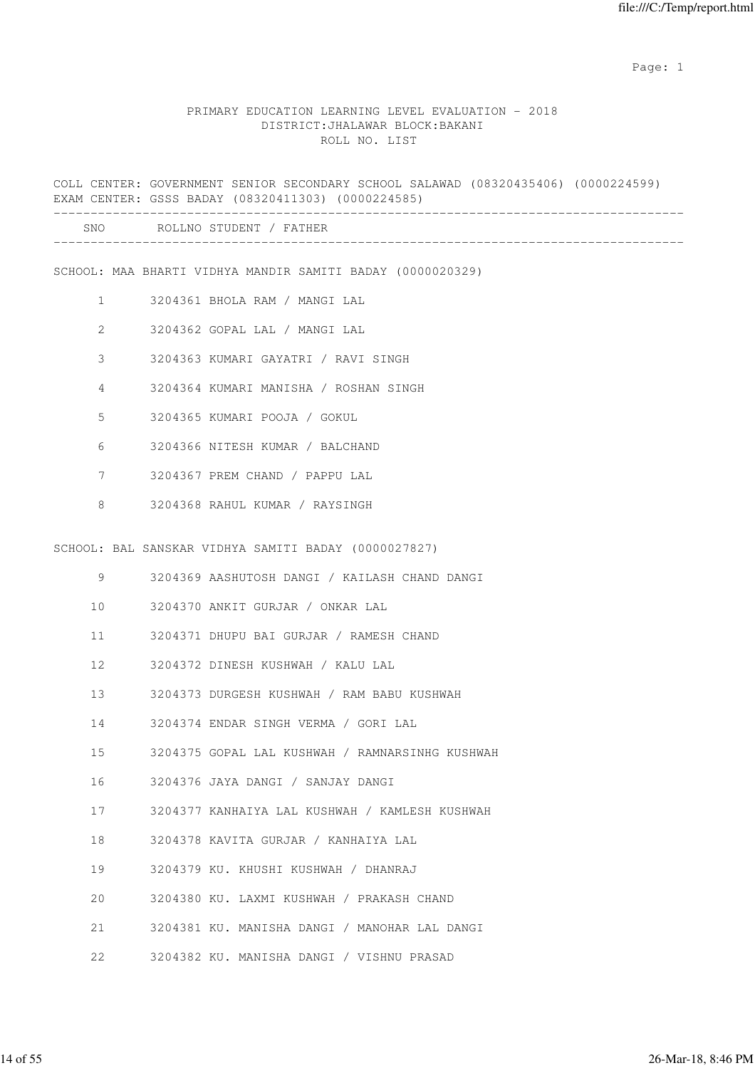#### PRIMARY EDUCATION LEARNING LEVEL EVALUATION - 2018 DISTRICT:JHALAWAR BLOCK:BAKANI ROLL NO. LIST

COLL CENTER: GOVERNMENT SENIOR SECONDARY SCHOOL SALAWAD (08320435406) (0000224599) EXAM CENTER: GSSS BADAY (08320411303) (0000224585) ------------------------------------------------------------------------------------- SNO ROLLNO STUDENT / FATHER ------------------------------------------------------------------------------------- SCHOOL: MAA BHARTI VIDHYA MANDIR SAMITI BADAY (0000020329) 1 3204361 BHOLA RAM / MANGI LAL 2 3204362 GOPAL LAL / MANGI LAL 3 3204363 KUMARI GAYATRI / RAVI SINGH 4 3204364 KUMARI MANISHA / ROSHAN SINGH 5 3204365 KUMARI POOJA / GOKUL 6 3204366 NITESH KUMAR / BALCHAND 7 3204367 PREM CHAND / PAPPU LAL 8 3204368 RAHUL KUMAR / RAYSINGH SCHOOL: BAL SANSKAR VIDHYA SAMITI BADAY (0000027827) 9 3204369 AASHUTOSH DANGI / KAILASH CHAND DANGI 10 3204370 ANKIT GURJAR / ONKAR LAL 11 3204371 DHUPU BAI GURJAR / RAMESH CHAND 12 3204372 DINESH KUSHWAH / KALU LAL 13 3204373 DURGESH KUSHWAH / RAM BABU KUSHWAH 14 3204374 ENDAR SINGH VERMA / GORI LAL 15 3204375 GOPAL LAL KUSHWAH / RAMNARSINHG KUSHWAH 16 3204376 JAYA DANGI / SANJAY DANGI 17 3204377 KANHAIYA LAL KUSHWAH / KAMLESH KUSHWAH 18 3204378 KAVITA GURJAR / KANHAIYA LAL 19 3204379 KU. KHUSHI KUSHWAH / DHANRAJ 20 3204380 KU. LAXMI KUSHWAH / PRAKASH CHAND 21 3204381 KU. MANISHA DANGI / MANOHAR LAL DANGI 22 3204382 KU. MANISHA DANGI / VISHNU PRASAD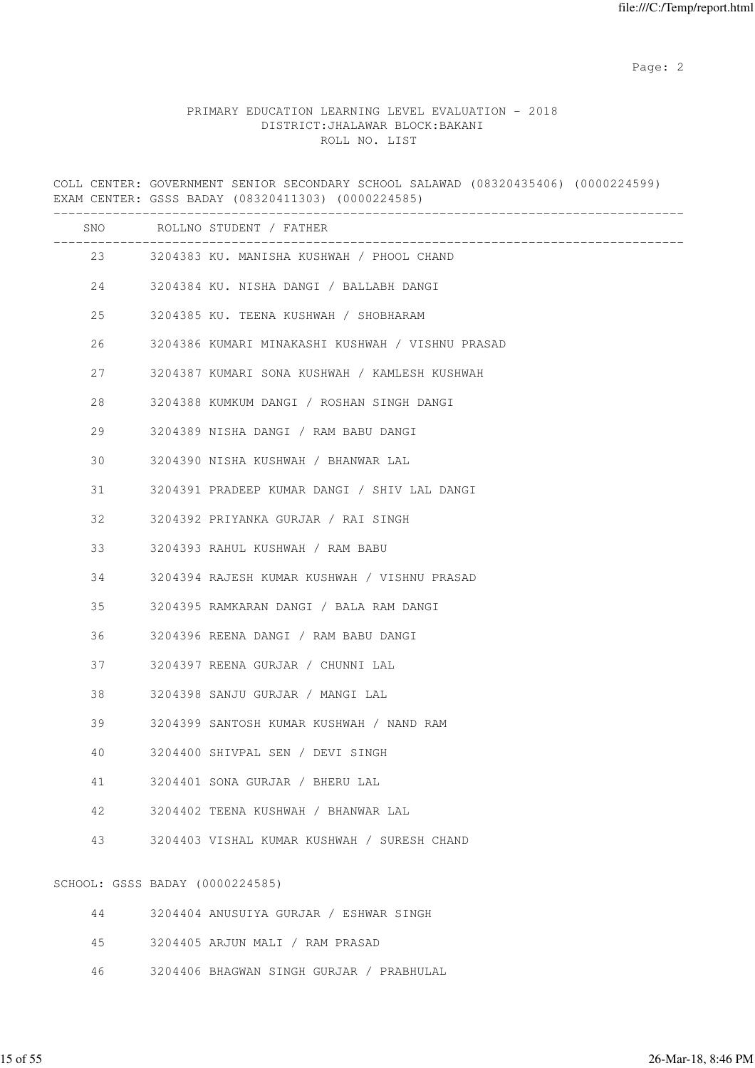#### PRIMARY EDUCATION LEARNING LEVEL EVALUATION - 2018 DISTRICT:JHALAWAR BLOCK:BAKANI ROLL NO. LIST

COLL CENTER: GOVERNMENT SENIOR SECONDARY SCHOOL SALAWAD (08320435406) (0000224599) EXAM CENTER: GSSS BADAY (08320411303) (0000224585) ------------------------------------------------------------------------------------- SNO ROLLNO STUDENT / FATHER ------------------------------------------------------------------------------------- 23 3204383 KU. MANISHA KUSHWAH / PHOOL CHAND 24 3204384 KU. NISHA DANGI / BALLABH DANGI 25 3204385 KU. TEENA KUSHWAH / SHOBHARAM 26 3204386 KUMARI MINAKASHI KUSHWAH / VISHNU PRASAD 27 3204387 KUMARI SONA KUSHWAH / KAMLESH KUSHWAH 28 3204388 KUMKUM DANGI / ROSHAN SINGH DANGI 29 3204389 NISHA DANGI / RAM BABU DANGI 30 3204390 NISHA KUSHWAH / BHANWAR LAL 31 3204391 PRADEEP KUMAR DANGI / SHIV LAL DANGI 32 3204392 PRIYANKA GURJAR / RAI SINGH 33 3204393 RAHUL KUSHWAH / RAM BABU 34 3204394 RAJESH KUMAR KUSHWAH / VISHNU PRASAD 35 3204395 RAMKARAN DANGI / BALA RAM DANGI 36 3204396 REENA DANGI / RAM BABU DANGI 37 3204397 REENA GURJAR / CHUNNI LAL 38 3204398 SANJU GURJAR / MANGI LAL 39 3204399 SANTOSH KUMAR KUSHWAH / NAND RAM 40 3204400 SHIVPAL SEN / DEVI SINGH 41 3204401 SONA GURJAR / BHERU LAL 42 3204402 TEENA KUSHWAH / BHANWAR LAL 43 3204403 VISHAL KUMAR KUSHWAH / SURESH CHAND SCHOOL: GSSS BADAY (0000224585) 44 3204404 ANUSUIYA GURJAR / ESHWAR SINGH 45 3204405 ARJUN MALI / RAM PRASAD 46 3204406 BHAGWAN SINGH GURJAR / PRABHULAL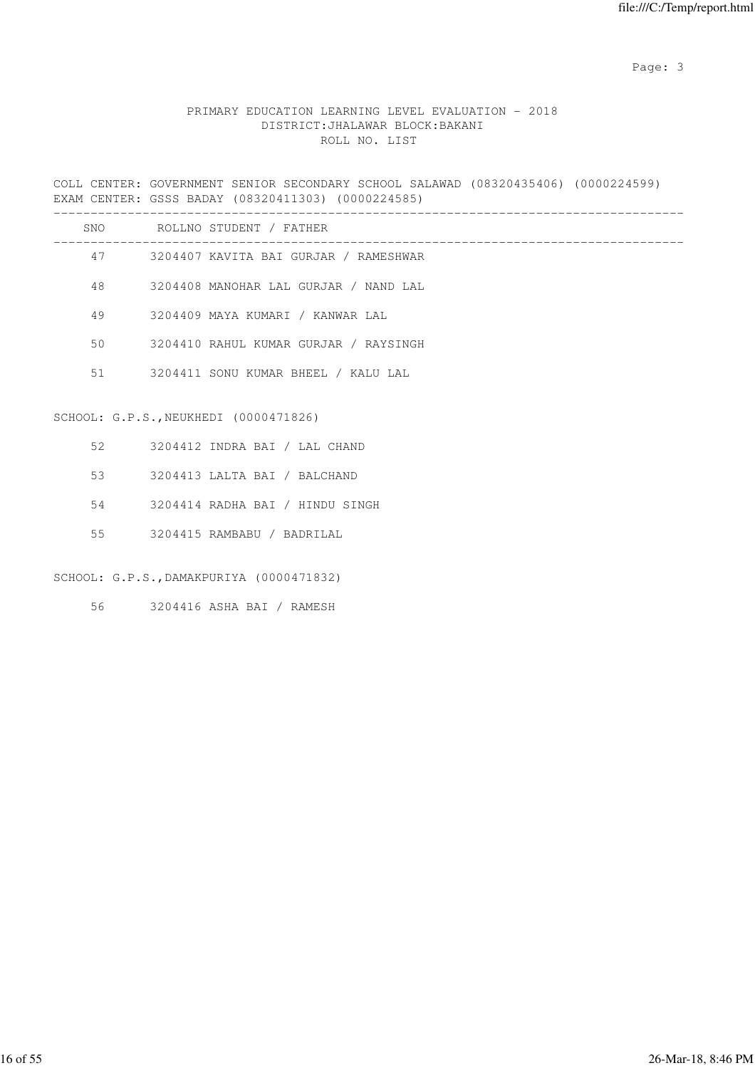# PRIMARY EDUCATION LEARNING LEVEL EVALUATION - 2018 DISTRICT:JHALAWAR BLOCK:BAKANI ROLL NO. LIST

COLL CENTER: GOVERNMENT SENIOR SECONDARY SCHOOL SALAWAD (08320435406) (0000224599) EXAM CENTER: GSSS BADAY (08320411303) (0000224585)

|    | SNO ROLLNO STUDENT / FATHER              |
|----|------------------------------------------|
|    | 47 3204407 KAVITA BAI GURJAR / RAMESHWAR |
| 48 | 3204408 MANOHAR LAL GURJAR / NAND LAL    |
|    | 49 3204409 MAYA KUMARI / KANWAR LAL      |
| 50 | 3204410 RAHUL KUMAR GURJAR / RAYSINGH    |
|    | 51 3204411 SONU KUMAR BHEEL / KALU LAL   |
|    | SCHOOL: G.P.S., NEUKHEDI (0000471826)    |
|    | 52 3204412 INDRA BAI / LAL CHAND         |
|    | 53 3204413 LALTA BAI / BALCHAND          |
| 54 | 3204414 RADHA BAI / HINDU SINGH          |
|    |                                          |

# SCHOOL: G.P.S.,DAMAKPURIYA (0000471832)

56 3204416 ASHA BAI / RAMESH

55 3204415 RAMBABU / BADRILAL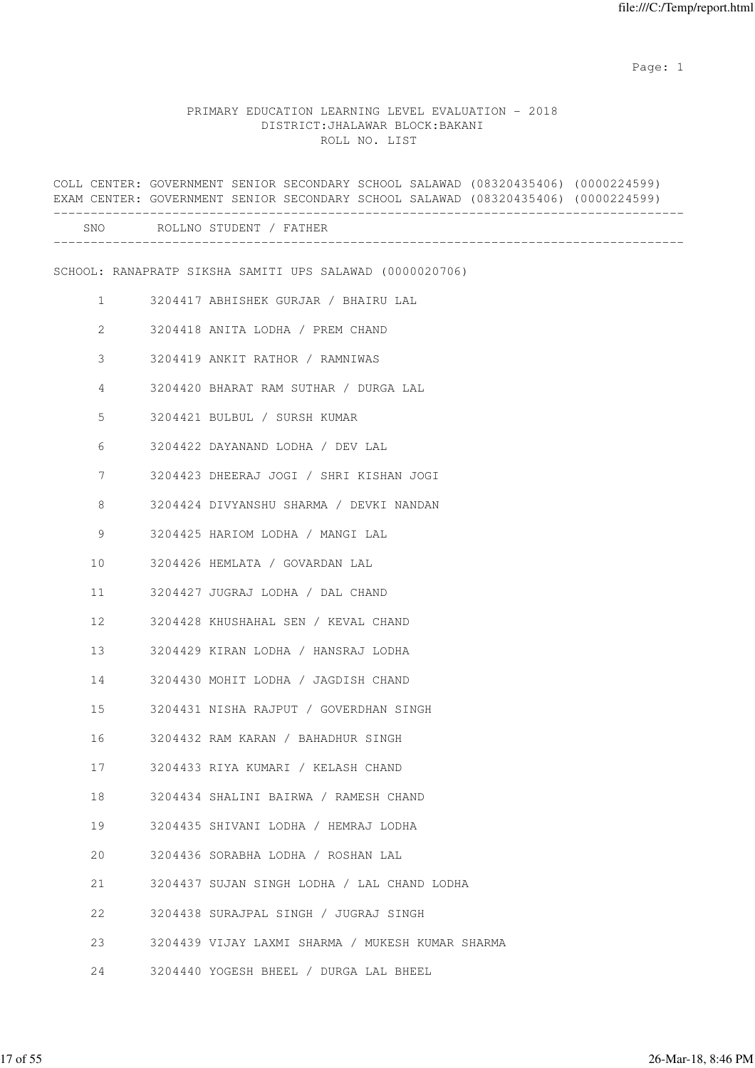|                        | COLL CENTER: GOVERNMENT SENIOR SECONDARY SCHOOL SALAWAD (08320435406) (0000224599)<br>EXAM CENTER: GOVERNMENT SENIOR SECONDARY SCHOOL SALAWAD (08320435406) (0000224599) |
|------------------------|--------------------------------------------------------------------------------------------------------------------------------------------------------------------------|
|                        | SNO ROLLNO STUDENT / FATHER                                                                                                                                              |
|                        | SCHOOL: RANAPRATP SIKSHA SAMITI UPS SALAWAD (0000020706)                                                                                                                 |
| $1 \quad \blacksquare$ | 3204417 ABHISHEK GURJAR / BHAIRU LAL                                                                                                                                     |
| $\overline{2}$         | 3204418 ANITA LODHA / PREM CHAND                                                                                                                                         |
| 3                      | 3204419 ANKIT RATHOR / RAMNIWAS                                                                                                                                          |
| 4                      | 3204420 BHARAT RAM SUTHAR / DURGA LAL                                                                                                                                    |
| 5                      | 3204421 BULBUL / SURSH KUMAR                                                                                                                                             |
| 6                      | 3204422 DAYANAND LODHA / DEV LAL                                                                                                                                         |
| $7\phantom{.0}$        | 3204423 DHEERAJ JOGI / SHRI KISHAN JOGI                                                                                                                                  |
| 8                      | 3204424 DIVYANSHU SHARMA / DEVKI NANDAN                                                                                                                                  |
| 9                      | 3204425 HARIOM LODHA / MANGI LAL                                                                                                                                         |
| 10                     | 3204426 HEMLATA / GOVARDAN LAL                                                                                                                                           |
| 11                     | 3204427 JUGRAJ LODHA / DAL CHAND                                                                                                                                         |
| 12                     | 3204428 KHUSHAHAL SEN / KEVAL CHAND                                                                                                                                      |
| 13                     | 3204429 KIRAN LODHA / HANSRAJ LODHA                                                                                                                                      |
| 14                     | 3204430 MOHIT LODHA / JAGDISH CHAND                                                                                                                                      |
| 15                     | 3204431 NISHA RAJPUT / GOVERDHAN SINGH                                                                                                                                   |
| 16                     | 3204432 RAM KARAN / BAHADHUR SINGH                                                                                                                                       |
| 17                     | 3204433 RIYA KUMARI / KELASH CHAND                                                                                                                                       |
| 18                     | 3204434 SHALINI BAIRWA / RAMESH CHAND                                                                                                                                    |
| 19                     | 3204435 SHIVANI LODHA / HEMRAJ LODHA                                                                                                                                     |
| 20                     | 3204436 SORABHA LODHA / ROSHAN LAL                                                                                                                                       |
| 21                     | 3204437 SUJAN SINGH LODHA / LAL CHAND LODHA                                                                                                                              |
| 22                     | 3204438 SURAJPAL SINGH / JUGRAJ SINGH                                                                                                                                    |
| 23                     | 3204439 VIJAY LAXMI SHARMA / MUKESH KUMAR SHARMA                                                                                                                         |
| 24                     | 3204440 YOGESH BHEEL / DURGA LAL BHEEL                                                                                                                                   |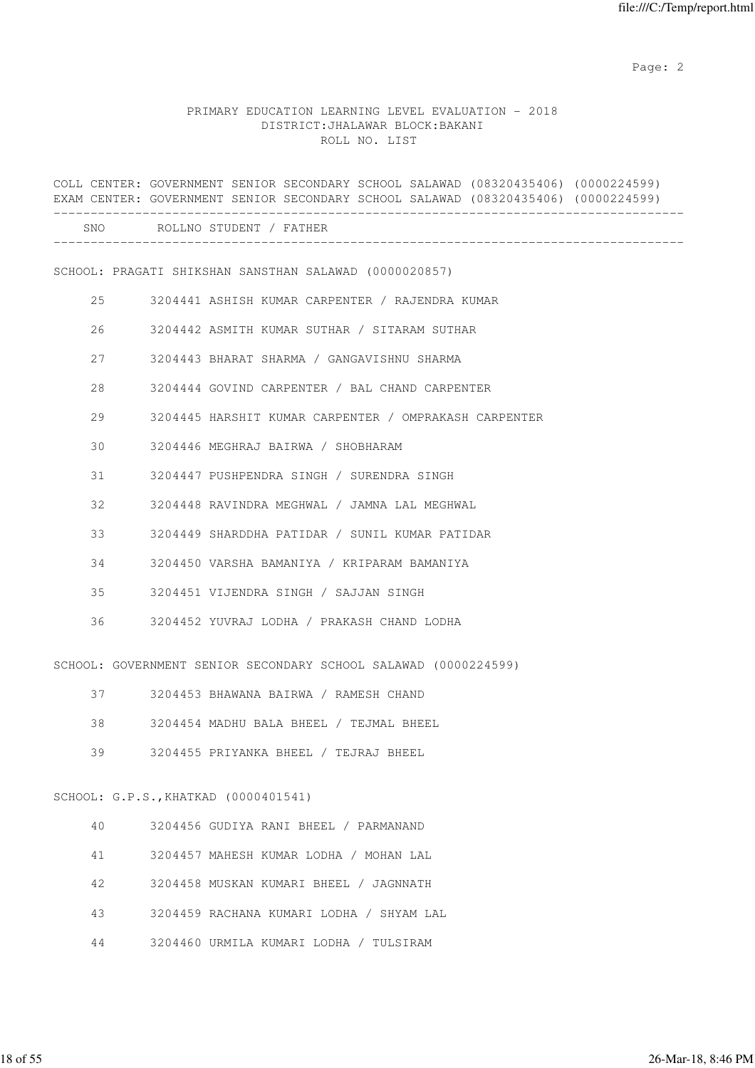#### PRIMARY EDUCATION LEARNING LEVEL EVALUATION - 2018 DISTRICT:JHALAWAR BLOCK:BAKANI ROLL NO. LIST

|    | COLL CENTER: GOVERNMENT SENIOR SECONDARY SCHOOL SALAWAD (08320435406) (0000224599)<br>EXAM CENTER: GOVERNMENT SENIOR SECONDARY SCHOOL SALAWAD (08320435406) (0000224599) |
|----|--------------------------------------------------------------------------------------------------------------------------------------------------------------------------|
|    | SNO ROLLNO STUDENT / FATHER                                                                                                                                              |
|    | SCHOOL: PRAGATI SHIKSHAN SANSTHAN SALAWAD (0000020857)                                                                                                                   |
| 25 | 3204441 ASHISH KUMAR CARPENTER / RAJENDRA KUMAR                                                                                                                          |
| 26 | 3204442 ASMITH KUMAR SUTHAR / SITARAM SUTHAR                                                                                                                             |
| 27 | 3204443 BHARAT SHARMA / GANGAVISHNU SHARMA                                                                                                                               |
| 28 | 3204444 GOVIND CARPENTER / BAL CHAND CARPENTER                                                                                                                           |
| 29 | 3204445 HARSHIT KUMAR CARPENTER / OMPRAKASH CARPENTER                                                                                                                    |
| 30 | 3204446 MEGHRAJ BAIRWA / SHOBHARAM                                                                                                                                       |
| 31 | 3204447 PUSHPENDRA SINGH / SURENDRA SINGH                                                                                                                                |
| 32 | 3204448 RAVINDRA MEGHWAL / JAMNA LAL MEGHWAL                                                                                                                             |
| 33 | 3204449 SHARDDHA PATIDAR / SUNIL KUMAR PATIDAR                                                                                                                           |
| 34 | 3204450 VARSHA BAMANIYA / KRIPARAM BAMANIYA                                                                                                                              |
| 35 | 3204451 VIJENDRA SINGH / SAJJAN SINGH                                                                                                                                    |
| 36 | 3204452 YUVRAJ LODHA / PRAKASH CHAND LODHA                                                                                                                               |
|    | SCHOOL: GOVERNMENT SENIOR SECONDARY SCHOOL SALAWAD (0000224599)                                                                                                          |
| 37 | 3204453 BHAWANA BAIRWA / RAMESH CHAND                                                                                                                                    |
| 38 | 3204454 MADHU BALA BHEEL / TEJMAL BHEEL                                                                                                                                  |
| 39 | 3204455 PRIYANKA BHEEL / TEJRAJ BHEEL                                                                                                                                    |
|    | SCHOOL: G.P.S., KHATKAD (0000401541)                                                                                                                                     |
| 40 | 3204456 GUDIYA RANI BHEEL / PARMANAND                                                                                                                                    |
| 41 | 3204457 MAHESH KUMAR LODHA / MOHAN LAL                                                                                                                                   |
| 42 | 3204458 MUSKAN KUMARI BHEEL / JAGNNATH                                                                                                                                   |
| 43 | 3204459 RACHANA KUMARI LODHA / SHYAM LAL                                                                                                                                 |

44 3204460 URMILA KUMARI LODHA / TULSIRAM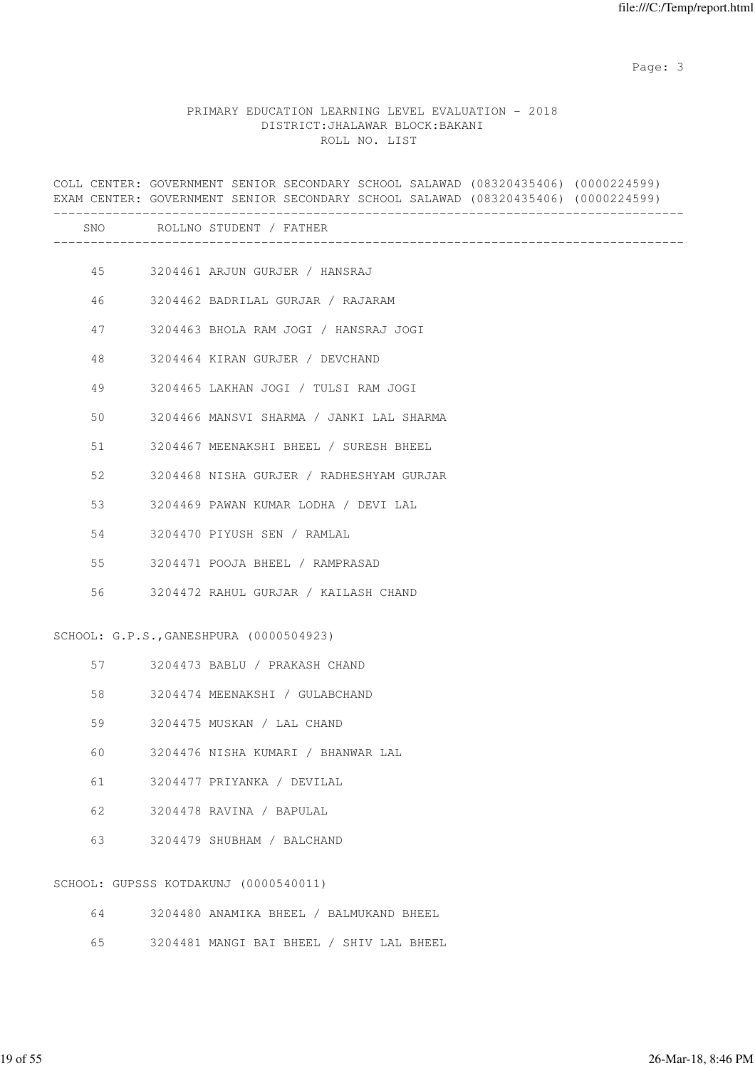|    | COLL CENTER: GOVERNMENT SENIOR SECONDARY SCHOOL SALAWAD (08320435406) (0000224599)<br>EXAM CENTER: GOVERNMENT SENIOR SECONDARY SCHOOL SALAWAD (08320435406) (0000224599) |
|----|--------------------------------------------------------------------------------------------------------------------------------------------------------------------------|
|    | SNO ROLLNO STUDENT / FATHER                                                                                                                                              |
|    | 45 3204461 ARJUN GURJER / HANSRAJ                                                                                                                                        |
| 46 | 3204462 BADRILAL GURJAR / RAJARAM                                                                                                                                        |
| 47 | 3204463 BHOLA RAM JOGI / HANSRAJ JOGI                                                                                                                                    |
| 48 | 3204464 KIRAN GURJER / DEVCHAND                                                                                                                                          |
| 49 | 3204465 LAKHAN JOGI / TULSI RAM JOGI                                                                                                                                     |
| 50 | 3204466 MANSVI SHARMA / JANKI LAL SHARMA                                                                                                                                 |
| 51 | 3204467 MEENAKSHI BHEEL / SURESH BHEEL                                                                                                                                   |
| 52 | 3204468 NISHA GURJER / RADHESHYAM GURJAR                                                                                                                                 |
| 53 | 3204469 PAWAN KUMAR LODHA / DEVI LAL                                                                                                                                     |
|    | 54 3204470 PIYUSH SEN / RAMLAL                                                                                                                                           |
| 55 | 3204471 POOJA BHEEL / RAMPRASAD                                                                                                                                          |
| 56 | 3204472 RAHUL GURJAR / KAILASH CHAND                                                                                                                                     |
|    | SCHOOL: G.P.S., GANESHPURA (0000504923)                                                                                                                                  |
|    | 57 3204473 BABLU / PRAKASH CHAND                                                                                                                                         |
| 58 | 3204474 MEENAKSHI / GULABCHAND                                                                                                                                           |
| 59 | 3204475 MUSKAN / LAL CHAND                                                                                                                                               |
| 60 | 3204476 NISHA KUMARI / BHANWAR LAL                                                                                                                                       |
| 61 | 3204477 PRIYANKA / DEVILAL                                                                                                                                               |
| 62 | 3204478 RAVINA / BAPULAL                                                                                                                                                 |
| 63 | 3204479 SHUBHAM / BALCHAND                                                                                                                                               |
|    | SCHOOL: GUPSSS KOTDAKUNJ (0000540011)                                                                                                                                    |
| 64 | 3204480 ANAMIKA BHEEL / BALMUKAND BHEEL                                                                                                                                  |
| 65 | 3204481 MANGI BAI BHEEL / SHIV LAL BHEEL                                                                                                                                 |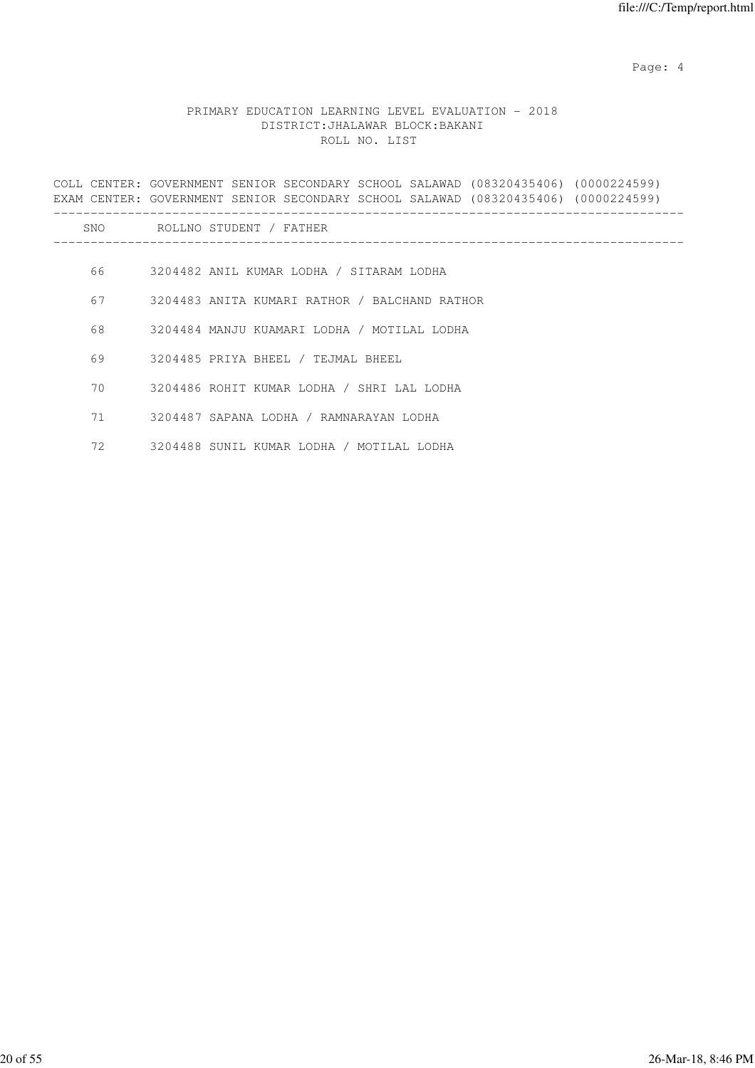Page: 4  $P$ 

|    | COLL CENTER: GOVERNMENT SENIOR SECONDARY SCHOOL SALAWAD (08320435406) (0000224599)<br>EXAM CENTER: GOVERNMENT SENIOR SECONDARY SCHOOL SALAWAD (08320435406) (0000224599) |
|----|--------------------------------------------------------------------------------------------------------------------------------------------------------------------------|
|    | SNO ROLLNO STUDENT / FATHER                                                                                                                                              |
| 66 | 3204482 ANIL KUMAR LODHA / SITARAM LODHA                                                                                                                                 |
| 67 | 3204483 ANITA KUMARI RATHOR / BALCHAND RATHOR                                                                                                                            |
| 68 | 3204484 MANJU KUAMARI LODHA / MOTILAL LODHA                                                                                                                              |
| 69 | 3204485 PRIYA BHEEL / TEJMAL BHEEL                                                                                                                                       |
| 70 | 3204486 ROHIT KUMAR LODHA / SHRI LAL LODHA                                                                                                                               |
| 71 | 3204487 SAPANA LODHA / RAMNARAYAN LODHA                                                                                                                                  |
| 72 | 3204488 SUNIL KUMAR LODHA / MOTILAL LODHA                                                                                                                                |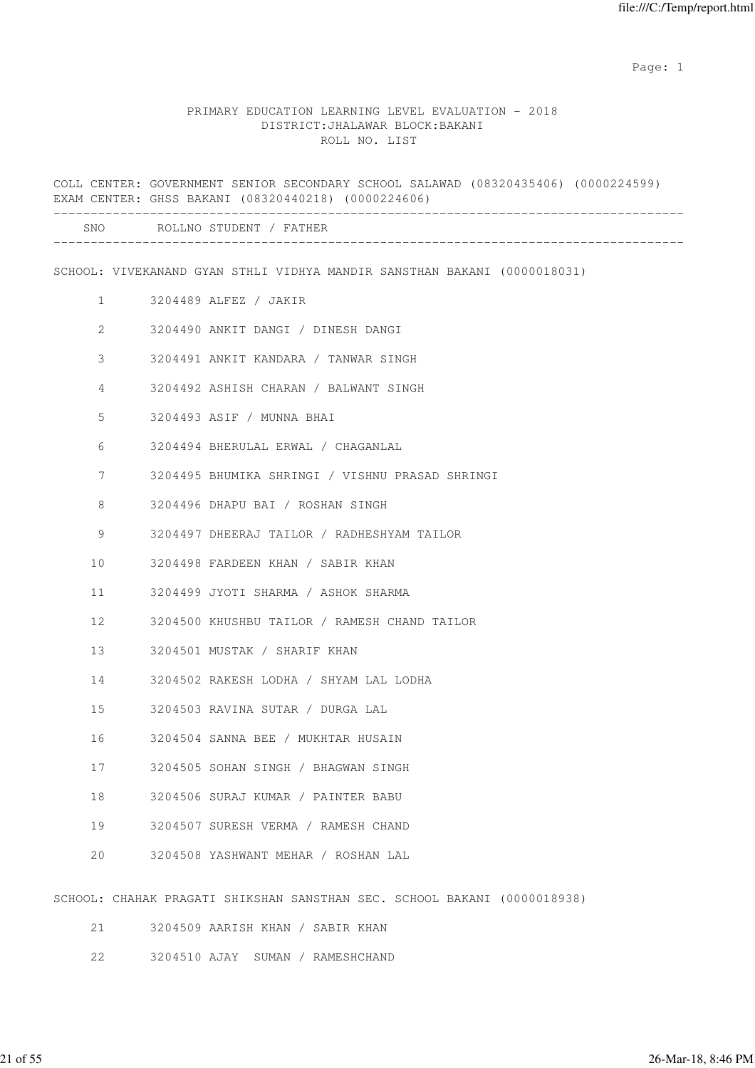#### PRIMARY EDUCATION LEARNING LEVEL EVALUATION - 2018 DISTRICT:JHALAWAR BLOCK:BAKANI ROLL NO. LIST

COLL CENTER: GOVERNMENT SENIOR SECONDARY SCHOOL SALAWAD (08320435406) (0000224599) EXAM CENTER: GHSS BAKANI (08320440218) (0000224606) ------------------------------------------------------------------------------------- SNO ROLLNO STUDENT / FATHER ------------------------------------------------------------------------------------- SCHOOL: VIVEKANAND GYAN STHLI VIDHYA MANDIR SANSTHAN BAKANI (0000018031) 1 3204489 ALFEZ / JAKIR 2 3204490 ANKIT DANGI / DINESH DANGI 3 3204491 ANKIT KANDARA / TANWAR SINGH 4 3204492 ASHISH CHARAN / BALWANT SINGH 5 3204493 ASIF / MUNNA BHAI 6 3204494 BHERULAL ERWAL / CHAGANLAL 7 3204495 BHUMIKA SHRINGI / VISHNU PRASAD SHRINGI 8 3204496 DHAPU BAI / ROSHAN SINGH 9 3204497 DHEERAJ TAILOR / RADHESHYAM TAILOR 10 3204498 FARDEEN KHAN / SABIR KHAN 11 3204499 JYOTI SHARMA / ASHOK SHARMA 12 3204500 KHUSHBU TAILOR / RAMESH CHAND TAILOR 13 3204501 MUSTAK / SHARIF KHAN 14 3204502 RAKESH LODHA / SHYAM LAL LODHA 15 3204503 RAVINA SUTAR / DURGA LAL 16 3204504 SANNA BEE / MUKHTAR HUSAIN 17 3204505 SOHAN SINGH / BHAGWAN SINGH 18 3204506 SURAJ KUMAR / PAINTER BABU 19 3204507 SURESH VERMA / RAMESH CHAND 20 3204508 YASHWANT MEHAR / ROSHAN LAL SCHOOL: CHAHAK PRAGATI SHIKSHAN SANSTHAN SEC. SCHOOL BAKANI (0000018938)

21 3204509 AARISH KHAN / SABIR KHAN

22 3204510 AJAY SUMAN / RAMESHCHAND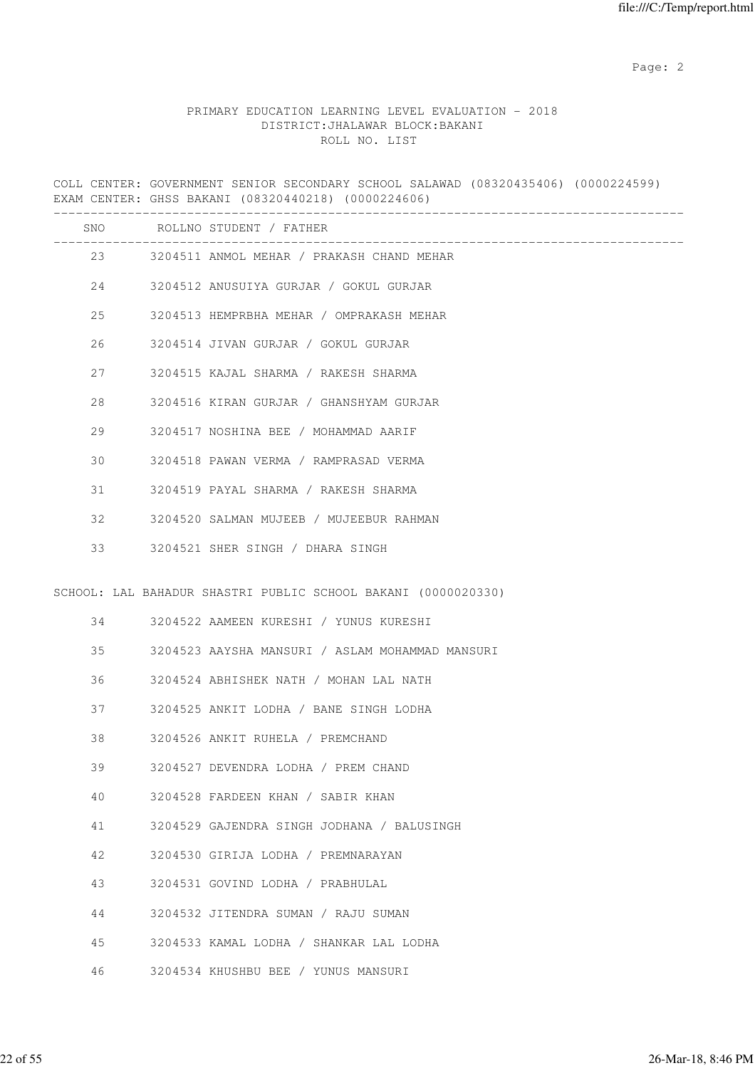# PRIMARY EDUCATION LEARNING LEVEL EVALUATION - 2018 DISTRICT:JHALAWAR BLOCK:BAKANI ROLL NO. LIST

COLL CENTER: GOVERNMENT SENIOR SECONDARY SCHOOL SALAWAD (08320435406) (0000224599) EXAM CENTER: GHSS BAKANI (08320440218) (0000224606) -------------------------------------------------------------------------------------

| SNO |    | ROLLNO STUDENT / FATHER                                       |
|-----|----|---------------------------------------------------------------|
|     | 23 | 3204511 ANMOL MEHAR / PRAKASH CHAND MEHAR                     |
| 24  |    | 3204512 ANUSUIYA GURJAR / GOKUL GURJAR                        |
| 25  |    | 3204513 HEMPRBHA MEHAR / OMPRAKASH MEHAR                      |
| 26  |    | 3204514 JIVAN GURJAR / GOKUL GURJAR                           |
| 27  |    | 3204515 KAJAL SHARMA / RAKESH SHARMA                          |
| 28  |    | 3204516 KIRAN GURJAR / GHANSHYAM GURJAR                       |
| 29  |    | 3204517 NOSHINA BEE / MOHAMMAD AARIF                          |
| 30  |    | 3204518 PAWAN VERMA / RAMPRASAD VERMA                         |
| 31  |    | 3204519 PAYAL SHARMA / RAKESH SHARMA                          |
| 32  |    | 3204520 SALMAN MUJEEB / MUJEEBUR RAHMAN                       |
| 33  |    | 3204521 SHER SINGH / DHARA SINGH                              |
|     |    | SCHOOL: LAL BAHADUR SHASTRI PUBLIC SCHOOL BAKANI (0000020330) |
| 34  |    | 3204522 AAMEEN KURESHI / YUNUS KURESHI                        |
| 35  |    | 3204523 AAYSHA MANSURI / ASLAM MOHAMMAD MANSURI               |
| 36  |    | 3204524 ABHISHEK NATH / MOHAN LAL NATH                        |
| 37  |    | 3204525 ANKIT LODHA / BANE SINGH LODHA                        |
| 38  |    | 3204526 ANKIT RUHELA / PREMCHAND                              |
| 39  |    | 3204527 DEVENDRA LODHA / PREM CHAND                           |
| 40  |    | 3204528 FARDEEN KHAN / SABIR KHAN                             |
| 41  |    | 3204529 GAJENDRA SINGH JODHANA / BALUSINGH                    |
| 42  |    | 3204530 GIRIJA LODHA / PREMNARAYAN                            |
| 43  |    | 3204531 GOVIND LODHA / PRABHULAL                              |
| 44  |    | 3204532 JITENDRA SUMAN / RAJU SUMAN                           |
| 45  |    | 3204533 KAMAL LODHA / SHANKAR LAL LODHA                       |
| 46  |    | 3204534 KHUSHBU BEE / YUNUS MANSURI                           |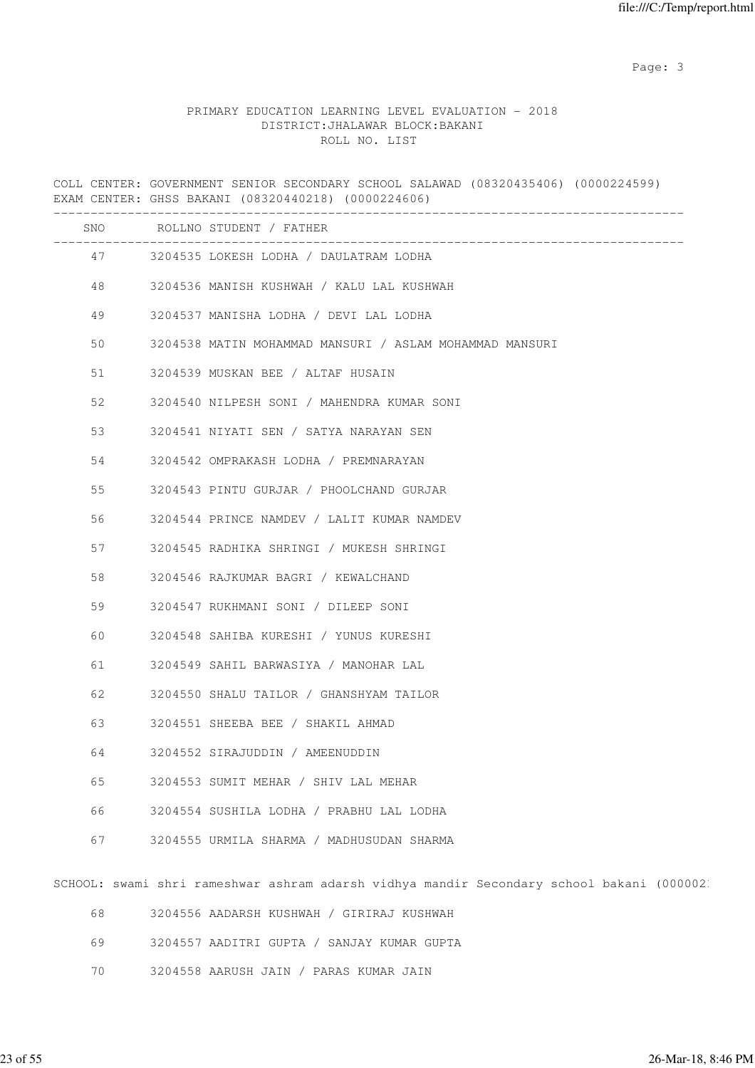## PRIMARY EDUCATION LEARNING LEVEL EVALUATION - 2018 DISTRICT:JHALAWAR BLOCK:BAKANI ROLL NO. LIST

COLL CENTER: GOVERNMENT SENIOR SECONDARY SCHOOL SALAWAD (08320435406) (0000224599) EXAM CENTER: GHSS BAKANI (08320440218) (0000224606) ------------------------------------------------------------------------------------- SNO ROLLNO STUDENT / FATHER ------------------------------------------------------------------------------------- 47 3204535 LOKESH LODHA / DAULATRAM LODHA 48 3204536 MANISH KUSHWAH / KALU LAL KUSHWAH 49 3204537 MANISHA LODHA / DEVI LAL LODHA 50 3204538 MATIN MOHAMMAD MANSURI / ASLAM MOHAMMAD MANSURI 51 3204539 MUSKAN BEE / ALTAF HUSAIN 52 3204540 NILPESH SONI / MAHENDRA KUMAR SONI 53 3204541 NIYATI SEN / SATYA NARAYAN SEN 54 3204542 OMPRAKASH LODHA / PREMNARAYAN 55 3204543 PINTU GURJAR / PHOOLCHAND GURJAR 56 3204544 PRINCE NAMDEV / LALIT KUMAR NAMDEV 57 3204545 RADHIKA SHRINGI / MUKESH SHRINGI 58 3204546 RAJKUMAR BAGRI / KEWALCHAND 59 3204547 RUKHMANI SONI / DILEEP SONI 60 3204548 SAHIBA KURESHI / YUNUS KURESHI 61 3204549 SAHIL BARWASIYA / MANOHAR LAL 62 3204550 SHALU TAILOR / GHANSHYAM TAILOR 63 3204551 SHEEBA BEE / SHAKIL AHMAD 64 3204552 SIRAJUDDIN / AMEENUDDIN 65 3204553 SUMIT MEHAR / SHIV LAL MEHAR 66 3204554 SUSHILA LODHA / PRABHU LAL LODHA 67 3204555 URMILA SHARMA / MADHUSUDAN SHARMA SCHOOL: swami shri rameshwar ashram adarsh vidhya mandir Secondary school bakani (0000021

- 68 3204556 AADARSH KUSHWAH / GIRIRAJ KUSHWAH
- 69 3204557 AADITRI GUPTA / SANJAY KUMAR GUPTA
- 70 3204558 AARUSH JAIN / PARAS KUMAR JAIN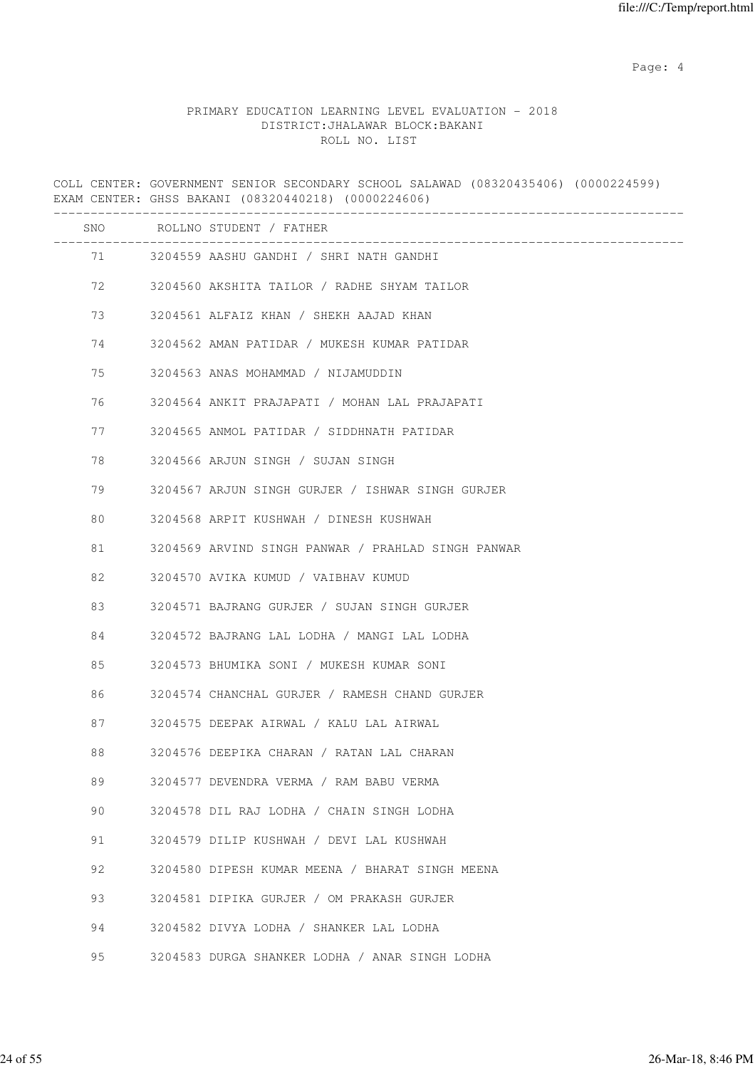Page: 4  $P$ 

# PRIMARY EDUCATION LEARNING LEVEL EVALUATION - 2018 DISTRICT:JHALAWAR BLOCK:BAKANI ROLL NO. LIST

COLL CENTER: GOVERNMENT SENIOR SECONDARY SCHOOL SALAWAD (08320435406) (0000224599) EXAM CENTER: GHSS BAKANI (08320440218) (0000224606) ------------------------------------------------------------------------------------- SNO ROLLNO STUDENT / FATHER ------------------------------------------------------------------------------------- 71 3204559 AASHU GANDHI / SHRI NATH GANDHI 72 3204560 AKSHITA TAILOR / RADHE SHYAM TAILOR 73 3204561 ALFAIZ KHAN / SHEKH AAJAD KHAN 74 3204562 AMAN PATIDAR / MUKESH KUMAR PATIDAR 75 3204563 ANAS MOHAMMAD / NIJAMUDDIN 76 3204564 ANKIT PRAJAPATI / MOHAN LAL PRAJAPATI 77 3204565 ANMOL PATIDAR / SIDDHNATH PATIDAR 78 3204566 ARJUN SINGH / SUJAN SINGH 79 3204567 ARJUN SINGH GURJER / ISHWAR SINGH GURJER 80 3204568 ARPIT KUSHWAH / DINESH KUSHWAH 81 3204569 ARVIND SINGH PANWAR / PRAHLAD SINGH PANWAR 82 3204570 AVIKA KUMUD / VAIBHAV KUMUD 83 3204571 BAJRANG GURJER / SUJAN SINGH GURJER 84 3204572 BAJRANG LAL LODHA / MANGI LAL LODHA 85 3204573 BHUMIKA SONI / MUKESH KUMAR SONI 86 3204574 CHANCHAL GURJER / RAMESH CHAND GURJER 87 3204575 DEEPAK AIRWAL / KALU LAL AIRWAL 88 3204576 DEEPIKA CHARAN / RATAN LAL CHARAN 89 3204577 DEVENDRA VERMA / RAM BABU VERMA 90 3204578 DIL RAJ LODHA / CHAIN SINGH LODHA 91 3204579 DILIP KUSHWAH / DEVI LAL KUSHWAH 92 3204580 DIPESH KUMAR MEENA / BHARAT SINGH MEENA 93 3204581 DIPIKA GURJER / OM PRAKASH GURJER 94 3204582 DIVYA LODHA / SHANKER LAL LODHA 95 3204583 DURGA SHANKER LODHA / ANAR SINGH LODHA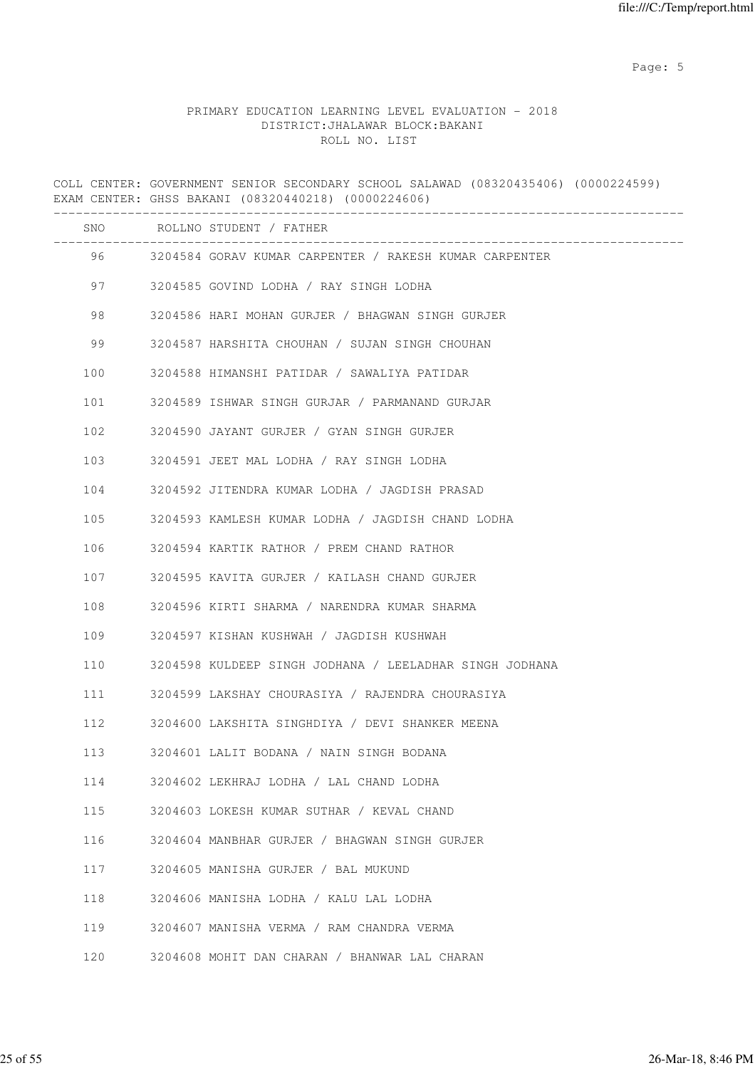Page: 5  $P$  and  $P$  and  $P$  and  $P$  and  $P$  and  $P$  and  $P$  and  $P$  and  $P$  and  $P$  and  $P$  and  $P$  and  $P$  and  $P$  and  $P$  and  $P$  and  $P$  and  $P$  and  $P$  and  $P$  and  $P$  and  $P$  and  $P$  and  $P$  and  $P$  and  $P$  and  $P$  an

|         | COLL CENTER: GOVERNMENT SENIOR SECONDARY SCHOOL SALAWAD (08320435406) (0000224599)<br>EXAM CENTER: GHSS BAKANI (08320440218) (0000224606) |
|---------|-------------------------------------------------------------------------------------------------------------------------------------------|
|         | SNO ROLLNO STUDENT / FATHER                                                                                                               |
| 96 — 10 | 3204584 GORAV KUMAR CARPENTER / RAKESH KUMAR CARPENTER                                                                                    |
| 97 — 10 | 3204585 GOVIND LODHA / RAY SINGH LODHA                                                                                                    |
| 98      | 3204586 HARI MOHAN GURJER / BHAGWAN SINGH GURJER                                                                                          |
| 99      | 3204587 HARSHITA CHOUHAN / SUJAN SINGH CHOUHAN                                                                                            |
| 100     | 3204588 HIMANSHI PATIDAR / SAWALIYA PATIDAR                                                                                               |
| 101     | 3204589 ISHWAR SINGH GURJAR / PARMANAND GURJAR                                                                                            |
| 102     | 3204590 JAYANT GURJER / GYAN SINGH GURJER                                                                                                 |
| 103     | 3204591 JEET MAL LODHA / RAY SINGH LODHA                                                                                                  |
| 104     | 3204592 JITENDRA KUMAR LODHA / JAGDISH PRASAD                                                                                             |
| 105     | 3204593 KAMLESH KUMAR LODHA / JAGDISH CHAND LODHA                                                                                         |
| 106     | 3204594 KARTIK RATHOR / PREM CHAND RATHOR                                                                                                 |
| 107     | 3204595 KAVITA GURJER / KAILASH CHAND GURJER                                                                                              |
| 108     | 3204596 KIRTI SHARMA / NARENDRA KUMAR SHARMA                                                                                              |
| 109     | 3204597 KISHAN KUSHWAH / JAGDISH KUSHWAH                                                                                                  |
| 110     | 3204598 KULDEEP SINGH JODHANA / LEELADHAR SINGH JODHANA                                                                                   |
| 111     | 3204599 LAKSHAY CHOURASIYA / RAJENDRA CHOURASIYA                                                                                          |
| 112     | 3204600 LAKSHITA SINGHDIYA / DEVI SHANKER MEENA                                                                                           |
| 113     | 3204601 LALIT BODANA / NAIN SINGH BODANA                                                                                                  |
| 114     | 3204602 LEKHRAJ LODHA / LAL CHAND LODHA                                                                                                   |
| 115     | 3204603 LOKESH KUMAR SUTHAR / KEVAL CHAND                                                                                                 |
| 116     | 3204604 MANBHAR GURJER / BHAGWAN SINGH GURJER                                                                                             |
| 117     | 3204605 MANISHA GURJER / BAL MUKUND                                                                                                       |
| 118     | 3204606 MANISHA LODHA / KALU LAL LODHA                                                                                                    |
| 119     | 3204607 MANISHA VERMA / RAM CHANDRA VERMA                                                                                                 |
| 120     | 3204608 MOHIT DAN CHARAN / BHANWAR LAL CHARAN                                                                                             |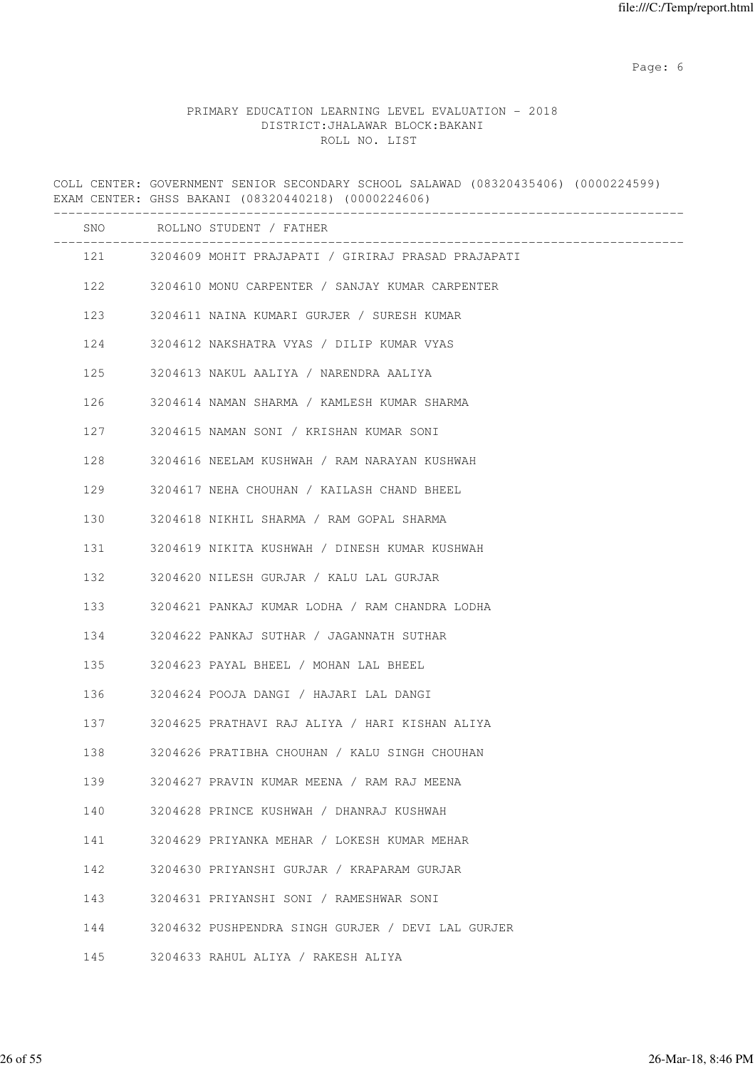Page: 6  $P$  and  $P$  and  $P$  and  $P$  and  $P$  and  $P$  and  $P$  and  $P$  and  $P$  and  $P$  and  $P$  and  $P$  and  $P$  and  $P$  and  $P$  and  $P$  and  $P$  and  $P$  and  $P$  and  $P$  and  $P$  and  $P$  and  $P$  and  $P$  and  $P$  and  $P$  and  $P$  an

|     | COLL CENTER: GOVERNMENT SENIOR SECONDARY SCHOOL SALAWAD (08320435406) (0000224599)<br>EXAM CENTER: GHSS BAKANI (08320440218) (0000224606) |
|-----|-------------------------------------------------------------------------------------------------------------------------------------------|
|     | SNO ROLLNO STUDENT / FATHER                                                                                                               |
|     | 121 3204609 MOHIT PRAJAPATI / GIRIRAJ PRASAD PRAJAPATI                                                                                    |
| 122 | 3204610 MONU CARPENTER / SANJAY KUMAR CARPENTER                                                                                           |
| 123 | 3204611 NAINA KUMARI GURJER / SURESH KUMAR                                                                                                |
| 124 | 3204612 NAKSHATRA VYAS / DILIP KUMAR VYAS                                                                                                 |
| 125 | 3204613 NAKUL AALIYA / NARENDRA AALIYA                                                                                                    |
| 126 | 3204614 NAMAN SHARMA / KAMLESH KUMAR SHARMA                                                                                               |
| 127 | 3204615 NAMAN SONI / KRISHAN KUMAR SONI                                                                                                   |
| 128 | 3204616 NEELAM KUSHWAH / RAM NARAYAN KUSHWAH                                                                                              |
| 129 | 3204617 NEHA CHOUHAN / KAILASH CHAND BHEEL                                                                                                |
| 130 | 3204618 NIKHIL SHARMA / RAM GOPAL SHARMA                                                                                                  |
| 131 | 3204619 NIKITA KUSHWAH / DINESH KUMAR KUSHWAH                                                                                             |
| 132 | 3204620 NILESH GURJAR / KALU LAL GURJAR                                                                                                   |
| 133 | 3204621 PANKAJ KUMAR LODHA / RAM CHANDRA LODHA                                                                                            |
| 134 | 3204622 PANKAJ SUTHAR / JAGANNATH SUTHAR                                                                                                  |
| 135 | 3204623 PAYAL BHEEL / MOHAN LAL BHEEL                                                                                                     |
| 136 | 3204624 POOJA DANGI / HAJARI LAL DANGI                                                                                                    |
| 137 | 3204625 PRATHAVI RAJ ALIYA / HARI KISHAN ALIYA                                                                                            |
| 138 | 3204626 PRATIBHA CHOUHAN / KALU SINGH CHOUHAN                                                                                             |
| 139 | 3204627 PRAVIN KUMAR MEENA / RAM RAJ MEENA                                                                                                |
| 140 | 3204628 PRINCE KUSHWAH / DHANRAJ KUSHWAH                                                                                                  |
| 141 | 3204629 PRIYANKA MEHAR / LOKESH KUMAR MEHAR                                                                                               |
| 142 | 3204630 PRIYANSHI GURJAR / KRAPARAM GURJAR                                                                                                |
| 143 | 3204631 PRIYANSHI SONI / RAMESHWAR SONI                                                                                                   |
| 144 | 3204632 PUSHPENDRA SINGH GURJER / DEVI LAL GURJER                                                                                         |
| 145 | 3204633 RAHUL ALIYA / RAKESH ALIYA                                                                                                        |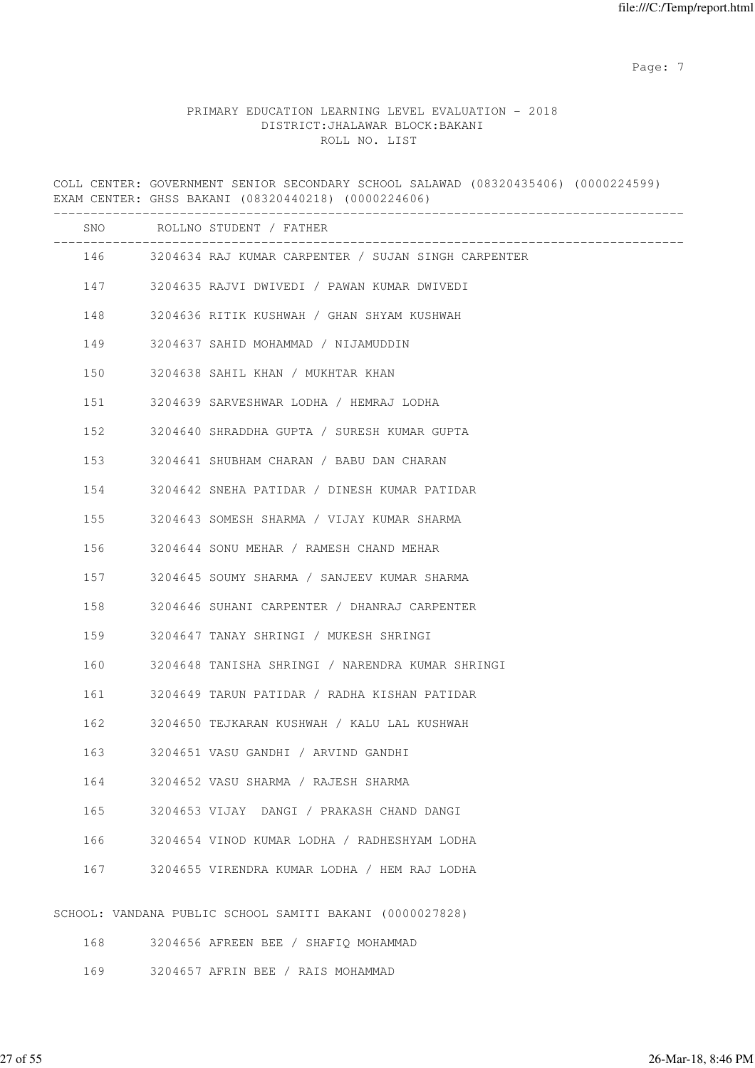Page: 7  $P$  and  $P$  and  $P$  and  $P$  and  $P$  and  $P$  and  $P$  and  $P$  and  $P$  and  $P$  and  $P$  and  $P$  and  $P$  and  $P$  and  $P$  and  $P$  and  $P$  and  $P$  and  $P$  and  $P$  and  $P$  and  $P$  and  $P$  and  $P$  and  $P$  and  $P$  and  $P$  an

|     | COLL CENTER: GOVERNMENT SENIOR SECONDARY SCHOOL SALAWAD (08320435406) (0000224599)<br>EXAM CENTER: GHSS BAKANI (08320440218) (0000224606) |
|-----|-------------------------------------------------------------------------------------------------------------------------------------------|
|     | SNO ROLLNO STUDENT / FATHER                                                                                                               |
|     | 146 3204634 RAJ KUMAR CARPENTER / SUJAN SINGH CARPENTER                                                                                   |
|     | 147 3204635 RAJVI DWIVEDI / PAWAN KUMAR DWIVEDI                                                                                           |
| 148 | 3204636 RITIK KUSHWAH / GHAN SHYAM KUSHWAH                                                                                                |
| 149 | 3204637 SAHID MOHAMMAD / NIJAMUDDIN                                                                                                       |
| 150 | 3204638 SAHIL KHAN / MUKHTAR KHAN                                                                                                         |
| 151 | 3204639 SARVESHWAR LODHA / HEMRAJ LODHA                                                                                                   |
| 152 | 3204640 SHRADDHA GUPTA / SURESH KUMAR GUPTA                                                                                               |
| 153 | 3204641 SHUBHAM CHARAN / BABU DAN CHARAN                                                                                                  |
| 154 | 3204642 SNEHA PATIDAR / DINESH KUMAR PATIDAR                                                                                              |
| 155 | 3204643 SOMESH SHARMA / VIJAY KUMAR SHARMA                                                                                                |
| 156 | 3204644 SONU MEHAR / RAMESH CHAND MEHAR                                                                                                   |
| 157 | 3204645 SOUMY SHARMA / SANJEEV KUMAR SHARMA                                                                                               |
| 158 | 3204646 SUHANI CARPENTER / DHANRAJ CARPENTER                                                                                              |
| 159 | 3204647 TANAY SHRINGI / MUKESH SHRINGI                                                                                                    |
| 160 | 3204648 TANISHA SHRINGI / NARENDRA KUMAR SHRINGI                                                                                          |
| 161 | 3204649 TARUN PATIDAR / RADHA KISHAN PATIDAR                                                                                              |
| 162 | 3204650 TEJKARAN KUSHWAH / KALU LAL KUSHWAH                                                                                               |
| 163 | 3204651 VASU GANDHI / ARVIND GANDHI                                                                                                       |
| 164 | 3204652 VASU SHARMA / RAJESH SHARMA                                                                                                       |
| 165 | 3204653 VIJAY DANGI / PRAKASH CHAND DANGI                                                                                                 |
| 166 | 3204654 VINOD KUMAR LODHA / RADHESHYAM LODHA                                                                                              |
| 167 | 3204655 VIRENDRA KUMAR LODHA / HEM RAJ LODHA                                                                                              |
|     | SCHOOL: VANDANA PUBLIC SCHOOL SAMITI BAKANI (0000027828)                                                                                  |
| 168 | 3204656 AFREEN BEE / SHAFIQ MOHAMMAD                                                                                                      |

- 
- 169 3204657 AFRIN BEE / RAIS MOHAMMAD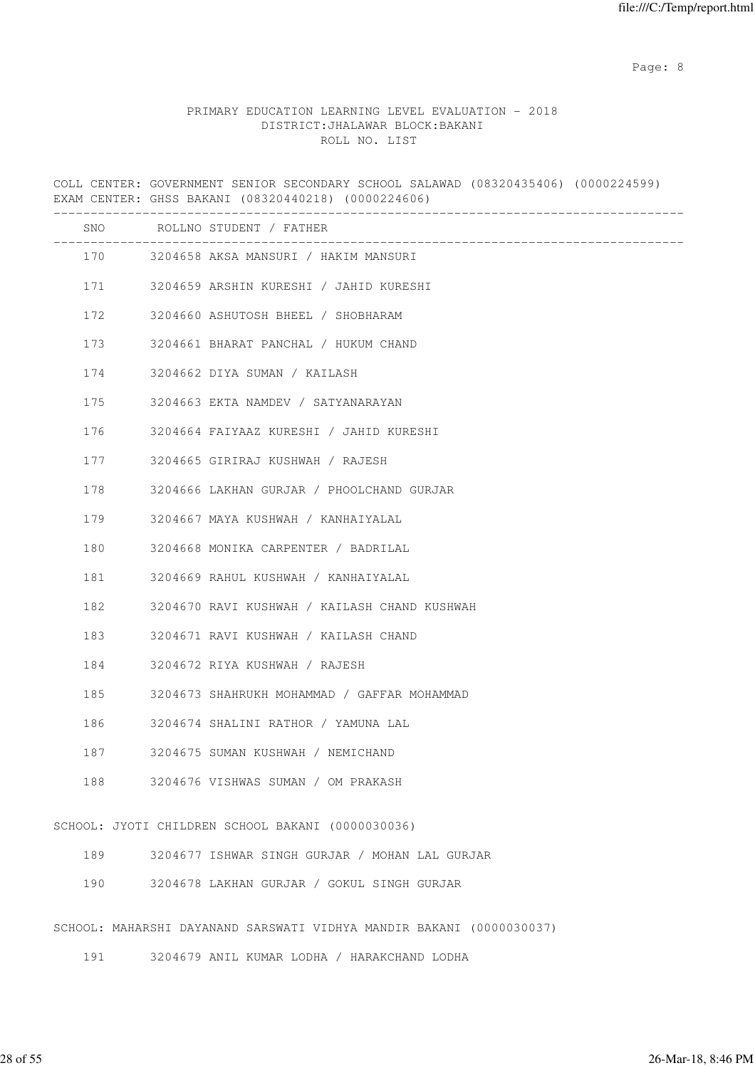Page: 8 and 20 and 20 and 20 and 20 and 20 and 20 and 20 and 20 and 20 and 20 and 20 and 20 and 20 and 20 and

#### PRIMARY EDUCATION LEARNING LEVEL EVALUATION - 2018 DISTRICT:JHALAWAR BLOCK:BAKANI ROLL NO. LIST

COLL CENTER: GOVERNMENT SENIOR SECONDARY SCHOOL SALAWAD (08320435406) (0000224599) EXAM CENTER: GHSS BAKANI (08320440218) (0000224606) ------------------------------------------------------------------------------------- SNO ROLLNO STUDENT / FATHER ------------------------------------------------------------------------------------- 170 3204658 AKSA MANSURI / HAKIM MANSURI 171 3204659 ARSHIN KURESHI / JAHID KURESHI 172 3204660 ASHUTOSH BHEEL / SHOBHARAM 173 3204661 BHARAT PANCHAL / HUKUM CHAND 174 3204662 DIYA SUMAN / KAILASH 175 3204663 EKTA NAMDEV / SATYANARAYAN 176 3204664 FAIYAAZ KURESHI / JAHID KURESHI 177 3204665 GIRIRAJ KUSHWAH / RAJESH 178 3204666 LAKHAN GURJAR / PHOOLCHAND GURJAR 179 3204667 MAYA KUSHWAH / KANHAIYALAL 180 3204668 MONIKA CARPENTER / BADRILAL 181 3204669 RAHUL KUSHWAH / KANHAIYALAL 182 3204670 RAVI KUSHWAH / KAILASH CHAND KUSHWAH 183 3204671 RAVI KUSHWAH / KAILASH CHAND 184 3204672 RIYA KUSHWAH / RAJESH 185 3204673 SHAHRUKH MOHAMMAD / GAFFAR MOHAMMAD 186 3204674 SHALINI RATHOR / YAMUNA LAL 187 3204675 SUMAN KUSHWAH / NEMICHAND 188 3204676 VISHWAS SUMAN / OM PRAKASH SCHOOL: JYOTI CHILDREN SCHOOL BAKANI (0000030036) 189 3204677 ISHWAR SINGH GURJAR / MOHAN LAL GURJAR 190 3204678 LAKHAN GURJAR / GOKUL SINGH GURJAR

SCHOOL: MAHARSHI DAYANAND SARSWATI VIDHYA MANDIR BAKANI (0000030037)

191 3204679 ANIL KUMAR LODHA / HARAKCHAND LODHA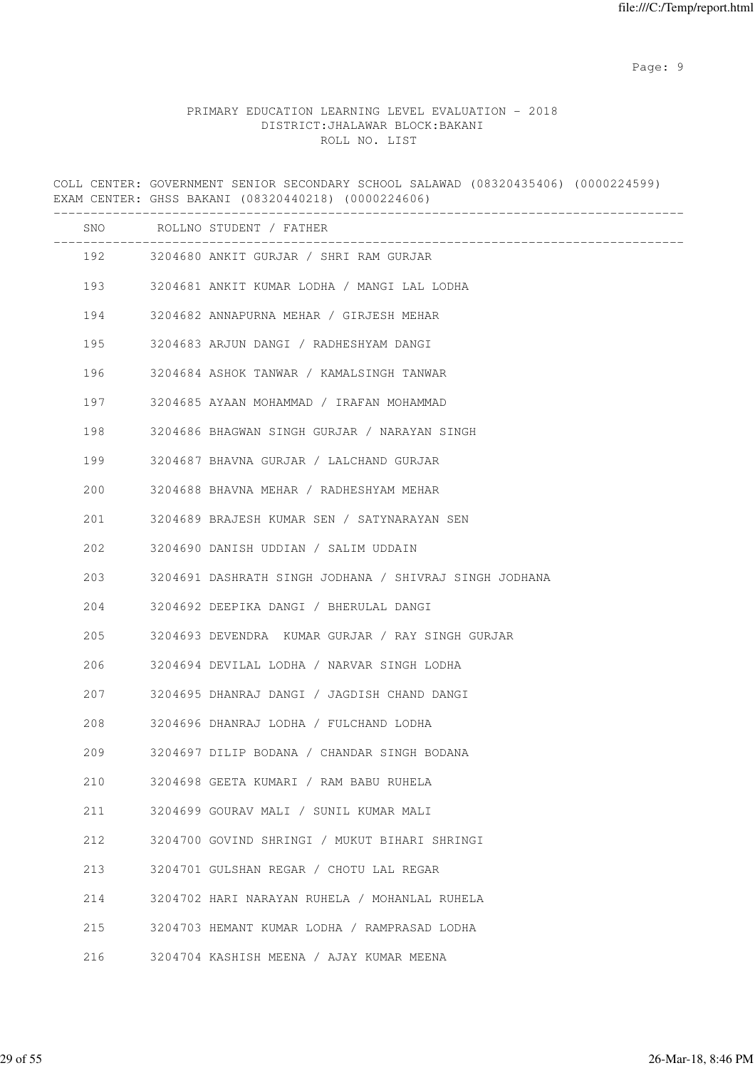en de la provincia de la provincia de la provincia de la provincia de la provincia de la provincia de la provi

# PRIMARY EDUCATION LEARNING LEVEL EVALUATION - 2018 DISTRICT:JHALAWAR BLOCK:BAKANI ROLL NO. LIST

COLL CENTER: GOVERNMENT SENIOR SECONDARY SCHOOL SALAWAD (08320435406) (0000224599) EXAM CENTER: GHSS BAKANI (08320440218) (0000224606) ------------------------------------------------------------------------------------- SNO ROLLNO STUDENT / FATHER ------------------------------------------------------------------------------------- 192 3204680 ANKIT GURJAR / SHRI RAM GURJAR 193 3204681 ANKIT KUMAR LODHA / MANGI LAL LODHA 194 3204682 ANNAPURNA MEHAR / GIRJESH MEHAR 195 3204683 ARJUN DANGI / RADHESHYAM DANGI 196 3204684 ASHOK TANWAR / KAMALSINGH TANWAR 197 3204685 AYAAN MOHAMMAD / IRAFAN MOHAMMAD 198 3204686 BHAGWAN SINGH GURJAR / NARAYAN SINGH 199 3204687 BHAVNA GURJAR / LALCHAND GURJAR 200 3204688 BHAVNA MEHAR / RADHESHYAM MEHAR 201 3204689 BRAJESH KUMAR SEN / SATYNARAYAN SEN 202 3204690 DANISH UDDIAN / SALIM UDDAIN 203 3204691 DASHRATH SINGH JODHANA / SHIVRAJ SINGH JODHANA 204 3204692 DEEPIKA DANGI / BHERULAL DANGI 205 3204693 DEVENDRA KUMAR GURJAR / RAY SINGH GURJAR 206 3204694 DEVILAL LODHA / NARVAR SINGH LODHA 207 3204695 DHANRAJ DANGI / JAGDISH CHAND DANGI 208 3204696 DHANRAJ LODHA / FULCHAND LODHA 209 3204697 DILIP BODANA / CHANDAR SINGH BODANA 210 3204698 GEETA KUMARI / RAM BABU RUHELA 211 3204699 GOURAV MALI / SUNIL KUMAR MALI 212 3204700 GOVIND SHRINGI / MUKUT BIHARI SHRINGI 213 3204701 GULSHAN REGAR / CHOTU LAL REGAR 214 3204702 HARI NARAYAN RUHELA / MOHANLAL RUHELA 215 3204703 HEMANT KUMAR LODHA / RAMPRASAD LODHA 216 3204704 KASHISH MEENA / AJAY KUMAR MEENA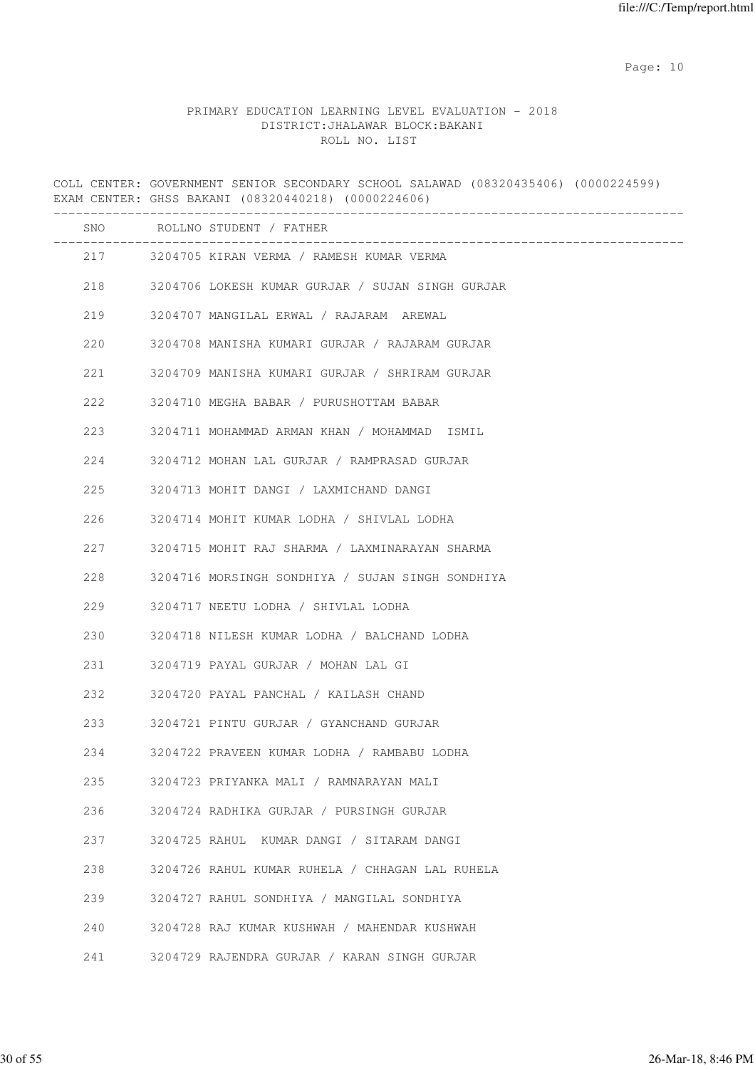# PRIMARY EDUCATION LEARNING LEVEL EVALUATION - 2018 DISTRICT:JHALAWAR BLOCK:BAKANI ROLL NO. LIST

COLL CENTER: GOVERNMENT SENIOR SECONDARY SCHOOL SALAWAD (08320435406) (0000224599) EXAM CENTER: GHSS BAKANI (08320440218) (0000224606) ------------------------------------------------------------------------------------- SNO ROLLNO STUDENT / FATHER ------------------------------------------------------------------------------------- 217 3204705 KIRAN VERMA / RAMESH KUMAR VERMA 218 3204706 LOKESH KUMAR GURJAR / SUJAN SINGH GURJAR 219 3204707 MANGILAL ERWAL / RAJARAM AREWAL 220 3204708 MANISHA KUMARI GURJAR / RAJARAM GURJAR 221 3204709 MANISHA KUMARI GURJAR / SHRIRAM GURJAR 222 3204710 MEGHA BABAR / PURUSHOTTAM BABAR 223 3204711 MOHAMMAD ARMAN KHAN / MOHAMMAD ISMIL 224 3204712 MOHAN LAL GURJAR / RAMPRASAD GURJAR 225 3204713 MOHIT DANGI / LAXMICHAND DANGI 226 3204714 MOHIT KUMAR LODHA / SHIVLAL LODHA 227 3204715 MOHIT RAJ SHARMA / LAXMINARAYAN SHARMA 228 3204716 MORSINGH SONDHIYA / SUJAN SINGH SONDHIYA 229 3204717 NEETU LODHA / SHIVLAL LODHA 230 3204718 NILESH KUMAR LODHA / BALCHAND LODHA 231 3204719 PAYAL GURJAR / MOHAN LAL GI 232 3204720 PAYAL PANCHAL / KAILASH CHAND 233 3204721 PINTU GURJAR / GYANCHAND GURJAR 234 3204722 PRAVEEN KUMAR LODHA / RAMBABU LODHA 235 3204723 PRIYANKA MALI / RAMNARAYAN MALI 236 3204724 RADHIKA GURJAR / PURSINGH GURJAR 237 3204725 RAHUL KUMAR DANGI / SITARAM DANGI 238 3204726 RAHUL KUMAR RUHELA / CHHAGAN LAL RUHELA 239 3204727 RAHUL SONDHIYA / MANGILAL SONDHIYA 240 3204728 RAJ KUMAR KUSHWAH / MAHENDAR KUSHWAH 241 3204729 RAJENDRA GURJAR / KARAN SINGH GURJAR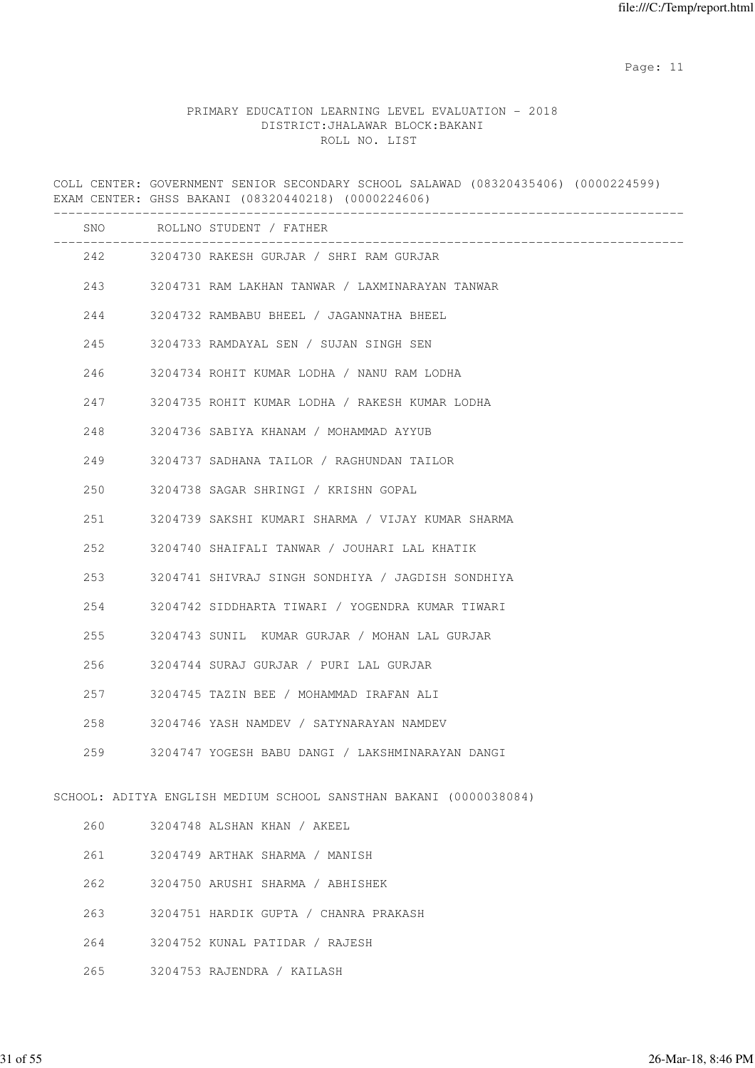# PRIMARY EDUCATION LEARNING LEVEL EVALUATION - 2018 DISTRICT:JHALAWAR BLOCK:BAKANI ROLL NO. LIST

COLL CENTER: GOVERNMENT SENIOR SECONDARY SCHOOL SALAWAD (08320435406) (0000224599) EXAM CENTER: GHSS BAKANI (08320440218) (0000224606) ------------------------------------------------------------------------------------- SNO ROLLNO STUDENT / FATHER ------------------------------------------------------------------------------------- 242 3204730 RAKESH GURJAR / SHRI RAM GURJAR 243 3204731 RAM LAKHAN TANWAR / LAXMINARAYAN TANWAR 244 3204732 RAMBABU BHEEL / JAGANNATHA BHEEL 245 3204733 RAMDAYAL SEN / SUJAN SINGH SEN 246 3204734 ROHIT KUMAR LODHA / NANU RAM LODHA 247 3204735 ROHIT KUMAR LODHA / RAKESH KUMAR LODHA 248 3204736 SABIYA KHANAM / MOHAMMAD AYYUB 249 3204737 SADHANA TAILOR / RAGHUNDAN TAILOR 250 3204738 SAGAR SHRINGI / KRISHN GOPAL 251 3204739 SAKSHI KUMARI SHARMA / VIJAY KUMAR SHARMA 252 3204740 SHAIFALI TANWAR / JOUHARI LAL KHATIK 253 3204741 SHIVRAJ SINGH SONDHIYA / JAGDISH SONDHIYA 254 3204742 SIDDHARTA TIWARI / YOGENDRA KUMAR TIWARI 255 3204743 SUNIL KUMAR GURJAR / MOHAN LAL GURJAR 256 3204744 SURAJ GURJAR / PURI LAL GURJAR 257 3204745 TAZIN BEE / MOHAMMAD IRAFAN ALI 258 3204746 YASH NAMDEV / SATYNARAYAN NAMDEV 259 3204747 YOGESH BABU DANGI / LAKSHMINARAYAN DANGI SCHOOL: ADITYA ENGLISH MEDIUM SCHOOL SANSTHAN BAKANI (0000038084) 260 3204748 ALSHAN KHAN / AKEEL 261 3204749 ARTHAK SHARMA / MANISH 262 3204750 ARUSHI SHARMA / ABHISHEK 263 3204751 HARDIK GUPTA / CHANRA PRAKASH 264 3204752 KUNAL PATIDAR / RAJESH 265 3204753 RAJENDRA / KAILASH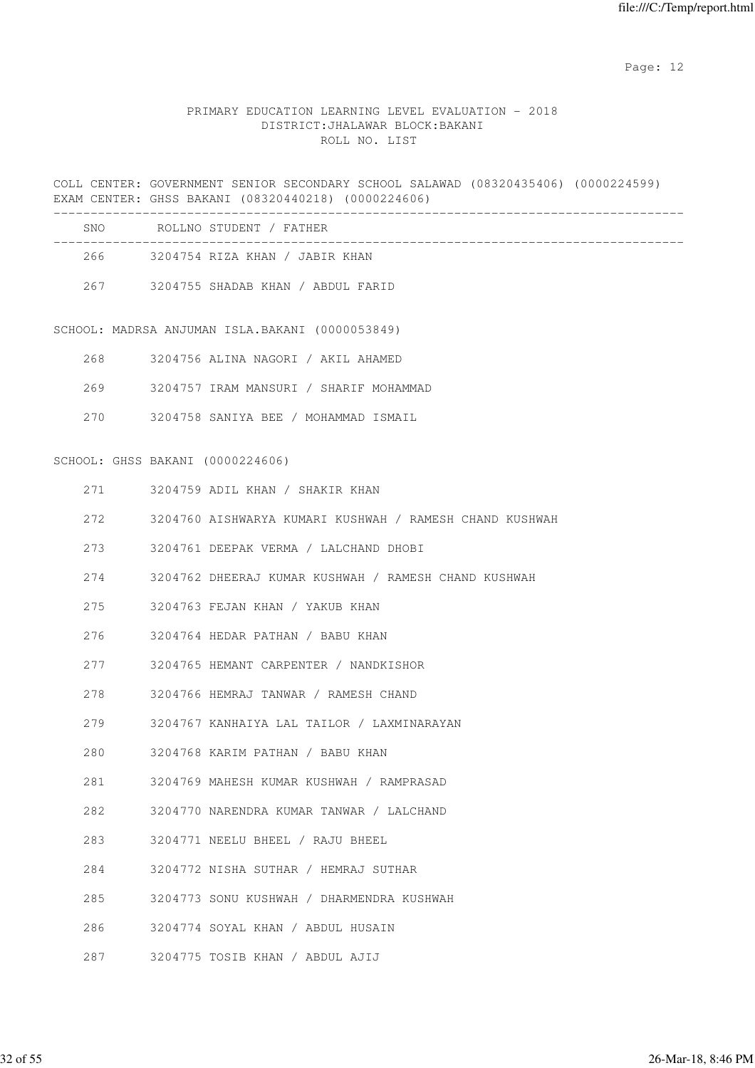# PRIMARY EDUCATION LEARNING LEVEL EVALUATION - 2018 DISTRICT:JHALAWAR BLOCK:BAKANI ROLL NO. LIST

COLL CENTER: GOVERNMENT SENIOR SECONDARY SCHOOL SALAWAD (08320435406) (0000224599) EXAM CENTER: GHSS BAKANI (08320440218) (0000224606)

| SNO.  | ROLLNO STUDENT / FATHER           |
|-------|-----------------------------------|
| 266 - | 3204754 RIZA KHAN / JABIR KHAN    |
| 267   | 3204755 SHADAB KHAN / ABDUL FARID |

SCHOOL: MADRSA ANJUMAN ISLA.BAKANI (0000053849)

|  | 3204756 ALINA NAGORI |  |  |  |  | / AKIL AHAMED |
|--|----------------------|--|--|--|--|---------------|
|--|----------------------|--|--|--|--|---------------|

269 3204757 IRAM MANSURI / SHARIF MOHAMMAD

270 3204758 SANIYA BEE / MOHAMMAD ISMAIL

SCHOOL: GHSS BAKANI (0000224606)

|     | 271 3204759 ADIL KHAN / SHAKIR KHAN                      |
|-----|----------------------------------------------------------|
| 272 | 3204760 AISHWARYA KUMARI KUSHWAH / RAMESH CHAND KUSHWAH  |
| 273 | 3204761 DEEPAK VERMA / LALCHAND DHOBI                    |
|     | 274 3204762 DHEERAJ KUMAR KUSHWAH / RAMESH CHAND KUSHWAH |
| 275 | 3204763 FEJAN KHAN / YAKUB KHAN                          |
| 276 | 3204764 HEDAR PATHAN / BABU KHAN                         |
| 277 | 3204765 HEMANT CARPENTER / NANDKISHOR                    |
|     | 278 3204766 HEMRAJ TANWAR / RAMESH CHAND                 |
|     | 279 3204767 KANHAIYA LAL TAILOR / LAXMINARAYAN           |
| 280 | 3204768 KARIM PATHAN / BABU KHAN                         |
|     | 281 3204769 MAHESH KUMAR KUSHWAH / RAMPRASAD             |
|     | 282 3204770 NARENDRA KUMAR TANWAR / LALCHAND             |
|     | 283 3204771 NEELU BHEEL / RAJU BHEEL                     |
| 284 | 3204772 NISHA SUTHAR / HEMRAJ SUTHAR                     |
| 285 | 3204773 SONU KUSHWAH / DHARMENDRA KUSHWAH                |
|     | 286 3204774 SOYAL KHAN / ABDUL HUSAIN                    |
|     | 287 3204775 TOSIB KHAN / ABDUL AJIJ                      |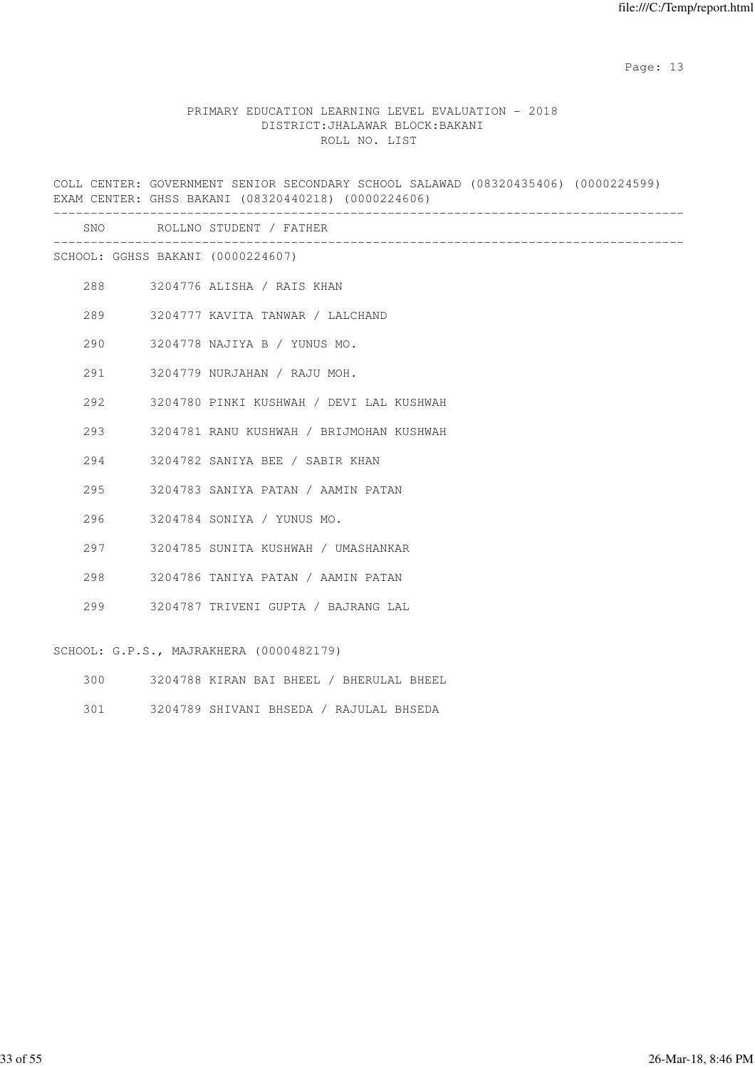## PRIMARY EDUCATION LEARNING LEVEL EVALUATION - 2018 DISTRICT:JHALAWAR BLOCK:BAKANI ROLL NO. LIST

COLL CENTER: GOVERNMENT SENIOR SECONDARY SCHOOL SALAWAD (08320435406) (0000224599) EXAM CENTER: GHSS BAKANI (08320440218) (0000224606) ------------------------------------------------------------------------------------- SNO ROLLNO STUDENT / FATHER ------------------------------------------------------------------------------------- SCHOOL: GGHSS BAKANI (0000224607) 288 3204776 ALISHA / RAIS KHAN 289 3204777 KAVITA TANWAR / LALCHAND 290 3204778 NAJIYA B / YUNUS MO. 291 3204779 NURJAHAN / RAJU MOH. 292 3204780 PINKI KUSHWAH / DEVI LAL KUSHWAH 293 3204781 RANU KUSHWAH / BRIJMOHAN KUSHWAH 294 3204782 SANIYA BEE / SABIR KHAN 295 3204783 SANIYA PATAN / AAMIN PATAN 296 3204784 SONIYA / YUNUS MO. 297 3204785 SUNITA KUSHWAH / UMASHANKAR 298 3204786 TANIYA PATAN / AAMIN PATAN 299 3204787 TRIVENI GUPTA / BAJRANG LAL

SCHOOL: G.P.S., MAJRAKHERA (0000482179)

- 300 3204788 KIRAN BAI BHEEL / BHERULAL BHEEL
- 301 3204789 SHIVANI BHSEDA / RAJULAL BHSEDA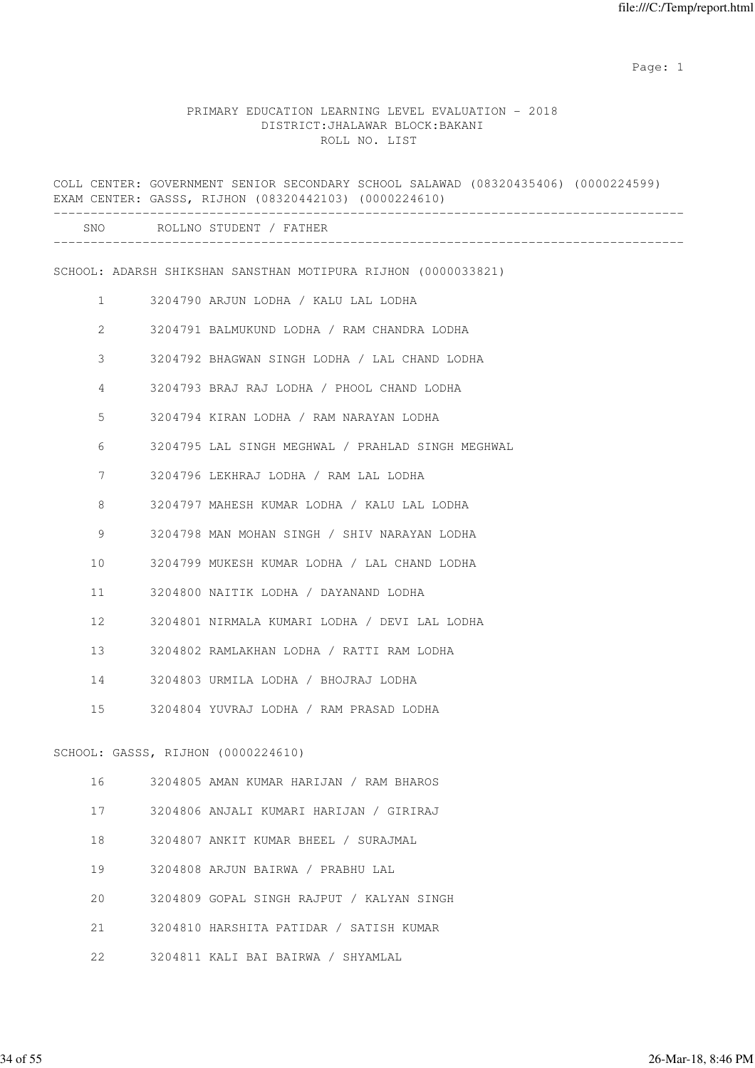|              | COLL CENTER: GOVERNMENT SENIOR SECONDARY SCHOOL SALAWAD (08320435406) (0000224599)<br>EXAM CENTER: GASSS, RIJHON (08320442103) (0000224610) |
|--------------|---------------------------------------------------------------------------------------------------------------------------------------------|
|              | SNO ROLLNO STUDENT / FATHER                                                                                                                 |
|              | SCHOOL: ADARSH SHIKSHAN SANSTHAN MOTIPURA RIJHON (0000033821)                                                                               |
| $\mathbf{1}$ | 3204790 ARJUN LODHA / KALU LAL LODHA                                                                                                        |
| 2            | 3204791 BALMUKUND LODHA / RAM CHANDRA LODHA                                                                                                 |
| 3            | 3204792 BHAGWAN SINGH LODHA / LAL CHAND LODHA                                                                                               |
| 4            | 3204793 BRAJ RAJ LODHA / PHOOL CHAND LODHA                                                                                                  |
| 5            | 3204794 KIRAN LODHA / RAM NARAYAN LODHA                                                                                                     |
| 6            | 3204795 LAL SINGH MEGHWAL / PRAHLAD SINGH MEGHWAL                                                                                           |
| 7            | 3204796 LEKHRAJ LODHA / RAM LAL LODHA                                                                                                       |
| 8            | 3204797 MAHESH KUMAR LODHA / KALU LAL LODHA                                                                                                 |
| 9            | 3204798 MAN MOHAN SINGH / SHIV NARAYAN LODHA                                                                                                |
| 10           | 3204799 MUKESH KUMAR LODHA / LAL CHAND LODHA                                                                                                |
| 11           | 3204800 NAITIK LODHA / DAYANAND LODHA                                                                                                       |
| 12           | 3204801 NIRMALA KUMARI LODHA / DEVI LAL LODHA                                                                                               |
| 13           | 3204802 RAMLAKHAN LODHA / RATTI RAM LODHA                                                                                                   |
| 14           | 3204803 URMILA LODHA / BHOJRAJ LODHA                                                                                                        |
| 15           | 3204804 YUVRAJ LODHA / RAM PRASAD LODHA                                                                                                     |
|              | SCHOOL: GASSS, RIJHON (0000224610)                                                                                                          |
| 16           | 3204805 AMAN KUMAR HARIJAN / RAM BHAROS                                                                                                     |
| 17           | 3204806 ANJALI KUMARI HARIJAN / GIRIRAJ                                                                                                     |
| 18           | 3204807 ANKIT KUMAR BHEEL / SURAJMAL                                                                                                        |
| 19           | 3204808 ARJUN BAIRWA / PRABHU LAL                                                                                                           |
| 20           | 3204809 GOPAL SINGH RAJPUT / KALYAN SINGH                                                                                                   |
| 21           | 3204810 HARSHITA PATIDAR / SATISH KUMAR                                                                                                     |
| 22           | 3204811 KALI BAI BAIRWA / SHYAMLAL                                                                                                          |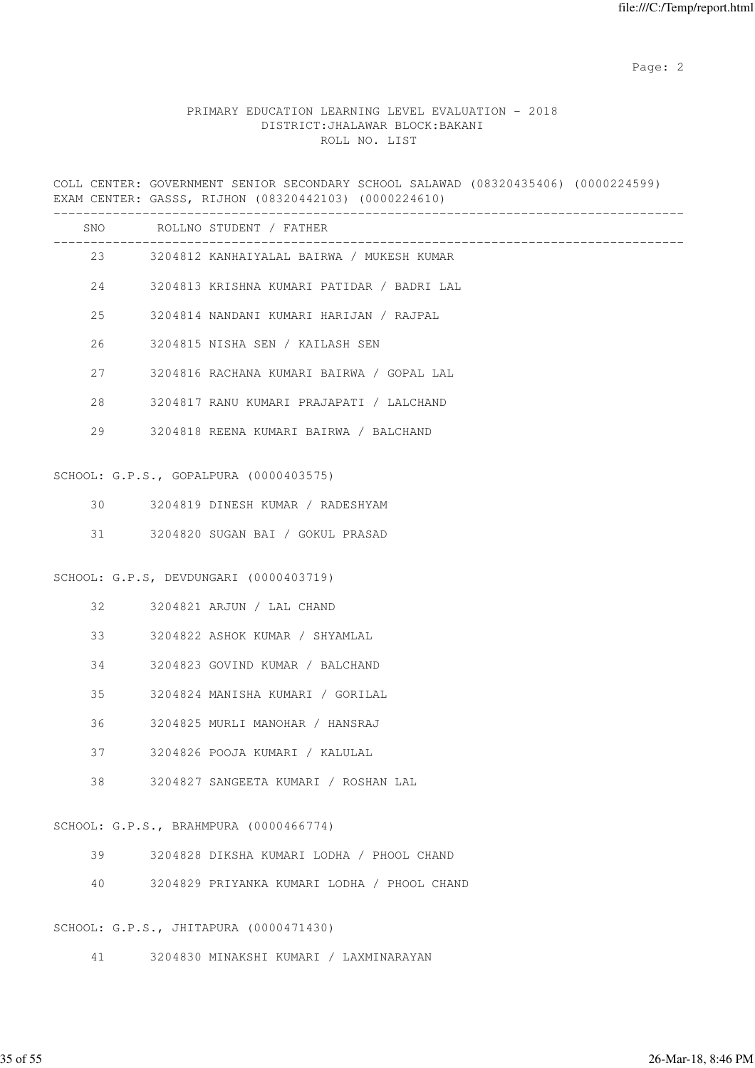### PRIMARY EDUCATION LEARNING LEVEL EVALUATION - 2018 DISTRICT:JHALAWAR BLOCK:BAKANI ROLL NO. LIST

COLL CENTER: GOVERNMENT SENIOR SECONDARY SCHOOL SALAWAD (08320435406) (0000224599) EXAM CENTER: GASSS, RIJHON (08320442103) (0000224610) -------------------------------------------------------------------------------------

| SNO |         | ROLLNO STUDENT / FATHER                      |
|-----|---------|----------------------------------------------|
|     |         | 23 3204812 KANHAIYALAL BAIRWA / MUKESH KUMAR |
|     | 24      | 3204813 KRISHNA KUMARI PATIDAR / BADRI LAL   |
| 25  |         | 3204814 NANDANI KUMARI HARIJAN / RAJPAL      |
|     | 26 — 26 | 3204815 NISHA SEN / KAILASH SEN              |
|     | 27      | 3204816 RACHANA KUMARI BAIRWA / GOPAL LAL    |
|     | 28      | 3204817 RANU KUMARI PRAJAPATI / LALCHAND     |
|     | 29      | 3204818 REENA KUMARI BAIRWA / BALCHAND       |
|     |         |                                              |
|     |         | SCHOOL: G.P.S., GOPALPURA (0000403575)       |
| 30  |         | 3204819 DINESH KUMAR / RADESHYAM             |

31 3204820 SUGAN BAI / GOKUL PRASAD

SCHOOL: G.P.S, DEVDUNGARI (0000403719)

- 32 3204821 ARJUN / LAL CHAND
- 33 3204822 ASHOK KUMAR / SHYAMLAL
- 34 3204823 GOVIND KUMAR / BALCHAND
- 35 3204824 MANISHA KUMARI / GORILAL
- 36 3204825 MURLI MANOHAR / HANSRAJ
- 37 3204826 POOJA KUMARI / KALULAL
- 38 3204827 SANGEETA KUMARI / ROSHAN LAL

SCHOOL: G.P.S., BRAHMPURA (0000466774)

- 39 3204828 DIKSHA KUMARI LODHA / PHOOL CHAND
- 40 3204829 PRIYANKA KUMARI LODHA / PHOOL CHAND

SCHOOL: G.P.S., JHITAPURA (0000471430)

41 3204830 MINAKSHI KUMARI / LAXMINARAYAN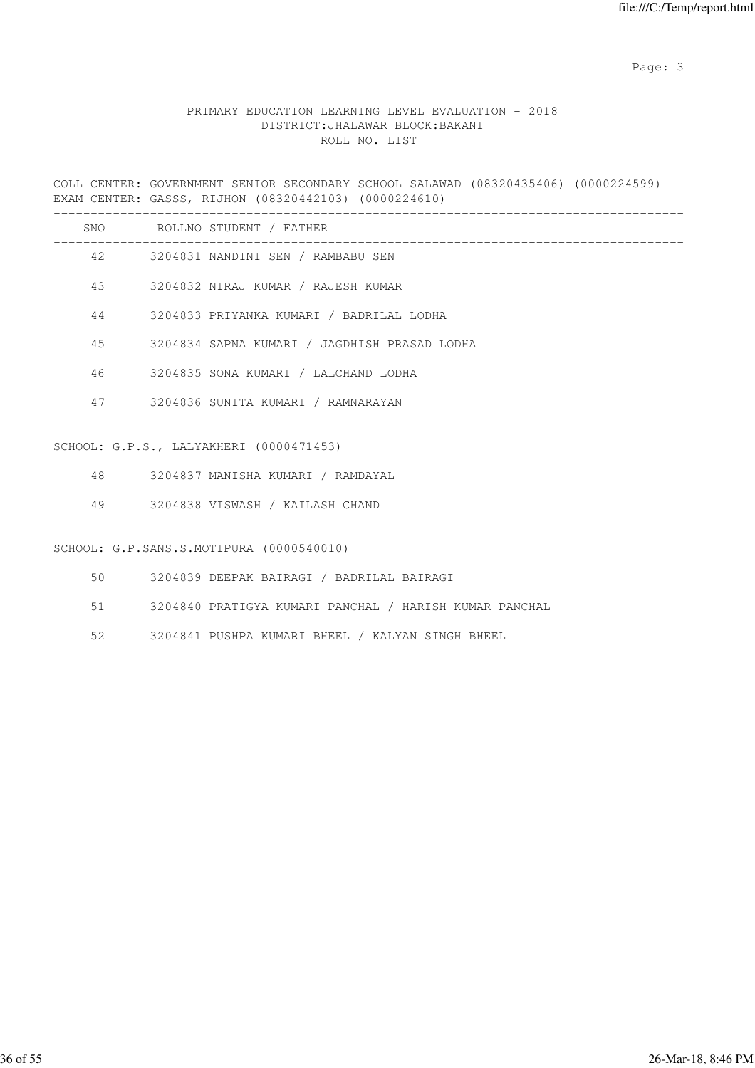# PRIMARY EDUCATION LEARNING LEVEL EVALUATION - 2018 DISTRICT:JHALAWAR BLOCK:BAKANI ROLL NO. LIST

COLL CENTER: GOVERNMENT SENIOR SECONDARY SCHOOL SALAWAD (08320435406) (0000224599) EXAM CENTER: GASSS, RIJHON (08320442103) (0000224610)

| SNO |    | ROLLNO STUDENT / FATHER                      |
|-----|----|----------------------------------------------|
| 42  |    | 3204831 NANDINI SEN / RAMBABU SEN            |
| 43  |    | 3204832 NIRAJ KUMAR / RAJESH KUMAR           |
|     | 44 | 3204833 PRIYANKA KUMARI / BADRILAL LODHA     |
| 45  |    | 3204834 SAPNA KUMARI / JAGDHISH PRASAD LODHA |
| 46  |    | 3204835 SONA KUMARI / LALCHAND LODHA         |
| 47  |    | 3204836 SUNITA KUMARI / RAMNARAYAN           |
|     |    | SCHOOL: G.P.S., LALYAKHERI (0000471453)      |

- 48 3204837 MANISHA KUMARI / RAMDAYAL
- 49 3204838 VISWASH / KAILASH CHAND

#### SCHOOL: G.P.SANS.S.MOTIPURA (0000540010)

- 50 3204839 DEEPAK BAIRAGI / BADRILAL BAIRAGI
- 51 3204840 PRATIGYA KUMARI PANCHAL / HARISH KUMAR PANCHAL
- 52 3204841 PUSHPA KUMARI BHEEL / KALYAN SINGH BHEEL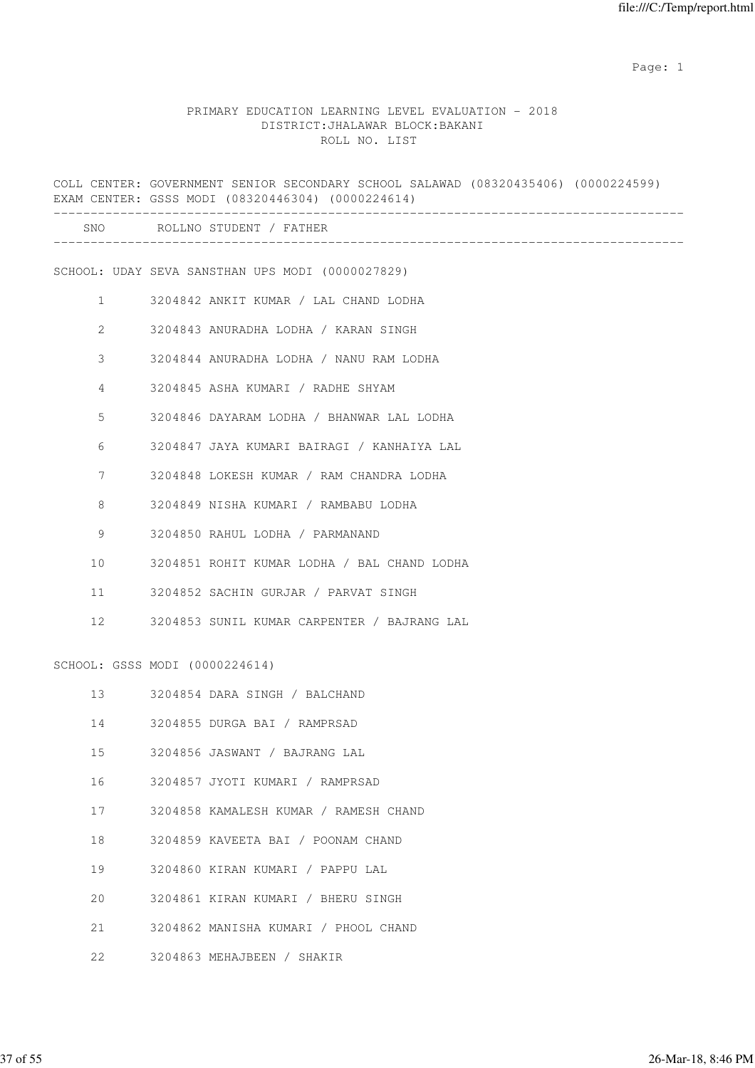|    | COLL CENTER: GOVERNMENT SENIOR SECONDARY SCHOOL SALAWAD (08320435406) (0000224599)<br>EXAM CENTER: GSSS MODI (08320446304) (0000224614) |
|----|-----------------------------------------------------------------------------------------------------------------------------------------|
|    | SNO ROLLNO STUDENT / FATHER                                                                                                             |
|    | SCHOOL: UDAY SEVA SANSTHAN UPS MODI (0000027829)                                                                                        |
| 1  | 3204842 ANKIT KUMAR / LAL CHAND LODHA                                                                                                   |
| 2  | 3204843 ANURADHA LODHA / KARAN SINGH                                                                                                    |
| 3  | 3204844 ANURADHA LODHA / NANU RAM LODHA                                                                                                 |
| 4  | 3204845 ASHA KUMARI / RADHE SHYAM                                                                                                       |
| 5  | 3204846 DAYARAM LODHA / BHANWAR LAL LODHA                                                                                               |
| 6  | 3204847 JAYA KUMARI BAIRAGI / KANHAIYA LAL                                                                                              |
| 7  | 3204848 LOKESH KUMAR / RAM CHANDRA LODHA                                                                                                |
| 8  | 3204849 NISHA KUMARI / RAMBABU LODHA                                                                                                    |
| 9  | 3204850 RAHUL LODHA / PARMANAND                                                                                                         |
| 10 | 3204851 ROHIT KUMAR LODHA / BAL CHAND LODHA                                                                                             |
| 11 | 3204852 SACHIN GURJAR / PARVAT SINGH                                                                                                    |
| 12 | 3204853 SUNIL KUMAR CARPENTER / BAJRANG LAL                                                                                             |
|    | SCHOOL: GSSS MODI (0000224614)                                                                                                          |
| 13 | 3204854 DARA SINGH / BALCHAND                                                                                                           |
| 14 | 3204855 DURGA BAI / RAMPRSAD                                                                                                            |
| 15 | 3204856 JASWANT / BAJRANG LAL                                                                                                           |
| 16 | 3204857 JYOTI KUMARI / RAMPRSAD                                                                                                         |
| 17 | 3204858 KAMALESH KUMAR / RAMESH CHAND                                                                                                   |
| 18 | 3204859 KAVEETA BAI / POONAM CHAND                                                                                                      |
| 19 | 3204860 KIRAN KUMARI / PAPPU LAL                                                                                                        |
| 20 | 3204861 KIRAN KUMARI / BHERU SINGH                                                                                                      |
| 21 | 3204862 MANISHA KUMARI / PHOOL CHAND                                                                                                    |
| 22 | 3204863 MEHAJBEEN / SHAKIR                                                                                                              |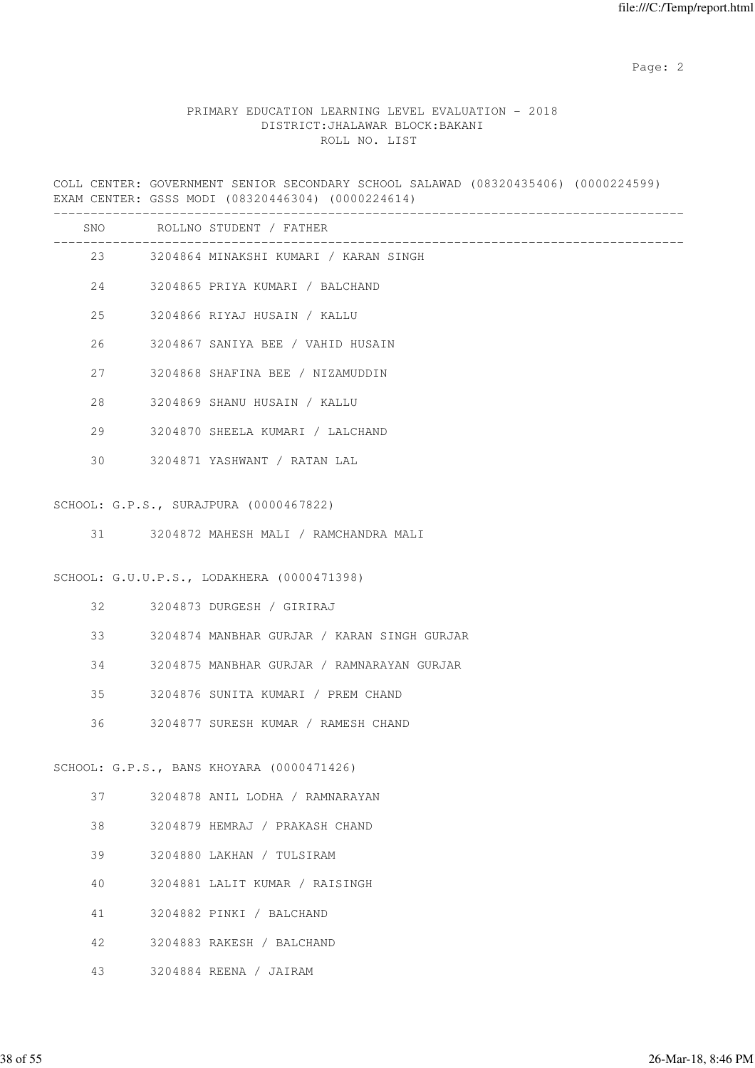# PRIMARY EDUCATION LEARNING LEVEL EVALUATION - 2018 DISTRICT:JHALAWAR BLOCK:BAKANI ROLL NO. LIST

COLL CENTER: GOVERNMENT SENIOR SECONDARY SCHOOL SALAWAD (08320435406) (0000224599) EXAM CENTER: GSSS MODI (08320446304) (0000224614)

|    |         | SNO ROLLNO STUDENT / FATHER                 |
|----|---------|---------------------------------------------|
|    |         |                                             |
|    |         | 23 3204864 MINAKSHI KUMARI / KARAN SINGH    |
|    | 24      | 3204865 PRIYA KUMARI / BALCHAND             |
|    | 25      | 3204866 RIYAJ HUSAIN / KALLU                |
| 26 |         | 3204867 SANIYA BEE / VAHID HUSAIN           |
|    | 27 — 27 | 3204868 SHAFINA BEE / NIZAMUDDIN            |
| 28 |         | 3204869 SHANU HUSAIN / KALLU                |
|    | 29      | 3204870 SHEELA KUMARI / LALCHAND            |
|    | 30      | 3204871 YASHWANT / RATAN LAL                |
|    |         | SCHOOL: G.P.S., SURAJPURA (0000467822)      |
|    |         | 31 3204872 MAHESH MALI / RAMCHANDRA MALI    |
|    |         | SCHOOL: G.U.U.P.S., LODAKHERA (0000471398)  |
|    |         | 32 3204873 DURGESH / GIRIRAJ                |
|    |         | 3204874 MANBHAR GURJAR / KARAN SINGH GURJAR |
|    | 34 34   | 3204875 MANBHAR GURJAR / RAMNARAYAN GURJAR  |
|    | 35      | 3204876 SUNITA KUMARI / PREM CHAND          |
|    | 36      | 3204877 SURESH KUMAR / RAMESH CHAND         |
|    |         | SCHOOL: G.P.S., BANS KHOYARA (0000471426)   |
| 37 |         | 3204878 ANIL LODHA / RAMNARAYAN             |
| 38 |         | 3204879 HEMRAJ / PRAKASH CHAND              |
| 39 |         | 3204880 LAKHAN / TULSIRAM                   |
| 40 |         | 3204881 LALIT KUMAR / RAISINGH              |
| 41 |         | 3204882 PINKI / BALCHAND                    |
| 42 |         | 3204883 RAKESH / BALCHAND                   |
| 43 |         | 3204884 REENA / JAIRAM                      |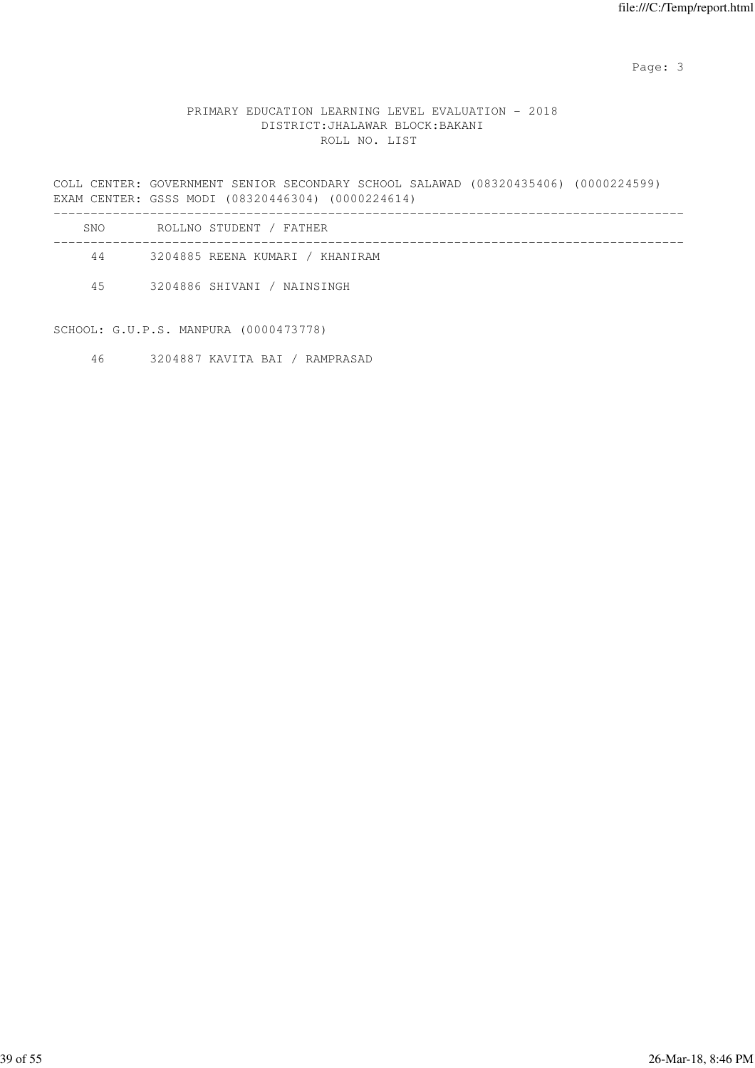# PRIMARY EDUCATION LEARNING LEVEL EVALUATION - 2018 DISTRICT:JHALAWAR BLOCK:BAKANI ROLL NO. LIST

COLL CENTER: GOVERNMENT SENIOR SECONDARY SCHOOL SALAWAD (08320435406) (0000224599) EXAM CENTER: GSSS MODI (08320446304) (0000224614)

| SNO. | ROLLNO STUDENT / FATHER         |
|------|---------------------------------|
| 44   | 3204885 REENA KUMARI / KHANIRAM |
| 4.5  | 3204886 SHIVANI / NAINSINGH     |

SCHOOL: G.U.P.S. MANPURA (0000473778)

46 3204887 KAVITA BAI / RAMPRASAD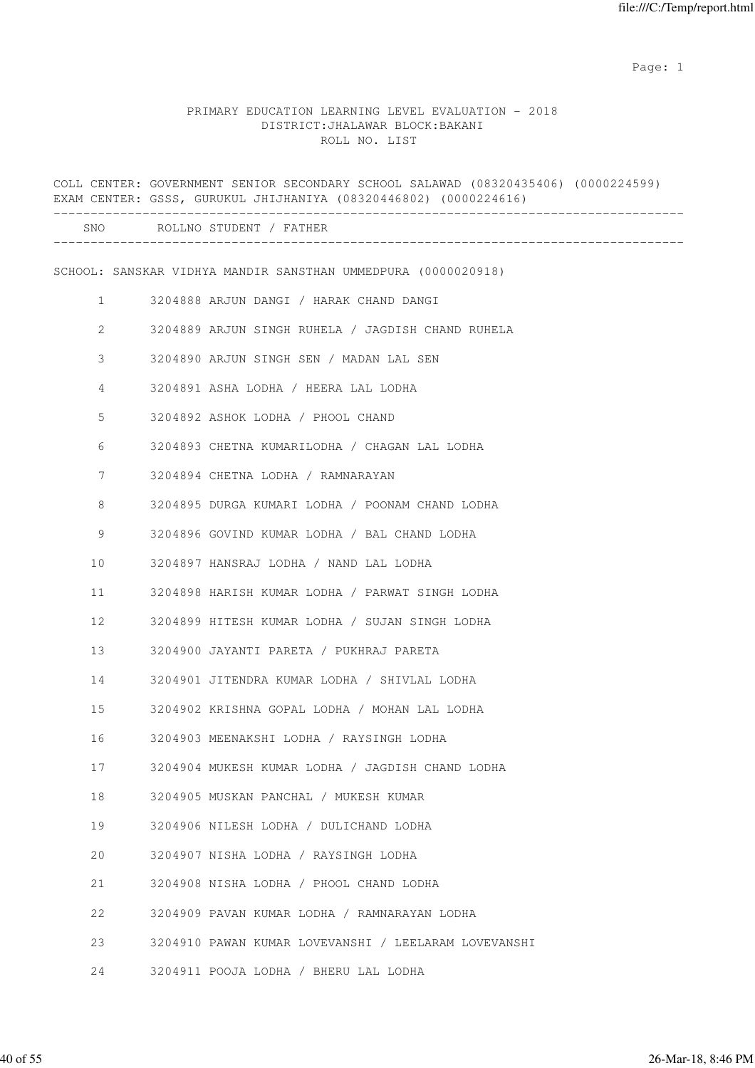|              | COLL CENTER: GOVERNMENT SENIOR SECONDARY SCHOOL SALAWAD (08320435406) (0000224599)<br>EXAM CENTER: GSSS, GURUKUL JHIJHANIYA (08320446802) (0000224616) |
|--------------|--------------------------------------------------------------------------------------------------------------------------------------------------------|
|              | ______________________________<br>SNO ROLLNO STUDENT / FATHER                                                                                          |
|              | SCHOOL: SANSKAR VIDHYA MANDIR SANSTHAN UMMEDPURA (0000020918)                                                                                          |
| $\mathbf{1}$ | 3204888 ARJUN DANGI / HARAK CHAND DANGI                                                                                                                |
| 2            | 3204889 ARJUN SINGH RUHELA / JAGDISH CHAND RUHELA                                                                                                      |
| 3            | 3204890 ARJUN SINGH SEN / MADAN LAL SEN                                                                                                                |
| 4            | 3204891 ASHA LODHA / HEERA LAL LODHA                                                                                                                   |
| 5            | 3204892 ASHOK LODHA / PHOOL CHAND                                                                                                                      |
| 6            | 3204893 CHETNA KUMARILODHA / CHAGAN LAL LODHA                                                                                                          |
| 7            | 3204894 CHETNA LODHA / RAMNARAYAN                                                                                                                      |
| 8            | 3204895 DURGA KUMARI LODHA / POONAM CHAND LODHA                                                                                                        |
| 9            | 3204896 GOVIND KUMAR LODHA / BAL CHAND LODHA                                                                                                           |
| 10           | 3204897 HANSRAJ LODHA / NAND LAL LODHA                                                                                                                 |
| 11           | 3204898 HARISH KUMAR LODHA / PARWAT SINGH LODHA                                                                                                        |
| 12           | 3204899 HITESH KUMAR LODHA / SUJAN SINGH LODHA                                                                                                         |
| 13           | 3204900 JAYANTI PARETA / PUKHRAJ PARETA                                                                                                                |
| 14           | 3204901 JITENDRA KUMAR LODHA / SHIVLAL LODHA                                                                                                           |
| 15           | 3204902 KRISHNA GOPAL LODHA / MOHAN LAL LODHA                                                                                                          |
| 16           | 3204903 MEENAKSHI LODHA / RAYSINGH LODHA                                                                                                               |
| 17           | 3204904 MUKESH KUMAR LODHA / JAGDISH CHAND LODHA                                                                                                       |
| 18           | 3204905 MUSKAN PANCHAL / MUKESH KUMAR                                                                                                                  |
| 19           | 3204906 NILESH LODHA / DULICHAND LODHA                                                                                                                 |
| 20           | 3204907 NISHA LODHA / RAYSINGH LODHA                                                                                                                   |
| 21           | 3204908 NISHA LODHA / PHOOL CHAND LODHA                                                                                                                |
| 22           | 3204909 PAVAN KUMAR LODHA / RAMNARAYAN LODHA                                                                                                           |
| 23           | 3204910 PAWAN KUMAR LOVEVANSHI / LEELARAM LOVEVANSHI                                                                                                   |
| 24           | 3204911 POOJA LODHA / BHERU LAL LODHA                                                                                                                  |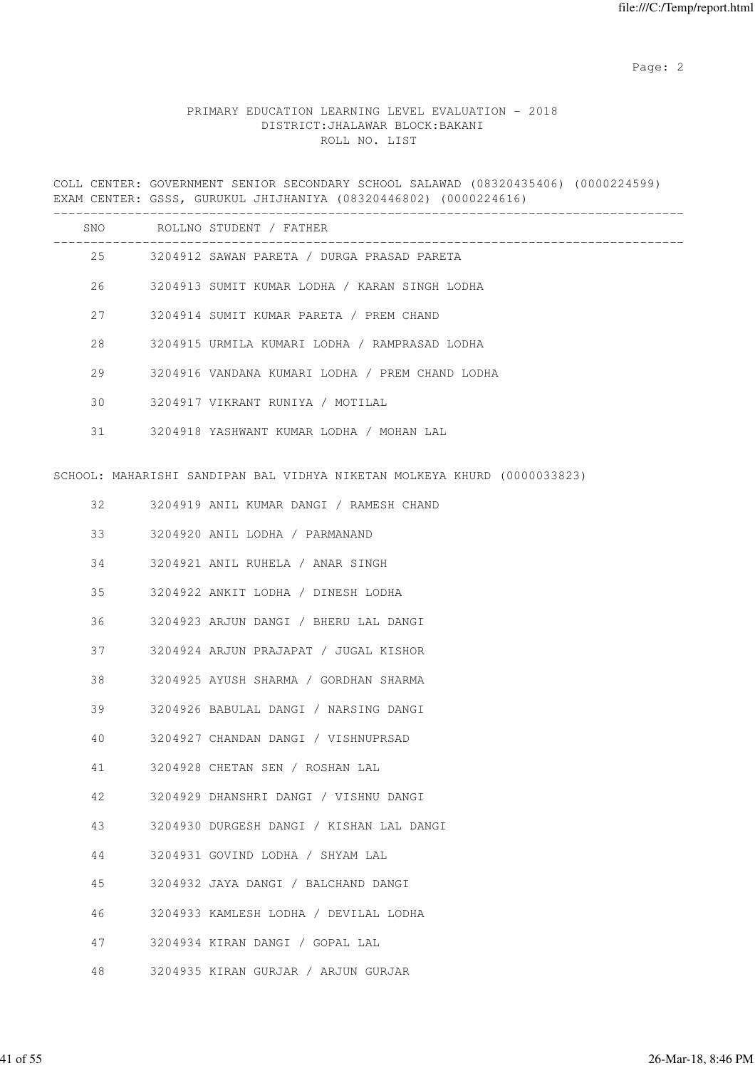# PRIMARY EDUCATION LEARNING LEVEL EVALUATION - 2018 DISTRICT:JHALAWAR BLOCK:BAKANI ROLL NO. LIST

COLL CENTER: GOVERNMENT SENIOR SECONDARY SCHOOL SALAWAD (08320435406) (0000224599) EXAM CENTER: GSSS, GURUKUL JHIJHANIYA (08320446802) (0000224616) ------------------------------------------------------------------------------------- SNO ROLLNO STUDENT / FATHER ------------------------------------------------------------------------------------- 25 3204912 SAWAN PARETA / DURGA PRASAD PARETA 26 3204913 SUMIT KUMAR LODHA / KARAN SINGH LODHA 27 3204914 SUMIT KUMAR PARETA / PREM CHAND 28 3204915 URMILA KUMARI LODHA / RAMPRASAD LODHA 29 3204916 VANDANA KUMARI LODHA / PREM CHAND LODHA 30 3204917 VIKRANT RUNIYA / MOTILAL 31 3204918 YASHWANT KUMAR LODHA / MOHAN LAL SCHOOL: MAHARISHI SANDIPAN BAL VIDHYA NIKETAN MOLKEYA KHURD (0000033823) 32 3204919 ANIL KUMAR DANGI / RAMESH CHAND 33 3204920 ANIL LODHA / PARMANAND 34 3204921 ANIL RUHELA / ANAR SINGH 35 3204922 ANKIT LODHA / DINESH LODHA 36 3204923 ARJUN DANGI / BHERU LAL DANGI 37 3204924 ARJUN PRAJAPAT / JUGAL KISHOR 38 3204925 AYUSH SHARMA / GORDHAN SHARMA 39 3204926 BABULAL DANGI / NARSING DANGI 40 3204927 CHANDAN DANGI / VISHNUPRSAD 41 3204928 CHETAN SEN / ROSHAN LAL 42 3204929 DHANSHRI DANGI / VISHNU DANGI 43 3204930 DURGESH DANGI / KISHAN LAL DANGI 44 3204931 GOVIND LODHA / SHYAM LAL 45 3204932 JAYA DANGI / BALCHAND DANGI 46 3204933 KAMLESH LODHA / DEVILAL LODHA 47 3204934 KIRAN DANGI / GOPAL LAL 48 3204935 KIRAN GURJAR / ARJUN GURJAR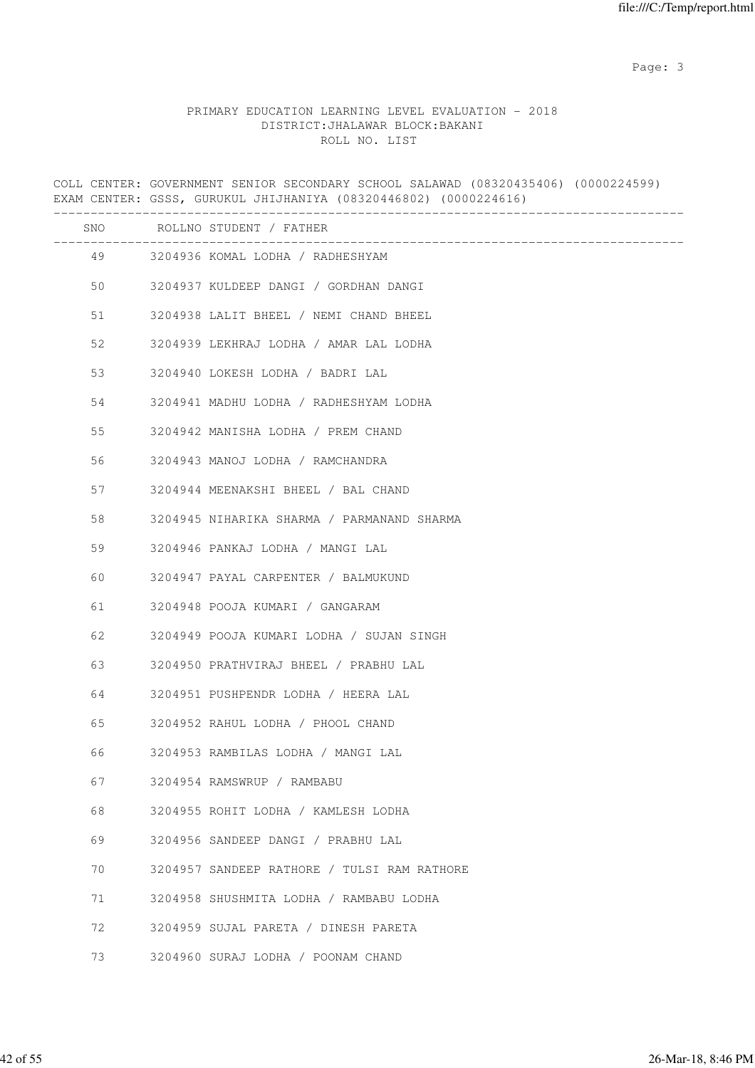|    | COLL CENTER: GOVERNMENT SENIOR SECONDARY SCHOOL SALAWAD (08320435406) (0000224599)<br>EXAM CENTER: GSSS, GURUKUL JHIJHANIYA (08320446802) (0000224616) |
|----|--------------------------------------------------------------------------------------------------------------------------------------------------------|
|    | SNO ROLLNO STUDENT / FATHER                                                                                                                            |
| 49 | 3204936 KOMAL LODHA / RADHESHYAM                                                                                                                       |
| 50 | 3204937 KULDEEP DANGI / GORDHAN DANGI                                                                                                                  |
| 51 | 3204938 LALIT BHEEL / NEMI CHAND BHEEL                                                                                                                 |
| 52 | 3204939 LEKHRAJ LODHA / AMAR LAL LODHA                                                                                                                 |
| 53 | 3204940 LOKESH LODHA / BADRI LAL                                                                                                                       |
| 54 | 3204941 MADHU LODHA / RADHESHYAM LODHA                                                                                                                 |
| 55 | 3204942 MANISHA LODHA / PREM CHAND                                                                                                                     |
| 56 | 3204943 MANOJ LODHA / RAMCHANDRA                                                                                                                       |
| 57 | 3204944 MEENAKSHI BHEEL / BAL CHAND                                                                                                                    |
| 58 | 3204945 NIHARIKA SHARMA / PARMANAND SHARMA                                                                                                             |
| 59 | 3204946 PANKAJ LODHA / MANGI LAL                                                                                                                       |
| 60 | 3204947 PAYAL CARPENTER / BALMUKUND                                                                                                                    |
| 61 | 3204948 POOJA KUMARI / GANGARAM                                                                                                                        |
| 62 | 3204949 POOJA KUMARI LODHA / SUJAN SINGH                                                                                                               |
| 63 | 3204950 PRATHVIRAJ BHEEL / PRABHU LAL                                                                                                                  |
| 64 | 3204951 PUSHPENDR LODHA / HEERA LAL                                                                                                                    |
| 65 | 3204952 RAHUL LODHA / PHOOL CHAND                                                                                                                      |
| 66 | 3204953 RAMBILAS LODHA / MANGI LAL                                                                                                                     |
| 67 | 3204954 RAMSWRUP / RAMBABU                                                                                                                             |
| 68 | 3204955 ROHIT LODHA / KAMLESH LODHA                                                                                                                    |
| 69 | 3204956 SANDEEP DANGI / PRABHU LAL                                                                                                                     |
| 70 | 3204957 SANDEEP RATHORE / TULSI RAM RATHORE                                                                                                            |
| 71 | 3204958 SHUSHMITA LODHA / RAMBABU LODHA                                                                                                                |
| 72 | 3204959 SUJAL PARETA / DINESH PARETA                                                                                                                   |
| 73 | 3204960 SURAJ LODHA / POONAM CHAND                                                                                                                     |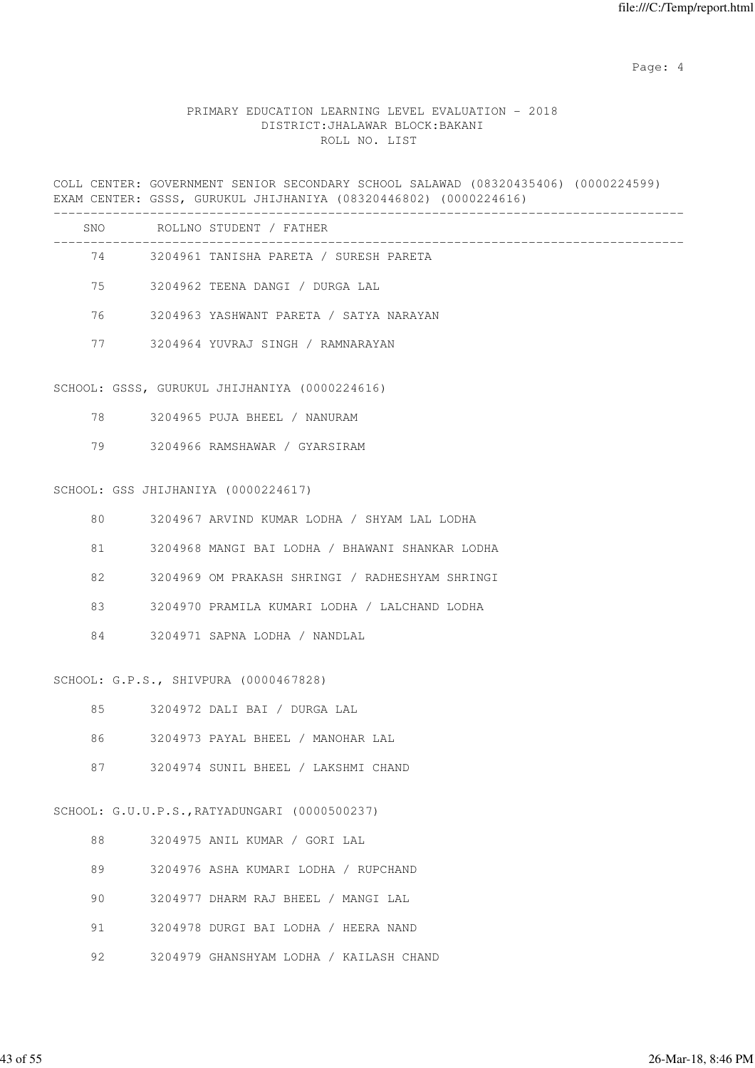Page: 4  $P$ 

#### PRIMARY EDUCATION LEARNING LEVEL EVALUATION - 2018 DISTRICT:JHALAWAR BLOCK:BAKANI ROLL NO. LIST

COLL CENTER: GOVERNMENT SENIOR SECONDARY SCHOOL SALAWAD (08320435406) (0000224599) EXAM CENTER: GSSS, GURUKUL JHIJHANIYA (08320446802) (0000224616) ------------------------------------------------------------------------------------- SNO ROLLNO STUDENT / FATHER -------------------------------------------------------------------------------------

| 74 | 3204961 TANISHA PARETA / SURESH PARETA     |
|----|--------------------------------------------|
|    | 75 3204962 TEENA DANGI / DURGA LAL         |
|    | 76 3204963 YASHWANT PARETA / SATYA NARAYAN |

77 3204964 YUVRAJ SINGH / RAMNARAYAN

#### SCHOOL: GSSS, GURUKUL JHIJHANIYA (0000224616)

- 78 3204965 PUJA BHEEL / NANURAM
- 79 3204966 RAMSHAWAR / GYARSIRAM

#### SCHOOL: GSS JHIJHANIYA (0000224617)

| 80 | 3204967 ARVIND KUMAR LODHA / SHYAM LAL LODHA    |  |
|----|-------------------------------------------------|--|
| 81 | 3204968 MANGI BAI LODHA / BHAWANI SHANKAR LODHA |  |
| 82 | 3204969 OM PRAKASH SHRINGI / RADHESHYAM SHRINGI |  |
| 83 | 3204970 PRAMILA KUMARI LODHA / LALCHAND LODHA   |  |
| 84 | 3204971 SAPNA LODHA / NANDLAL                   |  |
|    |                                                 |  |

#### SCHOOL: G.P.S., SHIVPURA (0000467828)

|  | 3204972 DALI BAI / DURGA LAL |  |
|--|------------------------------|--|
|--|------------------------------|--|

- 86 3204973 PAYAL BHEEL / MANOHAR LAL
- 87 3204974 SUNIL BHEEL / LAKSHMI CHAND

#### SCHOOL: G.U.U.P.S.,RATYADUNGARI (0000500237)

|  | 3204975 ANIL KUMAR / GORI LAL |  |  |  |  |  |  |
|--|-------------------------------|--|--|--|--|--|--|
|--|-------------------------------|--|--|--|--|--|--|

- 89 3204976 ASHA KUMARI LODHA / RUPCHAND
- 90 3204977 DHARM RAJ BHEEL / MANGI LAL
- 91 3204978 DURGI BAI LODHA / HEERA NAND
- 92 3204979 GHANSHYAM LODHA / KAILASH CHAND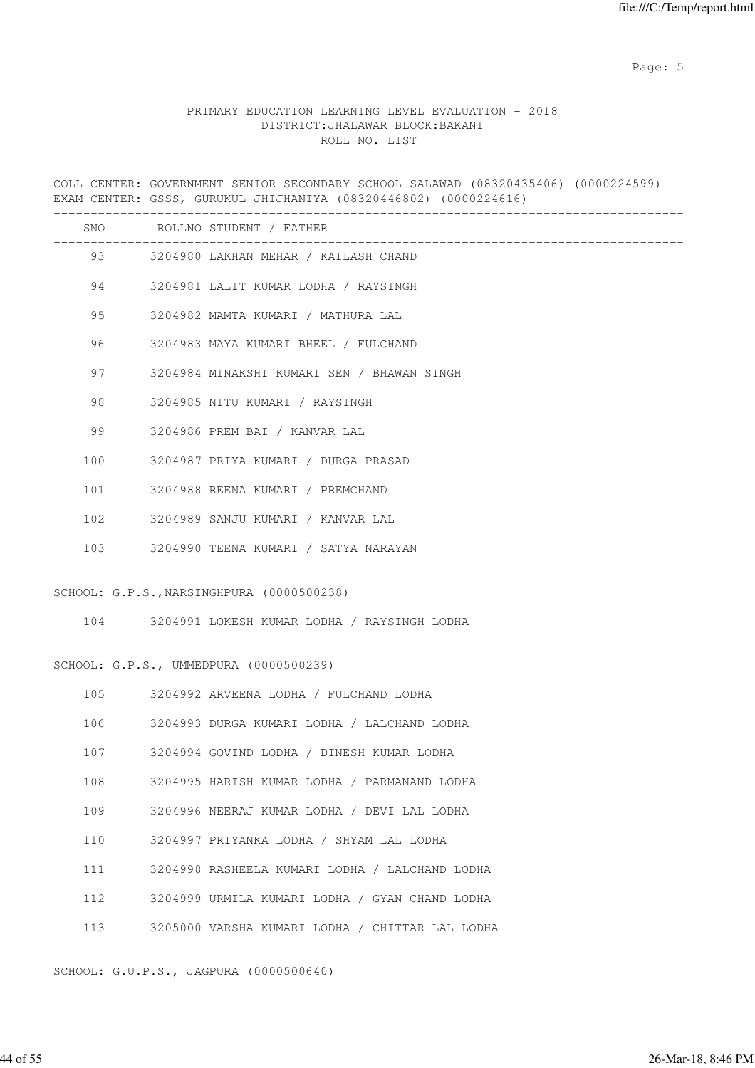Page: 5  $P$  and  $P$  and  $P$  and  $P$  and  $P$  and  $P$  and  $P$  and  $P$  and  $P$  and  $P$  and  $P$  and  $P$  and  $P$  and  $P$  and  $P$  and  $P$  and  $P$  and  $P$  and  $P$  and  $P$  and  $P$  and  $P$  and  $P$  and  $P$  and  $P$  and  $P$  and  $P$  an

#### PRIMARY EDUCATION LEARNING LEVEL EVALUATION - 2018 DISTRICT:JHALAWAR BLOCK:BAKANI ROLL NO. LIST

COLL CENTER: GOVERNMENT SENIOR SECONDARY SCHOOL SALAWAD (08320435406) (0000224599) EXAM CENTER: GSSS, GURUKUL JHIJHANIYA (08320446802) (0000224616) ------------------------------------------------------------------------------------- SNO ROLLNO STUDENT / FATHER ------------------------------------------------------------------------------------- 93 3204980 LAKHAN MEHAR / KAILASH CHAND 94 3204981 LALIT KUMAR LODHA / RAYSINGH 95 3204982 MAMTA KUMARI / MATHURA LAL 96 3204983 MAYA KUMARI BHEEL / FULCHAND 97 3204984 MINAKSHI KUMARI SEN / BHAWAN SINGH 98 3204985 NITU KUMARI / RAYSINGH 99 3204986 PREM BAI / KANVAR LAL 100 3204987 PRIYA KUMARI / DURGA PRASAD 101 3204988 REENA KUMARI / PREMCHAND 102 3204989 SANJU KUMARI / KANVAR LAL 103 3204990 TEENA KUMARI / SATYA NARAYAN SCHOOL: G.P.S.,NARSINGHPURA (0000500238) 104 3204991 LOKESH KUMAR LODHA / RAYSINGH LODHA SCHOOL: G.P.S., UMMEDPURA (0000500239) 105 3204992 ARVEENA LODHA / FULCHAND LODHA 106 3204993 DURGA KUMARI LODHA / LALCHAND LODHA 107 3204994 GOVIND LODHA / DINESH KUMAR LODHA 108 3204995 HARISH KUMAR LODHA / PARMANAND LODHA 109 3204996 NEERAJ KUMAR LODHA / DEVI LAL LODHA 110 3204997 PRIYANKA LODHA / SHYAM LAL LODHA 111 3204998 RASHEELA KUMARI LODHA / LALCHAND LODHA 112 3204999 URMILA KUMARI LODHA / GYAN CHAND LODHA 113 3205000 VARSHA KUMARI LODHA / CHITTAR LAL LODHA

SCHOOL: G.U.P.S., JAGPURA (0000500640)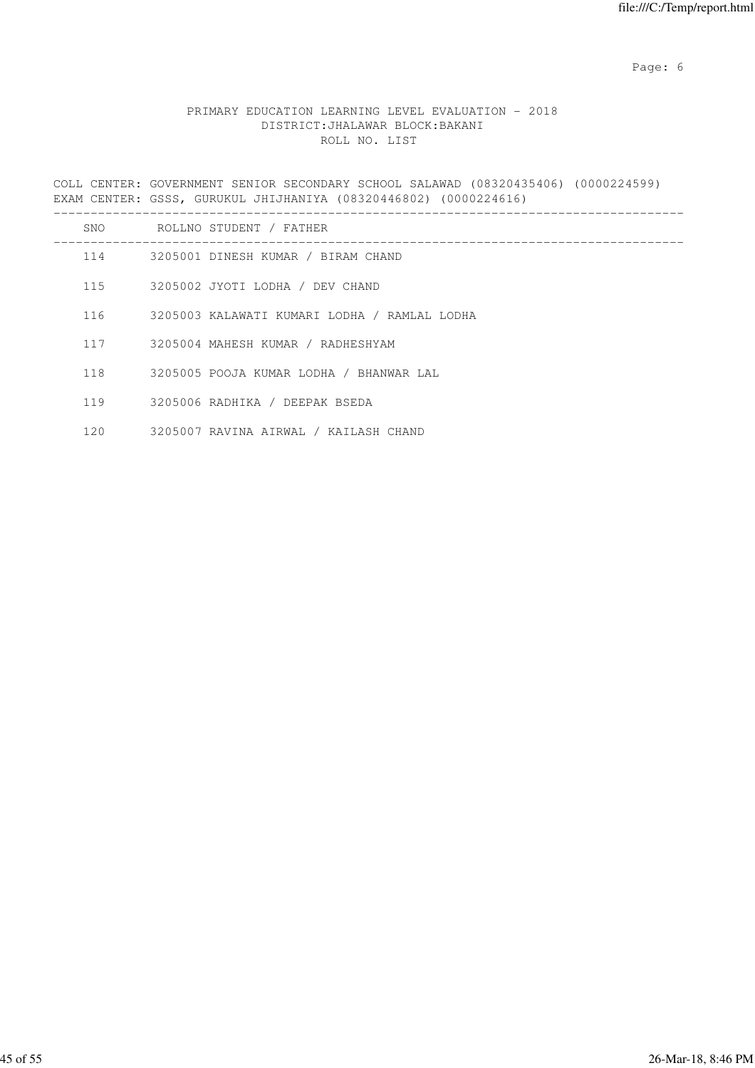Page: 6  $P$  and  $P$  and  $P$  and  $P$  and  $P$  and  $P$  and  $P$  and  $P$  and  $P$  and  $P$  and  $P$  and  $P$  and  $P$  and  $P$  and  $P$  and  $P$  and  $P$  and  $P$  and  $P$  and  $P$  and  $P$  and  $P$  and  $P$  and  $P$  and  $P$  and  $P$  and  $P$  an

# PRIMARY EDUCATION LEARNING LEVEL EVALUATION - 2018 DISTRICT:JHALAWAR BLOCK:BAKANI ROLL NO. LIST

COLL CENTER: GOVERNMENT SENIOR SECONDARY SCHOOL SALAWAD (08320435406) (0000224599) EXAM CENTER: GSSS, GURUKUL JHIJHANIYA (08320446802) (0000224616)

| SNO | ROLLNO STUDENT / FATHER                      |
|-----|----------------------------------------------|
| 114 | 3205001 DINESH KUMAR / BIRAM CHAND           |
| 115 | 3205002 JYOTI LODHA / DEV CHAND              |
| 116 | 3205003 KALAWATI KUMARI LODHA / RAMLAL LODHA |
| 117 | 3205004 MAHESH KUMAR / RADHESHYAM            |
| 118 | 3205005 POOJA KUMAR LODHA / BHANWAR LAL      |
| 119 | 3205006 RADHIKA / DEEPAK BSEDA               |
| 120 | 3205007 RAVINA AIRWAL / KAILASH CHAND        |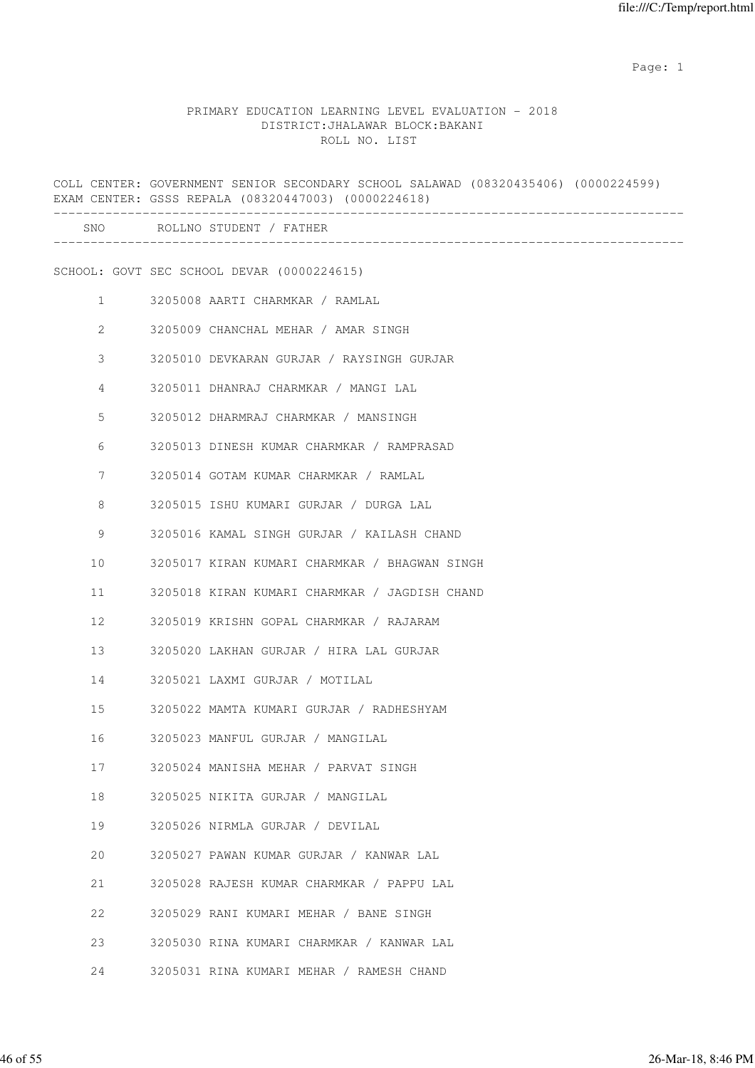|              | COLL CENTER: GOVERNMENT SENIOR SECONDARY SCHOOL SALAWAD (08320435406) (0000224599)<br>EXAM CENTER: GSSS REPALA (08320447003) (0000224618) |
|--------------|-------------------------------------------------------------------------------------------------------------------------------------------|
|              | SNO ROLLNO STUDENT / FATHER                                                                                                               |
|              | SCHOOL: GOVT SEC SCHOOL DEVAR (0000224615)                                                                                                |
| $\mathbf{1}$ | 3205008 AARTI CHARMKAR / RAMLAL                                                                                                           |
| $\mathbf{2}$ | 3205009 CHANCHAL MEHAR / AMAR SINGH                                                                                                       |
| 3            | 3205010 DEVKARAN GURJAR / RAYSINGH GURJAR                                                                                                 |
| 4            | 3205011 DHANRAJ CHARMKAR / MANGI LAL                                                                                                      |
| 5            | 3205012 DHARMRAJ CHARMKAR / MANSINGH                                                                                                      |
| 6            | 3205013 DINESH KUMAR CHARMKAR / RAMPRASAD                                                                                                 |
| 7            | 3205014 GOTAM KUMAR CHARMKAR / RAMLAL                                                                                                     |
| 8            | 3205015 ISHU KUMARI GURJAR / DURGA LAL                                                                                                    |
| 9            | 3205016 KAMAL SINGH GURJAR / KAILASH CHAND                                                                                                |
| 10           | 3205017 KIRAN KUMARI CHARMKAR / BHAGWAN SINGH                                                                                             |
| 11           | 3205018 KIRAN KUMARI CHARMKAR / JAGDISH CHAND                                                                                             |
| 12           | 3205019 KRISHN GOPAL CHARMKAR / RAJARAM                                                                                                   |
| 13           | 3205020 LAKHAN GURJAR / HIRA LAL GURJAR                                                                                                   |
| 14           | 3205021 LAXMI GURJAR / MOTILAL                                                                                                            |
| 15           | 3205022 MAMTA KUMARI GURJAR / RADHESHYAM                                                                                                  |
| 16           | 3205023 MANFUL GURJAR / MANGILAL                                                                                                          |
| 17           | 3205024 MANISHA MEHAR / PARVAT SINGH                                                                                                      |
| 18           | 3205025 NIKITA GURJAR / MANGILAL                                                                                                          |
| 19           | 3205026 NIRMLA GURJAR / DEVILAL                                                                                                           |
| 20           | 3205027 PAWAN KUMAR GURJAR / KANWAR LAL                                                                                                   |
| 21           | 3205028 RAJESH KUMAR CHARMKAR / PAPPU LAL                                                                                                 |
| 22           | 3205029 RANI KUMARI MEHAR / BANE SINGH                                                                                                    |
| 23           | 3205030 RINA KUMARI CHARMKAR / KANWAR LAL                                                                                                 |
| 24           | 3205031 RINA KUMARI MEHAR / RAMESH CHAND                                                                                                  |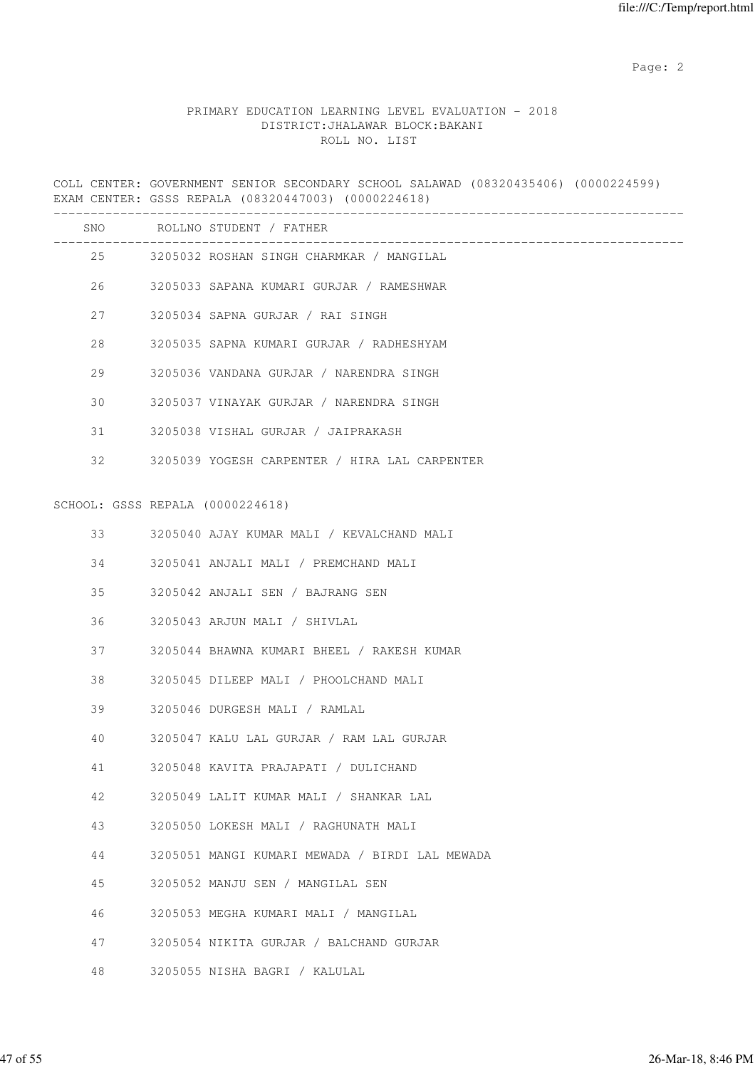# PRIMARY EDUCATION LEARNING LEVEL EVALUATION - 2018 DISTRICT:JHALAWAR BLOCK:BAKANI ROLL NO. LIST

COLL CENTER: GOVERNMENT SENIOR SECONDARY SCHOOL SALAWAD (08320435406) (0000224599) EXAM CENTER: GSSS REPALA (08320447003) (0000224618) ------------------------------------------------------------------------------------- SNO ROLLNO STUDENT / FATHER ------------------------------------------------------------------------------------- 25 3205032 ROSHAN SINGH CHARMKAR / MANGILAL 26 3205033 SAPANA KUMARI GURJAR / RAMESHWAR 27 3205034 SAPNA GURJAR / RAI SINGH 28 3205035 SAPNA KUMARI GURJAR / RADHESHYAM 29 3205036 VANDANA GURJAR / NARENDRA SINGH 30 3205037 VINAYAK GURJAR / NARENDRA SINGH 31 3205038 VISHAL GURJAR / JAIPRAKASH 32 3205039 YOGESH CARPENTER / HIRA LAL CARPENTER SCHOOL: GSSS REPALA (0000224618) 33 3205040 AJAY KUMAR MALI / KEVALCHAND MALI 34 3205041 ANJALI MALI / PREMCHAND MALI 35 3205042 ANJALI SEN / BAJRANG SEN 36 3205043 ARJUN MALI / SHIVLAL 37 3205044 BHAWNA KUMARI BHEEL / RAKESH KUMAR 38 3205045 DILEEP MALI / PHOOLCHAND MALI 39 3205046 DURGESH MALI / RAMLAL 40 3205047 KALU LAL GURJAR / RAM LAL GURJAR 41 3205048 KAVITA PRAJAPATI / DULICHAND 42 3205049 LALIT KUMAR MALI / SHANKAR LAL 43 3205050 LOKESH MALI / RAGHUNATH MALI 44 3205051 MANGI KUMARI MEWADA / BIRDI LAL MEWADA 45 3205052 MANJU SEN / MANGILAL SEN 46 3205053 MEGHA KUMARI MALI / MANGILAL 47 3205054 NIKITA GURJAR / BALCHAND GURJAR

48 3205055 NISHA BAGRI / KALULAL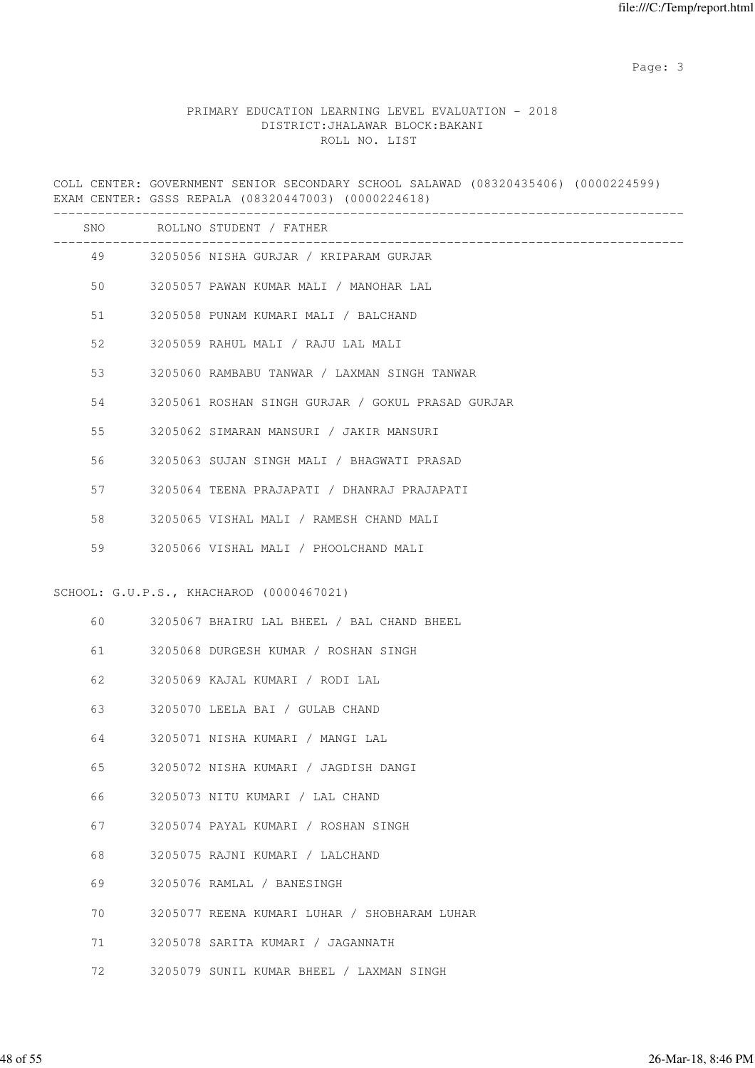### PRIMARY EDUCATION LEARNING LEVEL EVALUATION - 2018 DISTRICT:JHALAWAR BLOCK:BAKANI ROLL NO. LIST

COLL CENTER: GOVERNMENT SENIOR SECONDARY SCHOOL SALAWAD (08320435406) (0000224599) EXAM CENTER: GSSS REPALA (08320447003) (0000224618) ------------------------------------------------------------------------------------- SNO ROLLNO STUDENT / FATHER ------------------------------------------------------------------------------------- 49 3205056 NISHA GURJAR / KRIPARAM GURJAR 50 3205057 PAWAN KUMAR MALI / MANOHAR LAL 51 3205058 PUNAM KUMARI MALI / BALCHAND 52 3205059 RAHUL MALI / RAJU LAL MALI 53 3205060 RAMBABU TANWAR / LAXMAN SINGH TANWAR 54 3205061 ROSHAN SINGH GURJAR / GOKUL PRASAD GURJAR 55 3205062 SIMARAN MANSURI / JAKIR MANSURI 56 3205063 SUJAN SINGH MALI / BHAGWATI PRASAD 57 3205064 TEENA PRAJAPATI / DHANRAJ PRAJAPATI 58 3205065 VISHAL MALI / RAMESH CHAND MALI 59 3205066 VISHAL MALI / PHOOLCHAND MALI SCHOOL: G.U.P.S., KHACHAROD (0000467021) 60 3205067 BHAIRU LAL BHEEL / BAL CHAND BHEEL 61 3205068 DURGESH KUMAR / ROSHAN SINGH 62 3205069 KAJAL KUMARI / RODI LAL 63 3205070 LEELA BAI / GULAB CHAND 64 3205071 NISHA KUMARI / MANGI LAL 65 3205072 NISHA KUMARI / JAGDISH DANGI 66 3205073 NITU KUMARI / LAL CHAND 67 3205074 PAYAL KUMARI / ROSHAN SINGH 68 3205075 RAJNI KUMARI / LALCHAND 69 3205076 RAMLAL / BANESINGH 70 3205077 REENA KUMARI LUHAR / SHOBHARAM LUHAR 71 3205078 SARITA KUMARI / JAGANNATH 72 3205079 SUNIL KUMAR BHEEL / LAXMAN SINGH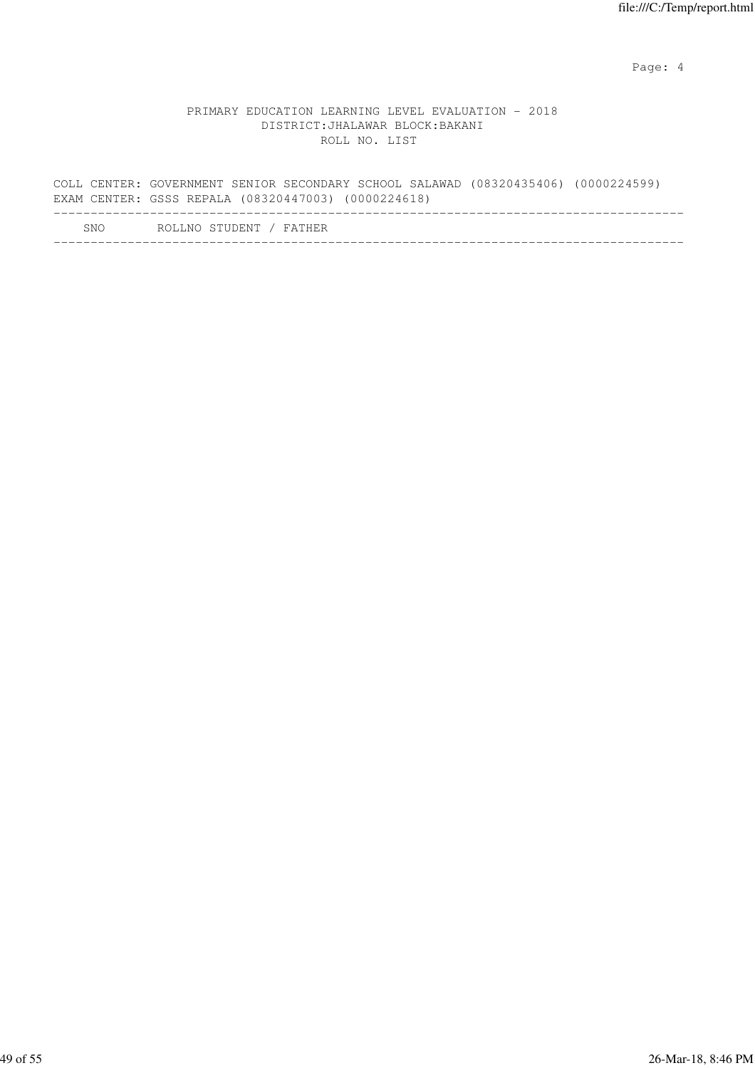Page: 4  $P$ 

|     | COLL CENTER: GOVERNMENT SENIOR SECONDARY SCHOOL SALAWAD (08320435406) (0000224599)<br>EXAM CENTER: GSSS REPALA (08320447003) (0000224618) |  |
|-----|-------------------------------------------------------------------------------------------------------------------------------------------|--|
| SNO | ROLLNO STUDENT / FATHER                                                                                                                   |  |
|     |                                                                                                                                           |  |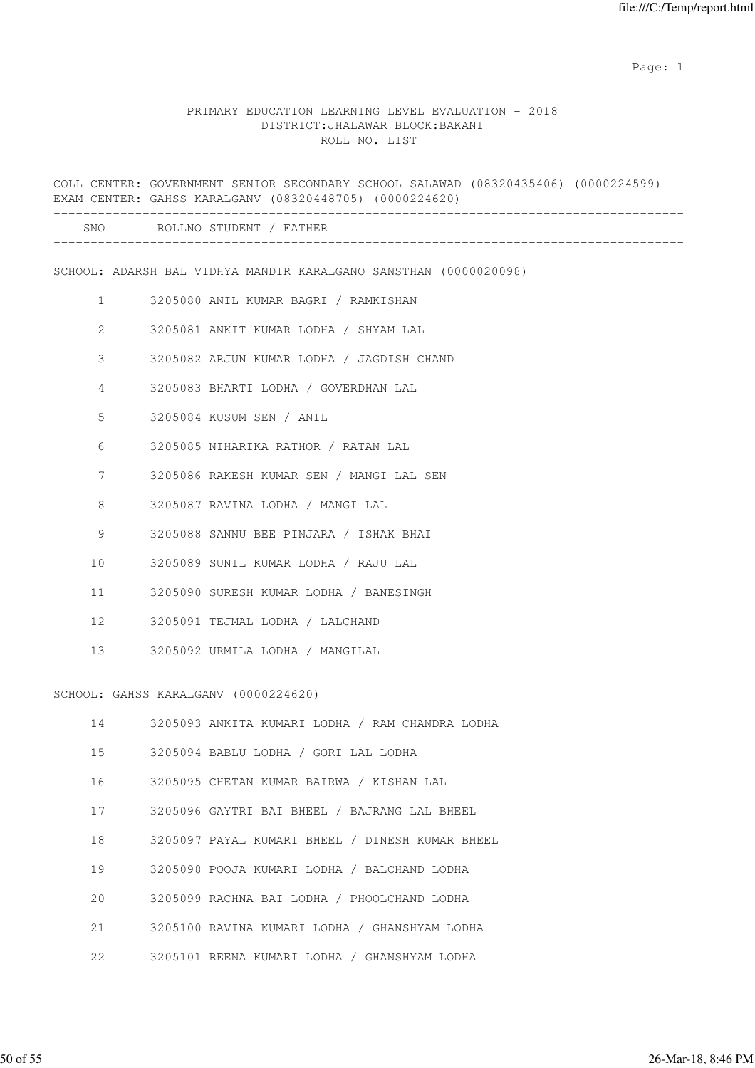#### PRIMARY EDUCATION LEARNING LEVEL EVALUATION - 2018 DISTRICT:JHALAWAR BLOCK:BAKANI ROLL NO. LIST

COLL CENTER: GOVERNMENT SENIOR SECONDARY SCHOOL SALAWAD (08320435406) (0000224599) EXAM CENTER: GAHSS KARALGANV (08320448705) (0000224620) ------------------------------------------------------------------------------------- SNO ROLLNO STUDENT / FATHER ------------------------------------------------------------------------------------- SCHOOL: ADARSH BAL VIDHYA MANDIR KARALGANO SANSTHAN (0000020098) 1 3205080 ANIL KUMAR BAGRI / RAMKISHAN 2 3205081 ANKIT KUMAR LODHA / SHYAM LAL 3 3205082 ARJUN KUMAR LODHA / JAGDISH CHAND 4 3205083 BHARTI LODHA / GOVERDHAN LAL 5 3205084 KUSUM SEN / ANIL 6 3205085 NIHARIKA RATHOR / RATAN LAL 7 3205086 RAKESH KUMAR SEN / MANGI LAL SEN 8 3205087 RAVINA LODHA / MANGI LAL 9 3205088 SANNU BEE PINJARA / ISHAK BHAI 10 3205089 SUNIL KUMAR LODHA / RAJU LAL 11 3205090 SURESH KUMAR LODHA / BANESINGH 12 3205091 TEJMAL LODHA / LALCHAND 13 3205092 URMILA LODHA / MANGILAL SCHOOL: GAHSS KARALGANV (0000224620) 14 3205093 ANKITA KUMARI LODHA / RAM CHANDRA LODHA 15 3205094 BABLU LODHA / GORI LAL LODHA 16 3205095 CHETAN KUMAR BAIRWA / KISHAN LAL 17 3205096 GAYTRI BAI BHEEL / BAJRANG LAL BHEEL 18 3205097 PAYAL KUMARI BHEEL / DINESH KUMAR BHEEL 19 3205098 POOJA KUMARI LODHA / BALCHAND LODHA 20 3205099 RACHNA BAI LODHA / PHOOLCHAND LODHA 21 3205100 RAVINA KUMARI LODHA / GHANSHYAM LODHA

22 3205101 REENA KUMARI LODHA / GHANSHYAM LODHA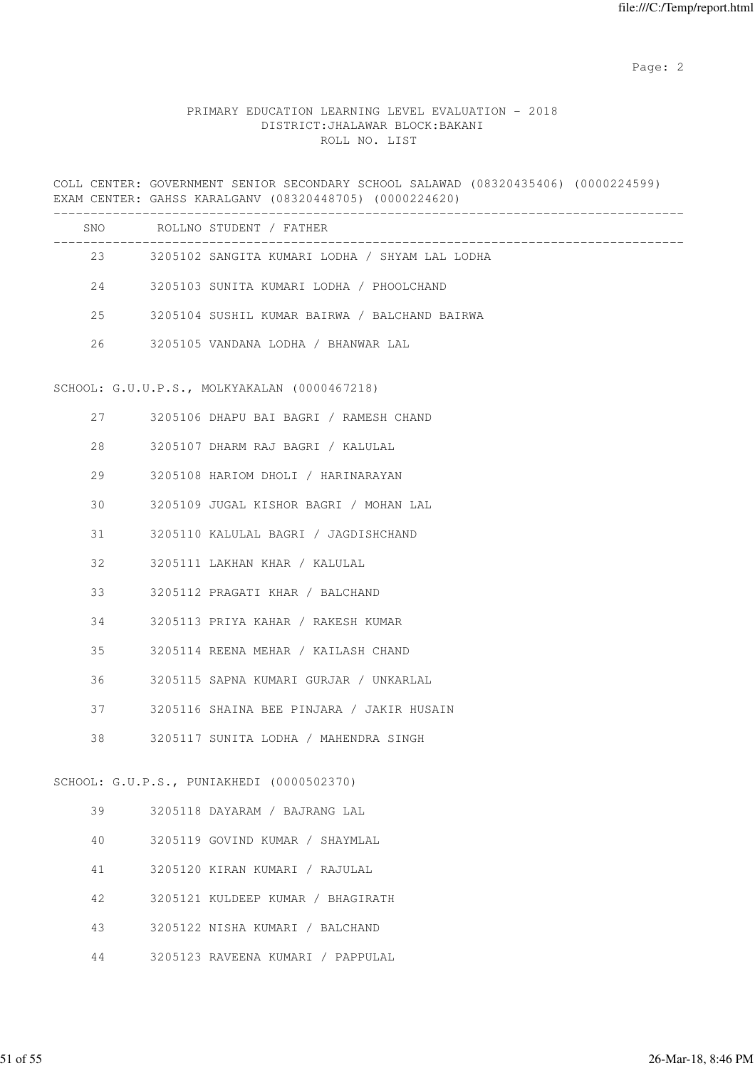# PRIMARY EDUCATION LEARNING LEVEL EVALUATION - 2018 DISTRICT:JHALAWAR BLOCK:BAKANI ROLL NO. LIST

COLL CENTER: GOVERNMENT SENIOR SECONDARY SCHOOL SALAWAD (08320435406) (0000224599) EXAM CENTER: GAHSS KARALGANV (08320448705) (0000224620) ------------------------------------------------------------------------------------- SNO ROLLNO STUDENT / FATHER -------------------------------------------------------------------------------------

| 23 | 3205102 SANGITA KUMARI LODHA / SHYAM LAL LODHA |
|----|------------------------------------------------|
| 24 | 3205103 SUNITA KUMARI LODHA / PHOOLCHAND       |
| 25 | 3205104 SUSHIL KUMAR BAIRWA / BALCHAND BAIRWA  |
| 26 | 3205105 VANDANA LODHA / BHANWAR LAL            |

#### SCHOOL: G.U.U.P.S., MOLKYAKALAN (0000467218)

| 27 | 3205106 DHAPU BAI BAGRI / RAMESH CHAND       |
|----|----------------------------------------------|
| 28 | 3205107 DHARM RAJ BAGRI / KALULAL            |
|    | 29 3205108 HARIOM DHOLI / HARINARAYAN        |
|    | 30 3205109 JUGAL KISHOR BAGRI / MOHAN LAL    |
|    | 31 3205110 KALULAL BAGRI / JAGDISHCHAND      |
|    | 32 3205111 LAKHAN KHAR / KALULAL             |
|    | 33 3205112 PRAGATI KHAR / BALCHAND           |
|    | 34 3205113 PRIYA KAHAR / RAKESH KUMAR        |
|    | 35 3205114 REENA MEHAR / KAILASH CHAND       |
|    | 36 3205115 SAPNA KUMARI GURJAR / UNKARLAL    |
|    | 37 3205116 SHAINA BEE PINJARA / JAKIR HUSAIN |
| 38 | 3205117 SUNITA LODHA / MAHENDRA SINGH        |
|    |                                              |
|    | SCHOOL: G.U.P.S., PUNIAKHEDI (0000502370)    |
|    | 39 3205118 DAYARAM / BAJRANG LAL             |
|    | 40 3205119 GOVIND KUMAR / SHAYMLAL           |
| 41 | 3205120 KIRAN KUMARI / RAJULAL               |

- 42 3205121 KULDEEP KUMAR / BHAGIRATH
- 43 3205122 NISHA KUMARI / BALCHAND
- 44 3205123 RAVEENA KUMARI / PAPPULAL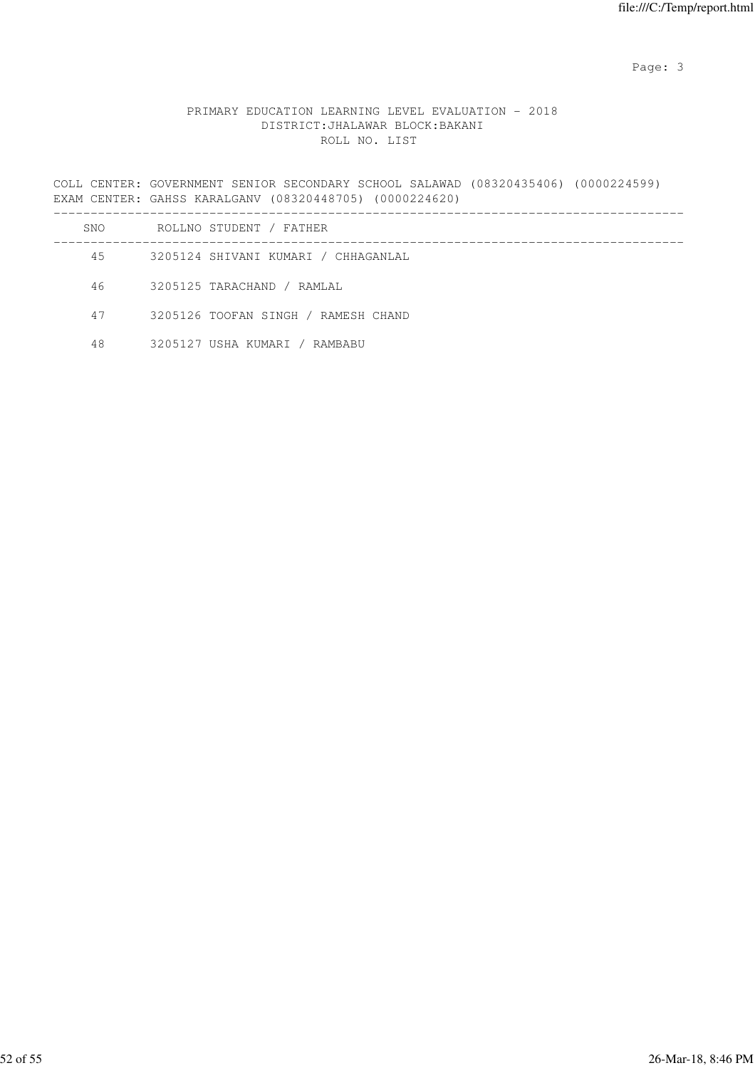# PRIMARY EDUCATION LEARNING LEVEL EVALUATION - 2018 DISTRICT:JHALAWAR BLOCK:BAKANI ROLL NO. LIST

COLL CENTER: GOVERNMENT SENIOR SECONDARY SCHOOL SALAWAD (08320435406) (0000224599) EXAM CENTER: GAHSS KARALGANV (08320448705) (0000224620)

| SNO | ROLLNO STUDENT / FATHER             |
|-----|-------------------------------------|
| 45  | 3205124 SHIVANI KUMARI / CHHAGANLAL |
| 46  | 3205125 TARACHAND / RAMLAL          |
| 47  | 3205126 TOOFAN SINGH / RAMESH CHAND |
| 48  | 3205127 USHA KUMARI / RAMBABU       |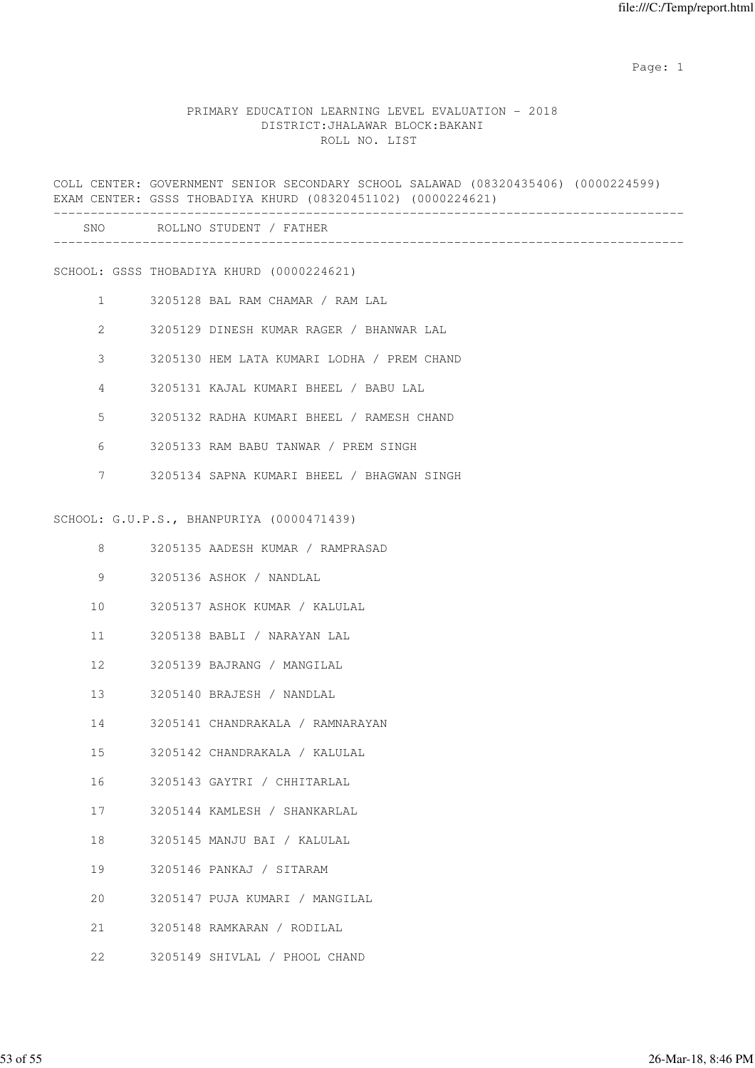#### PRIMARY EDUCATION LEARNING LEVEL EVALUATION - 2018 DISTRICT:JHALAWAR BLOCK:BAKANI ROLL NO. LIST

COLL CENTER: GOVERNMENT SENIOR SECONDARY SCHOOL SALAWAD (08320435406) (0000224599) EXAM CENTER: GSSS THOBADIYA KHURD (08320451102) (0000224621) ------------------------------------------------------------------------------------- SNO ROLLNO STUDENT / FATHER ------------------------------------------------------------------------------------- SCHOOL: GSSS THOBADIYA KHURD (0000224621) 1 3205128 BAL RAM CHAMAR / RAM LAL 2 3205129 DINESH KUMAR RAGER / BHANWAR LAL 3 3205130 HEM LATA KUMARI LODHA / PREM CHAND 4 3205131 KAJAL KUMARI BHEEL / BABU LAL 5 3205132 RADHA KUMARI BHEEL / RAMESH CHAND 6 3205133 RAM BABU TANWAR / PREM SINGH 7 3205134 SAPNA KUMARI BHEEL / BHAGWAN SINGH SCHOOL: G.U.P.S., BHANPURIYA (0000471439) 8 3205135 AADESH KUMAR / RAMPRASAD 9 3205136 ASHOK / NANDLAL 10 3205137 ASHOK KUMAR / KALULAL 11 3205138 BABLI / NARAYAN LAL 12 3205139 BAJRANG / MANGILAL 13 3205140 BRAJESH / NANDLAL 14 3205141 CHANDRAKALA / RAMNARAYAN 15 3205142 CHANDRAKALA / KALULAL 16 3205143 GAYTRI / CHHITARLAL 17 3205144 KAMLESH / SHANKARLAL 18 3205145 MANJU BAI / KALULAL 19 3205146 PANKAJ / SITARAM 20 3205147 PUJA KUMARI / MANGILAL 21 3205148 RAMKARAN / RODILAL

22 3205149 SHIVLAL / PHOOL CHAND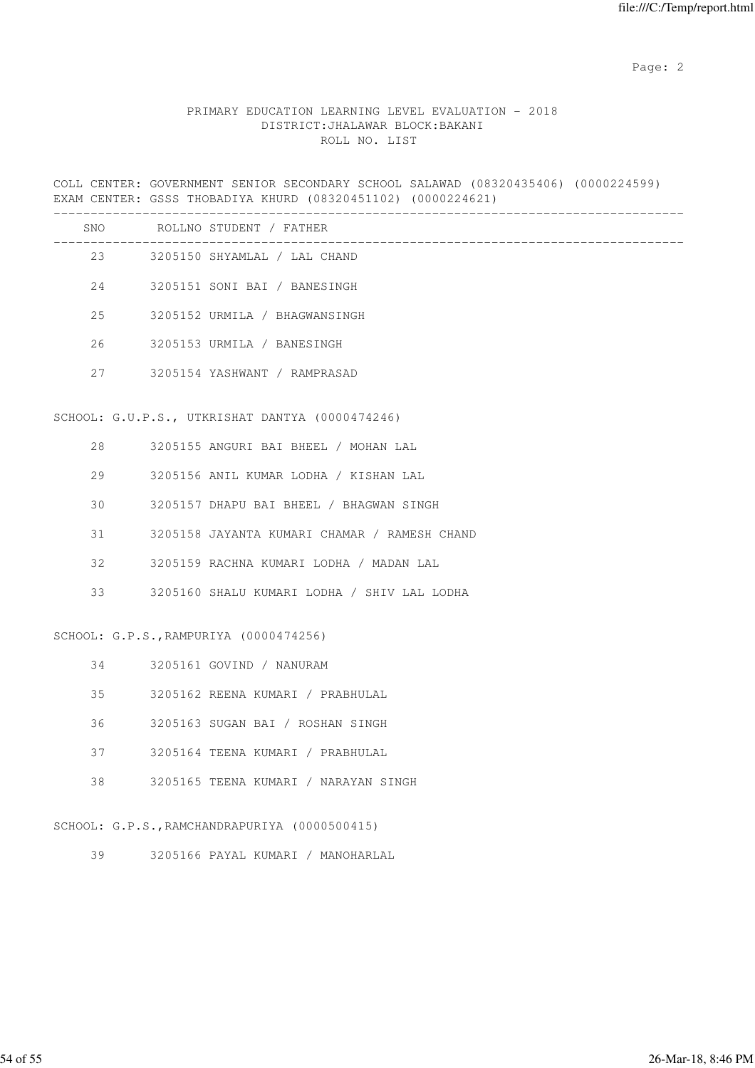# PRIMARY EDUCATION LEARNING LEVEL EVALUATION - 2018 DISTRICT:JHALAWAR BLOCK:BAKANI ROLL NO. LIST

COLL CENTER: GOVERNMENT SENIOR SECONDARY SCHOOL SALAWAD (08320435406) (0000224599) EXAM CENTER: GSSS THOBADIYA KHURD (08320451102) (0000224621)

|                                        |  | SNO ROLLNO STUDENT / FATHER                     |
|----------------------------------------|--|-------------------------------------------------|
|                                        |  | 23 3205150 SHYAMLAL / LAL CHAND                 |
|                                        |  | 24 3205151 SONI BAI / BANESINGH                 |
| 25                                     |  | 3205152 URMILA / BHAGWANSINGH                   |
| 26                                     |  | 3205153 URMILA / BANESINGH                      |
| 27                                     |  | 3205154 YASHWANT / RAMPRASAD                    |
|                                        |  | SCHOOL: G.U.P.S., UTKRISHAT DANTYA (0000474246) |
| 28                                     |  | 3205155 ANGURI BAI BHEEL / MOHAN LAL            |
| 29                                     |  | 3205156 ANIL KUMAR LODHA / KISHAN LAL           |
| 30                                     |  | 3205157 DHAPU BAI BHEEL / BHAGWAN SINGH         |
| 31                                     |  | 3205158 JAYANTA KUMARI CHAMAR / RAMESH CHAND    |
| 32                                     |  | 3205159 RACHNA KUMARI LODHA / MADAN LAL         |
| 33                                     |  | 3205160 SHALU KUMARI LODHA / SHIV LAL LODHA     |
| SCHOOL: G.P.S., RAMPURIYA (0000474256) |  |                                                 |
| 34                                     |  | 3205161 GOVIND / NANURAM                        |
| 35                                     |  | 3205162 REENA KUMARI / PRABHULAL                |
| 36                                     |  | 3205163 SUGAN BAI / ROSHAN SINGH                |
| 37                                     |  | 3205164 TEENA KUMARI / PRABHULAL                |

38 3205165 TEENA KUMARI / NARAYAN SINGH

SCHOOL: G.P.S.,RAMCHANDRAPURIYA (0000500415)

39 3205166 PAYAL KUMARI / MANOHARLAL